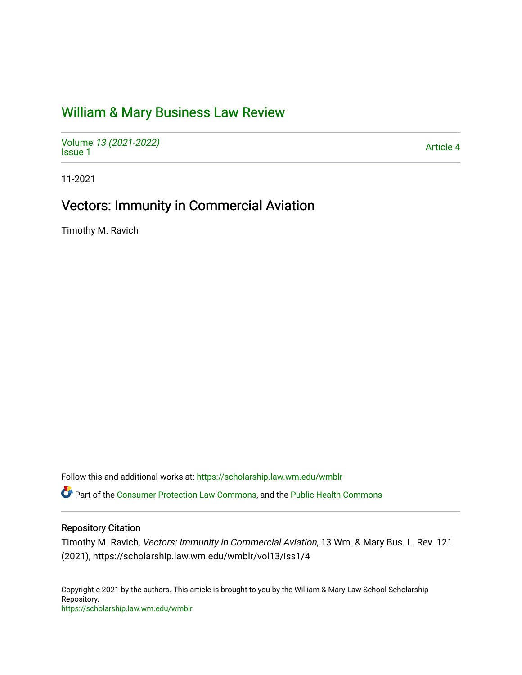# [William & Mary Business Law Review](https://scholarship.law.wm.edu/wmblr)

Volume [13 \(2021-2022\)](https://scholarship.law.wm.edu/wmblr/vol13)  volume 15 (2021-2022)<br>[Issue 1](https://scholarship.law.wm.edu/wmblr/vol13/iss1)

11-2021

# Vectors: Immunity in Commercial Aviation

Timothy M. Ravich

Follow this and additional works at: [https://scholarship.law.wm.edu/wmblr](https://scholarship.law.wm.edu/wmblr?utm_source=scholarship.law.wm.edu%2Fwmblr%2Fvol13%2Fiss1%2F4&utm_medium=PDF&utm_campaign=PDFCoverPages) 

Part of the [Consumer Protection Law Commons,](http://network.bepress.com/hgg/discipline/838?utm_source=scholarship.law.wm.edu%2Fwmblr%2Fvol13%2Fiss1%2F4&utm_medium=PDF&utm_campaign=PDFCoverPages) and the [Public Health Commons](http://network.bepress.com/hgg/discipline/738?utm_source=scholarship.law.wm.edu%2Fwmblr%2Fvol13%2Fiss1%2F4&utm_medium=PDF&utm_campaign=PDFCoverPages) 

# Repository Citation

Timothy M. Ravich, Vectors: Immunity in Commercial Aviation, 13 Wm. & Mary Bus. L. Rev. 121 (2021), https://scholarship.law.wm.edu/wmblr/vol13/iss1/4

Copyright c 2021 by the authors. This article is brought to you by the William & Mary Law School Scholarship Repository. <https://scholarship.law.wm.edu/wmblr>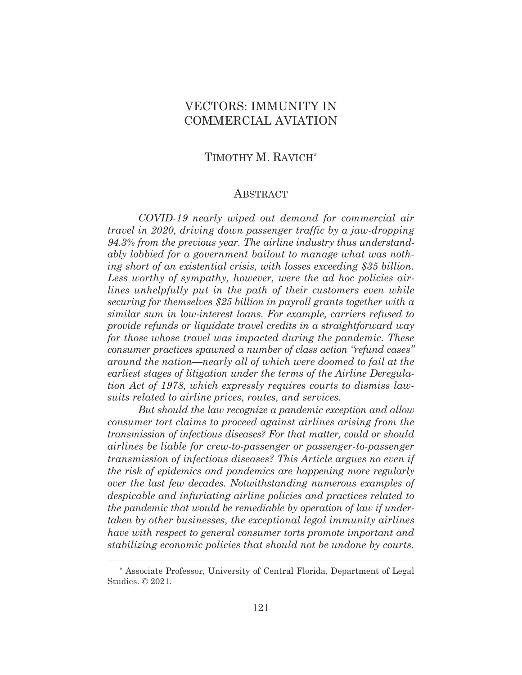# VECTORS: IMMUNITY IN COMMERCIAL AVIATION

# TIMOTHY M. RAVICH\*

#### **ABSTRACT**

 *COVID-19 nearly wiped out demand for commercial air travel in 2020, driving down passenger traffic by a jaw-dropping 94.3% from the previous year. The airline industry thus understandably lobbied for a government bailout to manage what was nothing short of an existential crisis, with losses exceeding \$35 billion. Less worthy of sympathy, however, were the ad hoc policies airlines unhelpfully put in the path of their customers even while securing for themselves \$25 billion in payroll grants together with a similar sum in low-interest loans. For example, carriers refused to provide refunds or liquidate travel credits in a straightforward way for those whose travel was impacted during the pandemic. These consumer practices spawned a number of class action "refund cases" around the nation—nearly all of which were doomed to fail at the earliest stages of litigation under the terms of the Airline Deregulation Act of 1978, which expressly requires courts to dismiss lawsuits related to airline prices, routes, and services.* 

 *But should the law recognize a pandemic exception and allow consumer tort claims to proceed against airlines arising from the transmission of infectious diseases? For that matter, could or should airlines be liable for crew-to-passenger or passenger-to-passenger transmission of infectious diseases? This Article argues no even if the risk of epidemics and pandemics are happening more regularly over the last few decades. Notwithstanding numerous examples of despicable and infuriating airline policies and practices related to the pandemic that would be remediable by operation of law if undertaken by other businesses, the exceptional legal immunity airlines have with respect to general consumer torts promote important and stabilizing economic policies that should not be undone by courts.* 

<sup>\*</sup> Associate Professor, University of Central Florida, Department of Legal Studies. © 2021.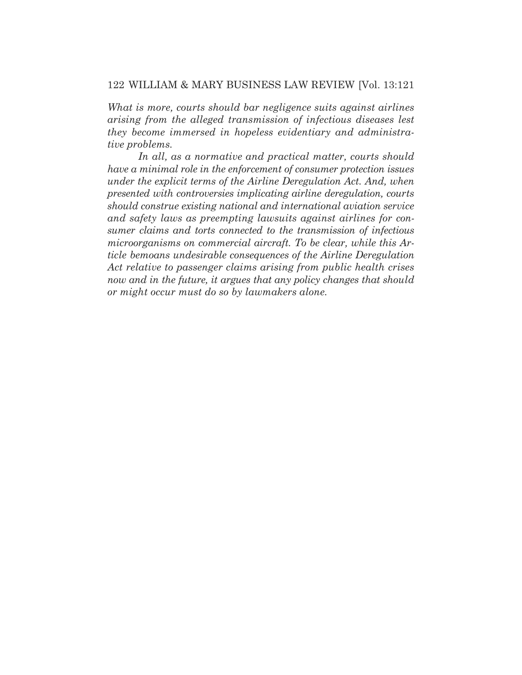*What is more, courts should bar negligence suits against airlines arising from the alleged transmission of infectious diseases lest they become immersed in hopeless evidentiary and administrative problems.* 

 *In all, as a normative and practical matter, courts should have a minimal role in the enforcement of consumer protection issues under the explicit terms of the Airline Deregulation Act. And, when presented with controversies implicating airline deregulation, courts should construe existing national and international aviation service and safety laws as preempting lawsuits against airlines for consumer claims and torts connected to the transmission of infectious microorganisms on commercial aircraft. To be clear, while this Article bemoans undesirable consequences of the Airline Deregulation Act relative to passenger claims arising from public health crises now and in the future, it argues that any policy changes that should or might occur must do so by lawmakers alone.*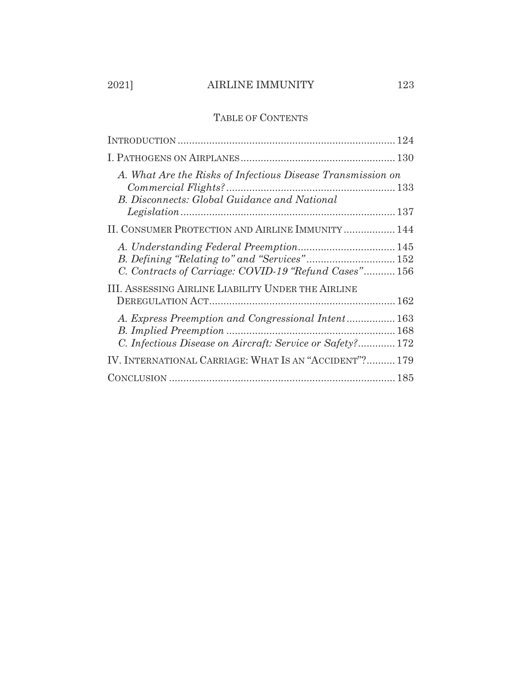# 2021] AIRLINE IMMUNITY 123

# TABLE OF CONTENTS

| A. What Are the Risks of Infectious Disease Transmission on<br><b>B.</b> Disconnects: Global Guidance and National |
|--------------------------------------------------------------------------------------------------------------------|
| II. CONSUMER PROTECTION AND AIRLINE IMMUNITY  144                                                                  |
| C. Contracts of Carriage: COVID-19 "Refund Cases" 156                                                              |
| <b>III. ASSESSING AIRLINE LIABILITY UNDER THE AIRLINE</b>                                                          |
| A. Express Preemption and Congressional Intent 163<br>C. Infectious Disease on Aircraft: Service or Safety? 172    |
| IV. INTERNATIONAL CARRIAGE: WHAT IS AN "ACCIDENT"? 179                                                             |
|                                                                                                                    |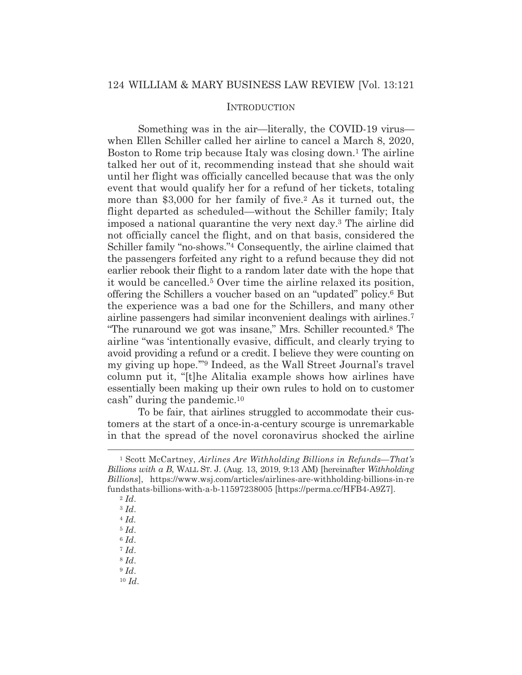# **INTRODUCTION**

 Something was in the air—literally, the COVID-19 virus when Ellen Schiller called her airline to cancel a March 8, 2020, Boston to Rome trip because Italy was closing down.1 The airline talked her out of it, recommending instead that she should wait until her flight was officially cancelled because that was the only event that would qualify her for a refund of her tickets, totaling more than \$3,000 for her family of five.2 As it turned out, the flight departed as scheduled—without the Schiller family; Italy imposed a national quarantine the very next day.3 The airline did not officially cancel the flight, and on that basis, considered the Schiller family "no-shows."<sup>4</sup> Consequently, the airline claimed that the passengers forfeited any right to a refund because they did not earlier rebook their flight to a random later date with the hope that it would be cancelled.5 Over time the airline relaxed its position, offering the Schillers a voucher based on an "updated" policy.6 But the experience was a bad one for the Schillers, and many other airline passengers had similar inconvenient dealings with airlines.7 "The runaround we got was insane," Mrs. Schiller recounted.8 The airline "was 'intentionally evasive, difficult, and clearly trying to avoid providing a refund or a credit. I believe they were counting on my giving up hope.'"9 Indeed, as the Wall Street Journal's travel column put it, "[t]he Alitalia example shows how airlines have essentially been making up their own rules to hold on to customer cash" during the pandemic.10

 To be fair, that airlines struggled to accommodate their customers at the start of a once-in-a-century scourge is unremarkable in that the spread of the novel coronavirus shocked the airline

- <sup>8</sup> *Id*. <sup>9</sup> *Id*.
- <sup>10</sup> *Id*.

<sup>1</sup> Scott McCartney, *Airlines Are Withholding Billions in Refunds—That's Billions with a B*, WALL ST. J. (Aug. 13, 2019, 9:13 AM) [hereinafter *Withholding Billions*], https://www.wsj.com/articles/airlines-are-withholding-billions-in-re fundsthats-billions-with-a-b-11597238005 [https://perma.cc/HFB4-A9Z7]. 2 *Id*.

<sup>3</sup> *Id*.

<sup>4</sup> *Id.*

<sup>5</sup> *Id*.

<sup>6</sup> *Id*.

<sup>7</sup> *Id*.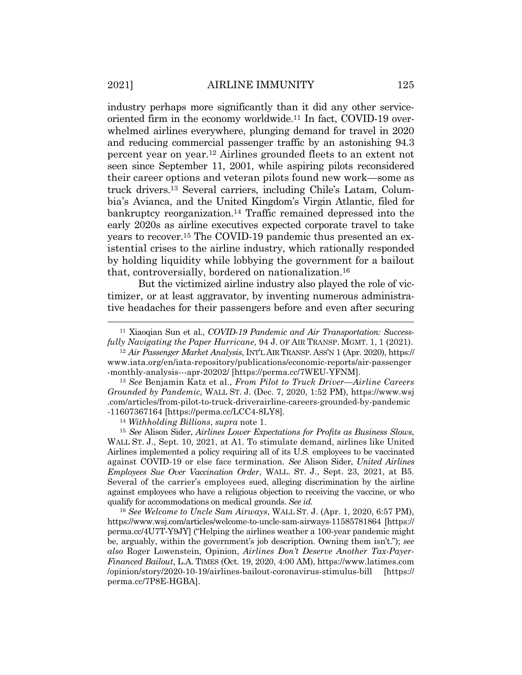industry perhaps more significantly than it did any other serviceoriented firm in the economy worldwide.11 In fact, COVID-19 overwhelmed airlines everywhere, plunging demand for travel in 2020 and reducing commercial passenger traffic by an astonishing 94.3 percent year on year.12 Airlines grounded fleets to an extent not seen since September 11, 2001, while aspiring pilots reconsidered their career options and veteran pilots found new work—some as truck drivers.13 Several carriers, including Chile's Latam, Columbia's Avianca, and the United Kingdom's Virgin Atlantic, filed for bankruptcy reorganization.14 Traffic remained depressed into the early 2020s as airline executives expected corporate travel to take years to recover.15 The COVID-19 pandemic thus presented an existential crises to the airline industry, which rationally responded by holding liquidity while lobbying the government for a bailout that, controversially, bordered on nationalization.16

 But the victimized airline industry also played the role of victimizer, or at least aggravator, by inventing numerous administrative headaches for their passengers before and even after securing

*fully Navigating the Paper Hurricane*, 94 J. OF AIR TRANSP. MGMT. 1, 1 (2021). 12 *Air Passenger Market Analysis*, INT'L AIR TRANSP. ASS'N 1 (Apr. 2020), https:// www.iata.org/en/iata-repository/publications/economic-reports/air-passenger -monthly-analysis---apr-20202/ [https://perma.cc/7WEU-YFNM].

<sup>13</sup> *See* Benjamin Katz et al., *From Pilot to Truck Driver—Airline Careers Grounded by Pandemic*, WALL ST. J. (Dec. 7, 2020, 1:52 PM), https://www.wsj .com/articles/from-pilot-to-truck-driverairline-careers-grounded-by-pandemic -11607367164 [https://perma.cc/LCC4-8LY8]. 14 *Withholding Billions*, *supra* note 1.

<sup>15</sup> *See* Alison Sider, *Airlines Lower Expectations for Profits as Business Slows*, WALL ST. J., Sept. 10, 2021, at A1. To stimulate demand, airlines like United Airlines implemented a policy requiring all of its U.S. employees to be vaccinated against COVID-19 or else face termination. *See* Alison Sider, *United Airlines Employees Sue Over Vaccination Order*, WALL. ST. J., Sept. 23, 2021, at B5. Several of the carrier's employees sued, alleging discrimination by the airline against employees who have a religious objection to receiving the vaccine, or who qualify for accommodations on medical grounds. *See id.* 

<sup>16</sup> *See Welcome to Uncle Sam Airways*, WALL ST. J. (Apr. 1, 2020, 6:57 PM), https://www.wsj.com/articles/welcome-to-uncle-sam-airways-11585781864 [https:// perma.cc/4U7T-Y9JY] ("Helping the airlines weather a 100-year pandemic might be, arguably, within the government's job description. Owning them isn't."); *see also* Roger Lowenstein, Opinion, *Airlines Don't Deserve Another Tax-Payer-Financed Bailout*, L.A. TIMES (Oct. 19, 2020, 4:00 AM), https://www.latimes.com /opinion/story/2020-10-19/airlines-bailout-coronavirus-stimulus-bill [https:// perma.cc/7P8E-HGBA].

<sup>11</sup> Xiaoqian Sun et al., *COVID-19 Pandemic and Air Transportation: Success-*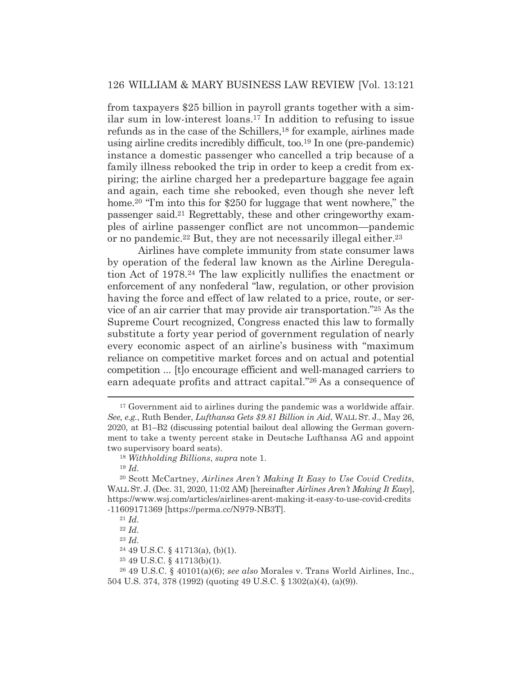from taxpayers \$25 billion in payroll grants together with a similar sum in low-interest loans.17 In addition to refusing to issue refunds as in the case of the Schillers,18 for example, airlines made using airline credits incredibly difficult, too.19 In one (pre-pandemic) instance a domestic passenger who cancelled a trip because of a family illness rebooked the trip in order to keep a credit from expiring; the airline charged her a predeparture baggage fee again and again, each time she rebooked, even though she never left home.<sup>20</sup> "I'm into this for \$250 for luggage that went nowhere," the passenger said.21 Regrettably, these and other cringeworthy examples of airline passenger conflict are not uncommon—pandemic or no pandemic.22 But, they are not necessarily illegal either.23

 Airlines have complete immunity from state consumer laws by operation of the federal law known as the Airline Deregulation Act of 1978.24 The law explicitly nullifies the enactment or enforcement of any nonfederal "law, regulation, or other provision having the force and effect of law related to a price, route, or service of an air carrier that may provide air transportation."25 As the Supreme Court recognized, Congress enacted this law to formally substitute a forty year period of government regulation of nearly every economic aspect of an airline's business with "maximum reliance on competitive market forces and on actual and potential competition ... [t]o encourage efficient and well-managed carriers to earn adequate profits and attract capital."26 As a consequence of

<sup>23</sup> *Id.*

25 49 U.S.C. § 41713(b)(1).

<sup>&</sup>lt;sup>17</sup> Government aid to airlines during the pandemic was a worldwide affair. *See, e.g.*, Ruth Bender, *Lufthansa Gets \$9.81 Billion in Aid*, WALL ST. J., May 26, 2020, at B1–B2 (discussing potential bailout deal allowing the German government to take a twenty percent stake in Deutsche Lufthansa AG and appoint two supervisory board seats).

<sup>18</sup> *Withholding Billions*, *supra* note 1.

<sup>19</sup> *Id.*

<sup>20</sup> Scott McCartney, *Airlines Aren't Making It Easy to Use Covid Credits*, WALL ST. J. (Dec. 31, 2020, 11:02 AM) [hereinafter *Airlines Aren't Making It Easy*], https://www.wsj.com/articles/airlines-arent-making-it-easy-to-use-covid-credits -11609171369 [https://perma.cc/N979-NB3T]. 21 *Id.*

<sup>22</sup> *Id.*

 $24$  49 U.S.C. § 41713(a), (b)(1).

<sup>26 49</sup> U.S.C. § 40101(a)(6); *see also* Morales v. Trans World Airlines, Inc., 504 U.S. 374, 378 (1992) (quoting 49 U.S.C. § 1302(a)(4), (a)(9)).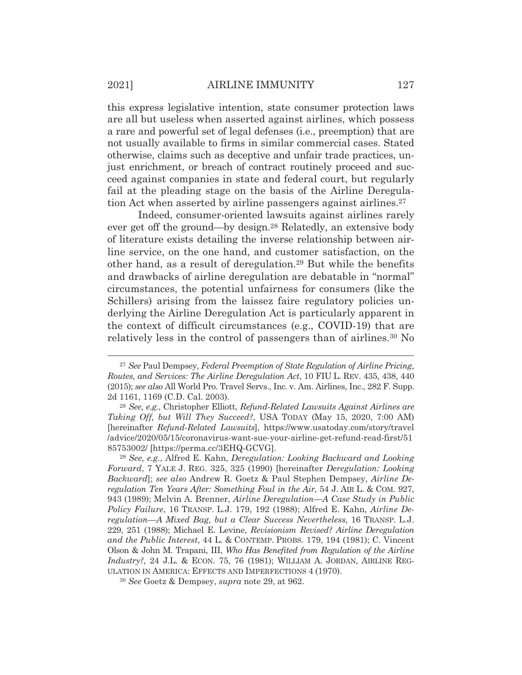this express legislative intention, state consumer protection laws are all but useless when asserted against airlines, which possess a rare and powerful set of legal defenses (i.e., preemption) that are not usually available to firms in similar commercial cases. Stated otherwise, claims such as deceptive and unfair trade practices, unjust enrichment, or breach of contract routinely proceed and succeed against companies in state and federal court, but regularly fail at the pleading stage on the basis of the Airline Deregulation Act when asserted by airline passengers against airlines.<sup>27</sup>

 Indeed, consumer-oriented lawsuits against airlines rarely ever get off the ground—by design.28 Relatedly, an extensive body of literature exists detailing the inverse relationship between airline service, on the one hand, and customer satisfaction, on the other hand, as a result of deregulation.29 But while the benefits and drawbacks of airline deregulation are debatable in "normal" circumstances, the potential unfairness for consumers (like the Schillers) arising from the laissez faire regulatory policies underlying the Airline Deregulation Act is particularly apparent in the context of difficult circumstances (e.g., COVID-19) that are relatively less in the control of passengers than of airlines.30 No

<sup>27</sup> *See* Paul Dempsey, *Federal Preemption of State Regulation of Airline Pricing, Routes, and Services: The Airline Deregulation Act*, 10 FIU L. REV. 435, 438, 440 (2015); *see also* All World Pro. Travel Servs., Inc. v. Am. Airlines, Inc., 282 F. Supp. 2d 1161, 1169 (C.D. Cal. 2003).

<sup>28</sup> *See, e.g.*, Christopher Elliott, *Refund-Related Lawsuits Against Airlines are Taking Off, but Will They Succeed?*, USA TODAY (May 15, 2020, 7:00 AM) [hereinafter *Refund-Related Lawsuits*], https://www.usatoday.com/story/travel /advice/2020/05/15/coronavirus-want-sue-your-airline-get-refund-read-first/51 85753002/ [https://perma.cc/3EHQ-GCVG].

<sup>29</sup> *See, e.g.*, Alfred E. Kahn, *Deregulation: Looking Backward and Looking Forward*, 7 YALE J. REG. 325, 325 (1990) [hereinafter *Deregulation: Looking Backward*]; *see also* Andrew R. Goetz & Paul Stephen Dempsey, *Airline Deregulation Ten Years After: Something Foul in the Air*, 54 J. AIR L. & COM. 927, 943 (1989); Melvin A. Brenner, *Airline Deregulation—A Case Study in Public Policy Failure*, 16 TRANSP. L.J. 179, 192 (1988); Alfred E. Kahn, *Airline Deregulation—A Mixed Bag, but a Clear Success Nevertheless*, 16 TRANSP. L.J. 229, 251 (1988); Michael E. Levine, *Revisionism Revised? Airline Deregulation and the Public Interest*, 44 L. & CONTEMP. PROBS. 179, 194 (1981); C. Vincent Olson & John M. Trapani, III, *Who Has Benefited from Regulation of the Airline Industry?*, 24 J.L. & ECON. 75, 76 (1981); WILLIAM A. JORDAN, AIRLINE REG-ULATION IN AMERICA: EFFECTS AND IMPERFECTIONS 4 (1970).

<sup>30</sup> *See* Goetz & Dempsey, *supra* note 29, at 962.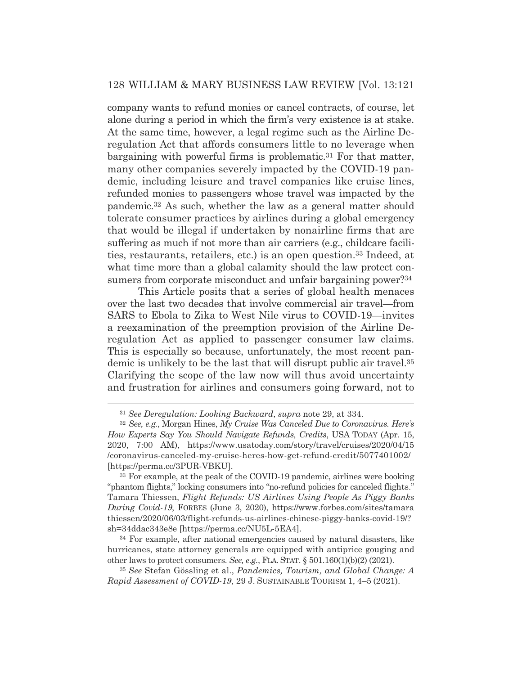company wants to refund monies or cancel contracts, of course, let alone during a period in which the firm's very existence is at stake. At the same time, however, a legal regime such as the Airline Deregulation Act that affords consumers little to no leverage when bargaining with powerful firms is problematic.31 For that matter, many other companies severely impacted by the COVID-19 pandemic, including leisure and travel companies like cruise lines, refunded monies to passengers whose travel was impacted by the pandemic.32 As such, whether the law as a general matter should tolerate consumer practices by airlines during a global emergency that would be illegal if undertaken by nonairline firms that are suffering as much if not more than air carriers (e.g., childcare facilities, restaurants, retailers, etc.) is an open question.33 Indeed, at what time more than a global calamity should the law protect consumers from corporate misconduct and unfair bargaining power?<sup>34</sup>

 This Article posits that a series of global health menaces over the last two decades that involve commercial air travel—from SARS to Ebola to Zika to West Nile virus to COVID-19—invites a reexamination of the preemption provision of the Airline Deregulation Act as applied to passenger consumer law claims. This is especially so because, unfortunately, the most recent pandemic is unlikely to be the last that will disrupt public air travel.35 Clarifying the scope of the law now will thus avoid uncertainty and frustration for airlines and consumers going forward, not to

34 For example, after national emergencies caused by natural disasters, like hurricanes, state attorney generals are equipped with antiprice gouging and other laws to protect consumers. *See, e.g.*, FLA. STAT. § 501.160(1)(b)(2) (2021).

<sup>35</sup> *See* Stefan Gössling et al., *Pandemics, Tourism, and Global Change: A Rapid Assessment of COVID-19*, 29 J. SUSTAINABLE TOURISM 1, 4–5 (2021).

<sup>31</sup> *See Deregulation: Looking Backward*, *supra* note 29, at 334.

<sup>32</sup> *See, e.g.*, Morgan Hines, *My Cruise Was Canceled Due to Coronavirus. Here's How Experts Say You Should Navigate Refunds, Credits*, USA TODAY (Apr. 15, 2020, 7:00 AM), https://www.usatoday.com/story/travel/cruises/2020/04/15 /coronavirus-canceled-my-cruise-heres-how-get-refund-credit/5077401002/ [https://perma.cc/3PUR-VBKU].

<sup>33</sup> For example, at the peak of the COVID-19 pandemic, airlines were booking "phantom flights," locking consumers into "no-refund policies for canceled flights." Tamara Thiessen, *Flight Refunds: US Airlines Using People As Piggy Banks During Covid-19*, FORBES (June 3, 2020), https://www.forbes.com/sites/tamara thiessen/2020/06/03/flight-refunds-us-airlines-chinese-piggy-banks-covid-19/? sh=34ddac343e8e [https://perma.cc/NU5L-5EA4].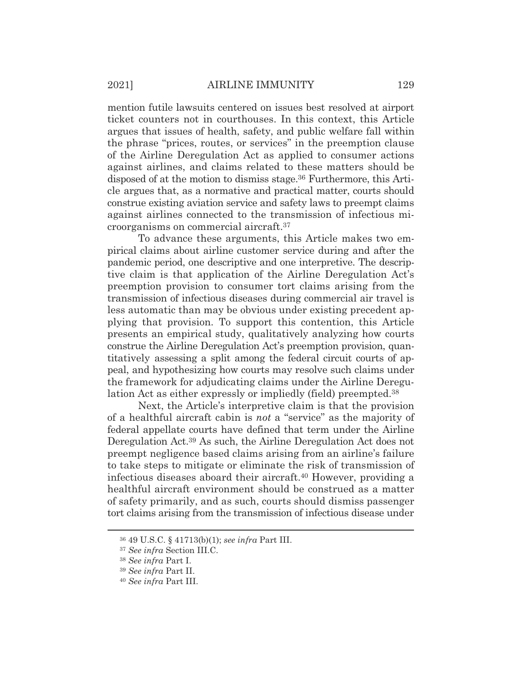mention futile lawsuits centered on issues best resolved at airport ticket counters not in courthouses. In this context, this Article argues that issues of health, safety, and public welfare fall within the phrase "prices, routes, or services" in the preemption clause of the Airline Deregulation Act as applied to consumer actions against airlines, and claims related to these matters should be disposed of at the motion to dismiss stage.36 Furthermore, this Article argues that, as a normative and practical matter, courts should construe existing aviation service and safety laws to preempt claims against airlines connected to the transmission of infectious microorganisms on commercial aircraft.37

 To advance these arguments, this Article makes two empirical claims about airline customer service during and after the pandemic period, one descriptive and one interpretive. The descriptive claim is that application of the Airline Deregulation Act's preemption provision to consumer tort claims arising from the transmission of infectious diseases during commercial air travel is less automatic than may be obvious under existing precedent applying that provision. To support this contention, this Article presents an empirical study, qualitatively analyzing how courts construe the Airline Deregulation Act's preemption provision, quantitatively assessing a split among the federal circuit courts of appeal, and hypothesizing how courts may resolve such claims under the framework for adjudicating claims under the Airline Deregulation Act as either expressly or impliedly (field) preempted.38

 Next, the Article's interpretive claim is that the provision of a healthful aircraft cabin is *not* a "service" as the majority of federal appellate courts have defined that term under the Airline Deregulation Act.39 As such, the Airline Deregulation Act does not preempt negligence based claims arising from an airline's failure to take steps to mitigate or eliminate the risk of transmission of infectious diseases aboard their aircraft.40 However, providing a healthful aircraft environment should be construed as a matter of safety primarily, and as such, courts should dismiss passenger tort claims arising from the transmission of infectious disease under

<sup>36 49</sup> U.S.C. § 41713(b)(1); *see infra* Part III.

<sup>37</sup> *See infra* Section III.C.

<sup>38</sup> *See infra* Part I.

<sup>39</sup> *See infra* Part II.

<sup>40</sup> *See infra* Part III.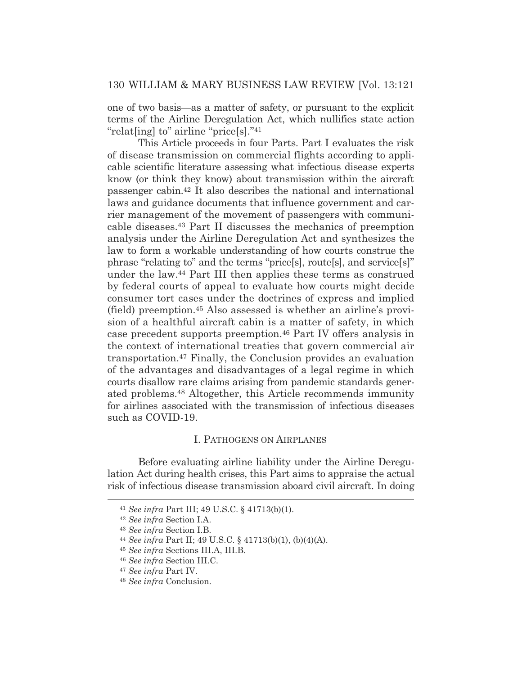one of two basis—as a matter of safety, or pursuant to the explicit terms of the Airline Deregulation Act, which nullifies state action "relat[ing] to" airline "price[s]."41

 This Article proceeds in four Parts. Part I evaluates the risk of disease transmission on commercial flights according to applicable scientific literature assessing what infectious disease experts know (or think they know) about transmission within the aircraft passenger cabin.42 It also describes the national and international laws and guidance documents that influence government and carrier management of the movement of passengers with communicable diseases.43 Part II discusses the mechanics of preemption analysis under the Airline Deregulation Act and synthesizes the law to form a workable understanding of how courts construe the phrase "relating to" and the terms "price[s], route[s], and service[s]" under the law.44 Part III then applies these terms as construed by federal courts of appeal to evaluate how courts might decide consumer tort cases under the doctrines of express and implied (field) preemption.45 Also assessed is whether an airline's provision of a healthful aircraft cabin is a matter of safety, in which case precedent supports preemption.46 Part IV offers analysis in the context of international treaties that govern commercial air transportation.47 Finally, the Conclusion provides an evaluation of the advantages and disadvantages of a legal regime in which courts disallow rare claims arising from pandemic standards generated problems.48 Altogether, this Article recommends immunity for airlines associated with the transmission of infectious diseases such as COVID-19.

#### I. PATHOGENS ON AIRPLANES

 Before evaluating airline liability under the Airline Deregulation Act during health crises, this Part aims to appraise the actual risk of infectious disease transmission aboard civil aircraft. In doing

<sup>41</sup> *See infra* Part III; 49 U.S.C. § 41713(b)(1). 42 *See infra* Section I.A.

<sup>43</sup> *See infra* Section I.B. 44 *See infra* Part II; 49 U.S.C. § 41713(b)(1), (b)(4)(A).

<sup>45</sup> *See infra* Sections III.A, III.B.

<sup>46</sup> *See infra* Section III.C.

<sup>47</sup> *See infra* Part IV.

<sup>48</sup> *See infra* Conclusion.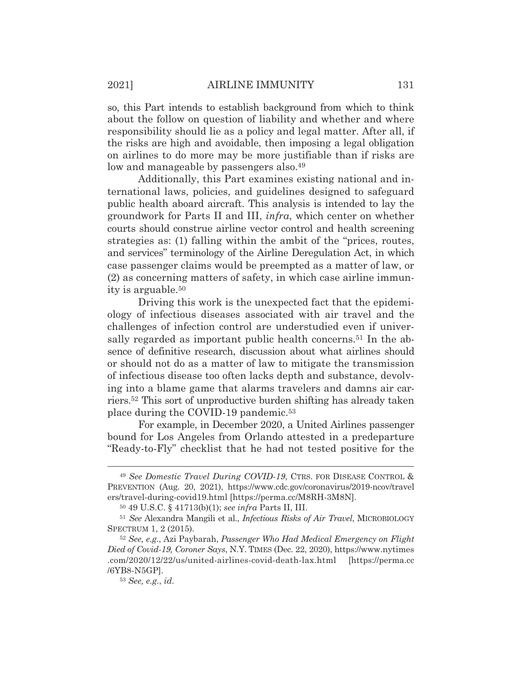so, this Part intends to establish background from which to think about the follow on question of liability and whether and where responsibility should lie as a policy and legal matter. After all, if the risks are high and avoidable, then imposing a legal obligation on airlines to do more may be more justifiable than if risks are low and manageable by passengers also.<sup>49</sup>

 Additionally, this Part examines existing national and international laws, policies, and guidelines designed to safeguard public health aboard aircraft. This analysis is intended to lay the groundwork for Parts II and III, *infra*, which center on whether courts should construe airline vector control and health screening strategies as: (1) falling within the ambit of the "prices, routes, and services" terminology of the Airline Deregulation Act, in which case passenger claims would be preempted as a matter of law, or (2) as concerning matters of safety, in which case airline immunity is arguable.50

 Driving this work is the unexpected fact that the epidemiology of infectious diseases associated with air travel and the challenges of infection control are understudied even if universally regarded as important public health concerns.<sup>51</sup> In the absence of definitive research, discussion about what airlines should or should not do as a matter of law to mitigate the transmission of infectious disease too often lacks depth and substance, devolving into a blame game that alarms travelers and damns air carriers.52 This sort of unproductive burden shifting has already taken place during the COVID-19 pandemic.53

 For example, in December 2020, a United Airlines passenger bound for Los Angeles from Orlando attested in a predeparture "Ready-to-Fly" checklist that he had not tested positive for the

<sup>49</sup> *See Domestic Travel During COVID-19*, CTRS. FOR DISEASE CONTROL & PREVENTION (Aug. 20, 2021), https://www.cdc.gov/coronavirus/2019-ncov/travel ers/travel-during-covid19.html [https://perma.cc/M8RH-3M8N].

<sup>50 49</sup> U.S.C. § 41713(b)(1); *see infra* Parts II, III.

<sup>51</sup> *See* Alexandra Mangili et al., *Infectious Risks of Air Travel*, MICROBIOLOGY SPECTRUM 1, 2 (2015).

<sup>52</sup> *See, e.g.*, Azi Paybarah, *Passenger Who Had Medical Emergency on Flight Died of Covid-19, Coroner Says*, N.Y. TIMES (Dec. 22, 2020), https://www.nytimes .com/2020/12/22/us/united-airlines-covid-death-lax.html [https://perma.cc /6YB8-N5GP].

<sup>53</sup> *See, e.g.*, *id.*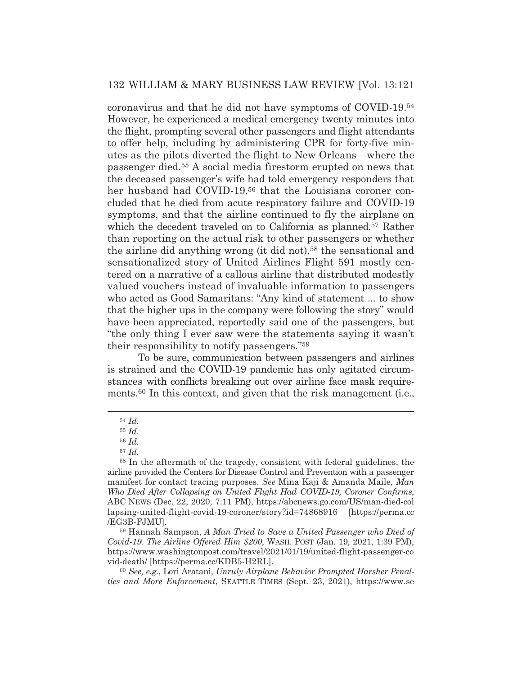coronavirus and that he did not have symptoms of COVID-19.54 However, he experienced a medical emergency twenty minutes into the flight, prompting several other passengers and flight attendants to offer help, including by administering CPR for forty-five minutes as the pilots diverted the flight to New Orleans—where the passenger died.55 A social media firestorm erupted on news that the deceased passenger's wife had told emergency responders that her husband had COVID-19,<sup>56</sup> that the Louisiana coroner concluded that he died from acute respiratory failure and COVID-19 symptoms, and that the airline continued to fly the airplane on which the decedent traveled on to California as planned.<sup>57</sup> Rather than reporting on the actual risk to other passengers or whether the airline did anything wrong (it did not),<sup>58</sup> the sensational and sensationalized story of United Airlines Flight 591 mostly centered on a narrative of a callous airline that distributed modestly valued vouchers instead of invaluable information to passengers who acted as Good Samaritans: "Any kind of statement ... to show that the higher ups in the company were following the story" would have been appreciated, reportedly said one of the passengers, but "the only thing I ever saw were the statements saying it wasn't their responsibility to notify passengers."59

 To be sure, communication between passengers and airlines is strained and the COVID-19 pandemic has only agitated circumstances with conflicts breaking out over airline face mask requirements.60 In this context, and given that the risk management (i.e.,

59 Hannah Sampson, *A Man Tried to Save a United Passenger who Died of Covid-19. The Airline Offered Him \$200*, WASH. POST (Jan. 19, 2021, 1:39 PM), https://www.washingtonpost.com/travel/2021/01/19/united-flight-passenger-co vid-death/ [https://perma.cc/KDB5-H2RL].

<sup>60</sup> *See, e.g.*, Lori Aratani, *Unruly Airplane Behavior Prompted Harsher Penalties and More Enforcement*, SEATTLE TIMES (Sept. 23, 2021), https://www.se

<sup>54</sup> *Id.*

<sup>55</sup> *Id.*

<sup>56</sup> *Id.*

<sup>57</sup> *Id.*

<sup>58</sup> In the aftermath of the tragedy, consistent with federal guidelines, the airline provided the Centers for Disease Control and Prevention with a passenger manifest for contact tracing purposes. *See* Mina Kaji & Amanda Maile, *Man Who Died After Collapsing on United Flight Had COVID-19, Coroner Confirms*, ABC NEWS (Dec. 22, 2020, 7:11 PM), https://abcnews.go.com/US/man-died-col lapsing-united-flight-covid-19-coroner/story?id=74868916 [https://perma.cc /EG3B-FJMU].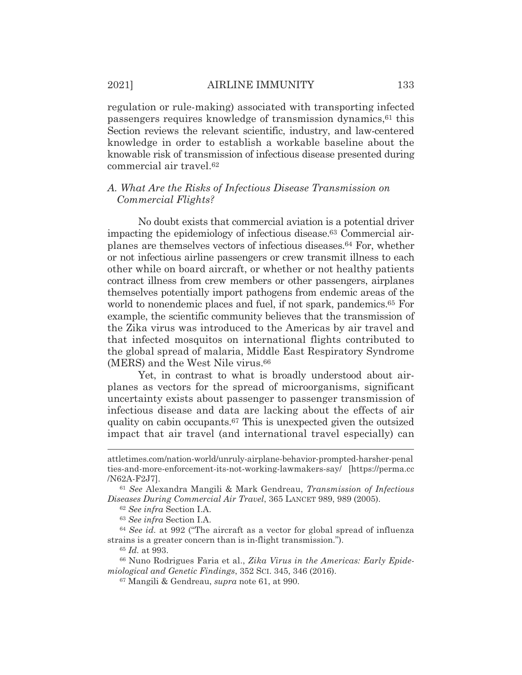regulation or rule-making) associated with transporting infected passengers requires knowledge of transmission dynamics,61 this Section reviews the relevant scientific, industry, and law-centered knowledge in order to establish a workable baseline about the knowable risk of transmission of infectious disease presented during commercial air travel.62

#### *A. What Are the Risks of Infectious Disease Transmission on Commercial Flights?*

 No doubt exists that commercial aviation is a potential driver impacting the epidemiology of infectious disease.63 Commercial airplanes are themselves vectors of infectious diseases.64 For, whether or not infectious airline passengers or crew transmit illness to each other while on board aircraft, or whether or not healthy patients contract illness from crew members or other passengers, airplanes themselves potentially import pathogens from endemic areas of the world to nonendemic places and fuel, if not spark, pandemics.<sup>65</sup> For example, the scientific community believes that the transmission of the Zika virus was introduced to the Americas by air travel and that infected mosquitos on international flights contributed to the global spread of malaria, Middle East Respiratory Syndrome (MERS) and the West Nile virus.66

 Yet, in contrast to what is broadly understood about airplanes as vectors for the spread of microorganisms, significant uncertainty exists about passenger to passenger transmission of infectious disease and data are lacking about the effects of air quality on cabin occupants.67 This is unexpected given the outsized impact that air travel (and international travel especially) can

attletimes.com/nation-world/unruly-airplane-behavior-prompted-harsher-penal ties-and-more-enforcement-its-not-working-lawmakers-say/ [https://perma.cc /N62A-F2J7].

<sup>61</sup> *See* Alexandra Mangili & Mark Gendreau, *Transmission of Infectious Diseases During Commercial Air Travel*, 365 LANCET 989, 989 (2005).

<sup>62</sup> *See infra* Section I.A.

<sup>63</sup> *See infra* Section I.A.

<sup>64</sup> *See id.* at 992 ("The aircraft as a vector for global spread of influenza strains is a greater concern than is in-flight transmission.").

<sup>65</sup> *Id.* at 993.

<sup>66</sup> Nuno Rodrigues Faria et al., *Zika Virus in the Americas: Early Epidemiological and Genetic Findings*, 352 SCI. 345, 346 (2016).

<sup>67</sup> Mangili & Gendreau, *supra* note 61, at 990.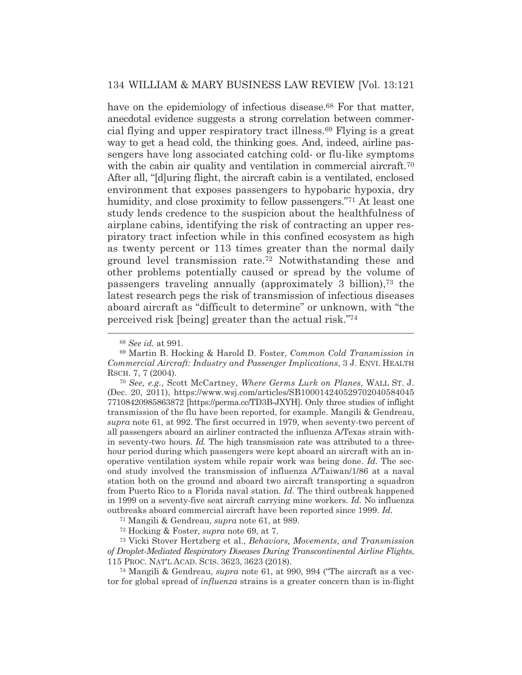have on the epidemiology of infectious disease.<sup>68</sup> For that matter, anecdotal evidence suggests a strong correlation between commercial flying and upper respiratory tract illness.69 Flying is a great way to get a head cold, the thinking goes. And, indeed, airline passengers have long associated catching cold- or flu-like symptoms with the cabin air quality and ventilation in commercial aircraft.<sup>70</sup> After all, "[d]uring flight, the aircraft cabin is a ventilated, enclosed environment that exposes passengers to hypobaric hypoxia, dry humidity, and close proximity to fellow passengers."<sup>71</sup> At least one study lends credence to the suspicion about the healthfulness of airplane cabins, identifying the risk of contracting an upper respiratory tract infection while in this confined ecosystem as high as twenty percent or 113 times greater than the normal daily ground level transmission rate.72 Notwithstanding these and other problems potentially caused or spread by the volume of passengers traveling annually (approximately 3 billion),73 the latest research pegs the risk of transmission of infectious diseases aboard aircraft as "difficult to determine" or unknown, with "the perceived risk [being] greater than the actual risk."74

<sup>70</sup> *See, e.g.*, Scott McCartney, *Where Germs Lurk on Planes*, WALL ST. J. (Dec. 20, 2011), https://www.wsj.com/articles/SB100014240529702040584045 77108420985863872 [https://perma.cc/TD3B-JXYH]. Only three studies of inflight transmission of the flu have been reported, for example. Mangili & Gendreau, *supra* note 61, at 992. The first occurred in 1979, when seventy-two percent of all passengers aboard an airliner contracted the influenza A/Texas strain within seventy-two hours. *Id.* The high transmission rate was attributed to a threehour period during which passengers were kept aboard an aircraft with an inoperative ventilation system while repair work was being done. *Id.* The second study involved the transmission of influenza A/Taiwan/1/86 at a naval station both on the ground and aboard two aircraft transporting a squadron from Puerto Rico to a Florida naval station. *Id.* The third outbreak happened in 1999 on a seventy-five seat aircraft carrying mine workers. *Id.* No influenza outbreaks aboard commercial aircraft have been reported since 1999. *Id.* 

71 Mangili & Gendreau, *supra* note 61, at 989.

72 Hocking & Foster, *supra* note 69, at 7.

73 Vicki Stover Hertzberg et al., *Behaviors, Movements, and Transmission of Droplet-Mediated Respiratory Diseases During Transcontinental Airline Flights*, 115 PROC. NAT'L ACAD. SCIS. 3623, 3623 (2018).

74 Mangili & Gendreau, *supra* note 61, at 990, 994 ("The aircraft as a vector for global spread of *influenza* strains is a greater concern than is in-flight

<sup>68</sup> *See id.* at 991.

<sup>69</sup> Martin B. Hocking & Harold D. Foster, *Common Cold Transmission in Commercial Aircraft: Industry and Passenger Implications*, 3 J. ENVI. HEALTH RSCH. 7, 7 (2004).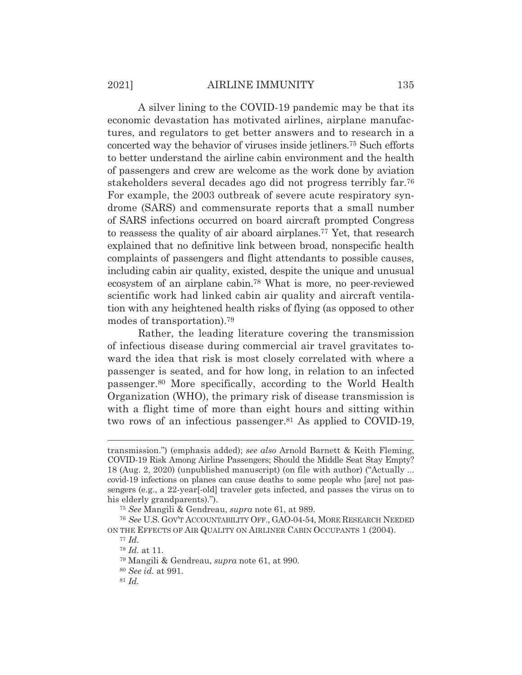#### 2021] AIRLINE IMMUNITY 135

 A silver lining to the COVID-19 pandemic may be that its economic devastation has motivated airlines, airplane manufactures, and regulators to get better answers and to research in a concerted way the behavior of viruses inside jetliners.75 Such efforts to better understand the airline cabin environment and the health of passengers and crew are welcome as the work done by aviation stakeholders several decades ago did not progress terribly far.76 For example, the 2003 outbreak of severe acute respiratory syndrome (SARS) and commensurate reports that a small number of SARS infections occurred on board aircraft prompted Congress to reassess the quality of air aboard airplanes.77 Yet, that research explained that no definitive link between broad, nonspecific health complaints of passengers and flight attendants to possible causes, including cabin air quality, existed, despite the unique and unusual ecosystem of an airplane cabin.78 What is more, no peer-reviewed scientific work had linked cabin air quality and aircraft ventilation with any heightened health risks of flying (as opposed to other modes of transportation).79

 Rather, the leading literature covering the transmission of infectious disease during commercial air travel gravitates toward the idea that risk is most closely correlated with where a passenger is seated, and for how long, in relation to an infected passenger.80 More specifically, according to the World Health Organization (WHO), the primary risk of disease transmission is with a flight time of more than eight hours and sitting within two rows of an infectious passenger.81 As applied to COVID-19,

transmission.") (emphasis added); *see also* Arnold Barnett & Keith Fleming, COVID-19 Risk Among Airline Passengers; Should the Middle Seat Stay Empty? 18 (Aug. 2, 2020) (unpublished manuscript) (on file with author) ("Actually ... covid-19 infections on planes can cause deaths to some people who [are] not passengers (e.g., a 22-year[-old] traveler gets infected, and passes the virus on to his elderly grandparents).").

<sup>75</sup> *See* Mangili & Gendreau, *supra* note 61, at 989.

<sup>76</sup> *See* U.S. GOV'T ACCOUNTABILITY OFF., GAO-04-54, MORE RESEARCH NEEDED ON THE EFFECTS OF AIR QUALITY ON AIRLINER CABIN OCCUPANTS 1 (2004).

<sup>77</sup> *Id.*

<sup>78</sup> *Id.* at 11.

<sup>79</sup> Mangili & Gendreau, *supra* note 61, at 990.

<sup>80</sup> *See id.* at 991.

<sup>81</sup> *Id.*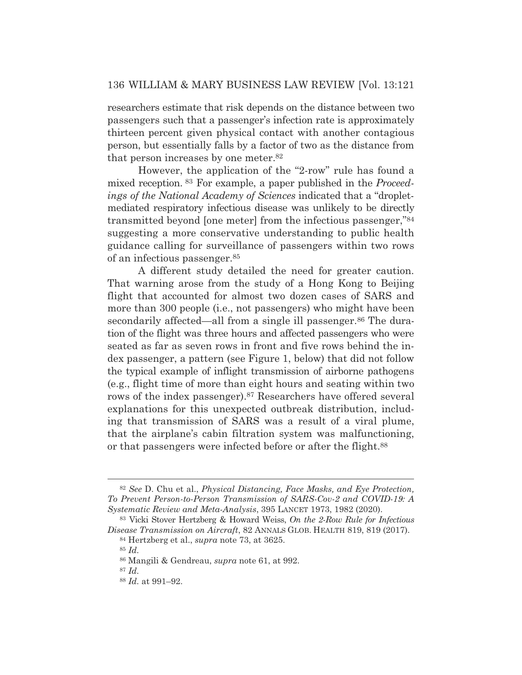researchers estimate that risk depends on the distance between two passengers such that a passenger's infection rate is approximately thirteen percent given physical contact with another contagious person, but essentially falls by a factor of two as the distance from that person increases by one meter.82

 However, the application of the "2-row" rule has found a mixed reception. 83 For example, a paper published in the *Proceedings of the National Academy of Sciences* indicated that a "dropletmediated respiratory infectious disease was unlikely to be directly transmitted beyond [one meter] from the infectious passenger,"84 suggesting a more conservative understanding to public health guidance calling for surveillance of passengers within two rows of an infectious passenger.85

 A different study detailed the need for greater caution. That warning arose from the study of a Hong Kong to Beijing flight that accounted for almost two dozen cases of SARS and more than 300 people (i.e., not passengers) who might have been secondarily affected—all from a single ill passenger.<sup>86</sup> The duration of the flight was three hours and affected passengers who were seated as far as seven rows in front and five rows behind the index passenger, a pattern (see Figure 1, below) that did not follow the typical example of inflight transmission of airborne pathogens (e.g., flight time of more than eight hours and seating within two rows of the index passenger).87 Researchers have offered several explanations for this unexpected outbreak distribution, including that transmission of SARS was a result of a viral plume, that the airplane's cabin filtration system was malfunctioning, or that passengers were infected before or after the flight.<sup>88</sup>

<sup>82</sup> *See* D. Chu et al., *Physical Distancing, Face Masks, and Eye Protection, To Prevent Person-to-Person Transmission of SARS-Cov-2 and COVID-19: A Systematic Review and Meta-Analysis*, 395 LANCET 1973, 1982 (2020).

<sup>83</sup> Vicki Stover Hertzberg & Howard Weiss, *On the 2-Row Rule for Infectious Disease Transmission on Aircraft*, 82 ANNALS GLOB. HEALTH 819, 819 (2017).

<sup>84</sup> Hertzberg et al., *supra* note 73, at 3625.

<sup>85</sup> *Id.*

<sup>86</sup> Mangili & Gendreau, *supra* note 61, at 992.

<sup>87</sup> *Id.*

<sup>88</sup> *Id.* at 991–92.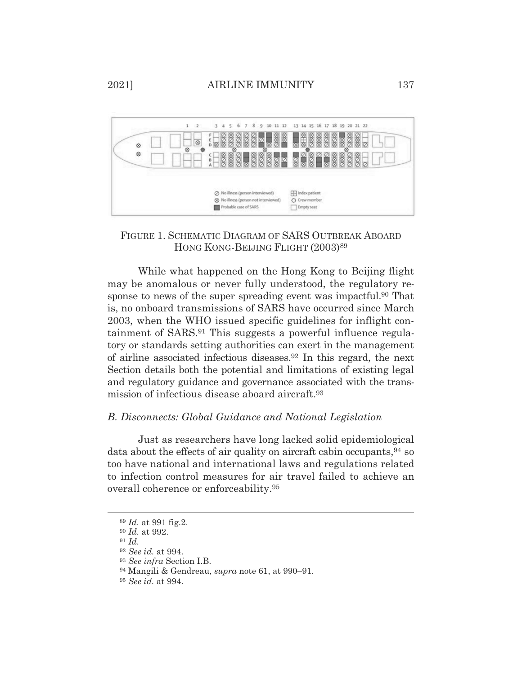

# FIGURE 1. SCHEMATIC DIAGRAM OF SARS OUTBREAK ABOARD HONG KONG-BEIJING FLIGHT (2003)<sup>89</sup>

 While what happened on the Hong Kong to Beijing flight may be anomalous or never fully understood, the regulatory response to news of the super spreading event was impactful.<sup>90</sup> That is, no onboard transmissions of SARS have occurred since March 2003, when the WHO issued specific guidelines for inflight containment of SARS.91 This suggests a powerful influence regulatory or standards setting authorities can exert in the management of airline associated infectious diseases.92 In this regard, the next Section details both the potential and limitations of existing legal and regulatory guidance and governance associated with the transmission of infectious disease aboard aircraft.93

# *B. Disconnects: Global Guidance and National Legislation*

 Just as researchers have long lacked solid epidemiological data about the effects of air quality on aircraft cabin occupants,  $94$  so too have national and international laws and regulations related to infection control measures for air travel failed to achieve an overall coherence or enforceability.95

<sup>89</sup> *Id.* at 991 fig.2.

<sup>90</sup> *Id.* at 992.

<sup>91</sup> *Id.*

<sup>92</sup> *See id.* at 994.

<sup>93</sup> *See infra* Section I.B.

<sup>94</sup> Mangili & Gendreau, *supra* note 61, at 990–91.

<sup>95</sup> *See id.* at 994.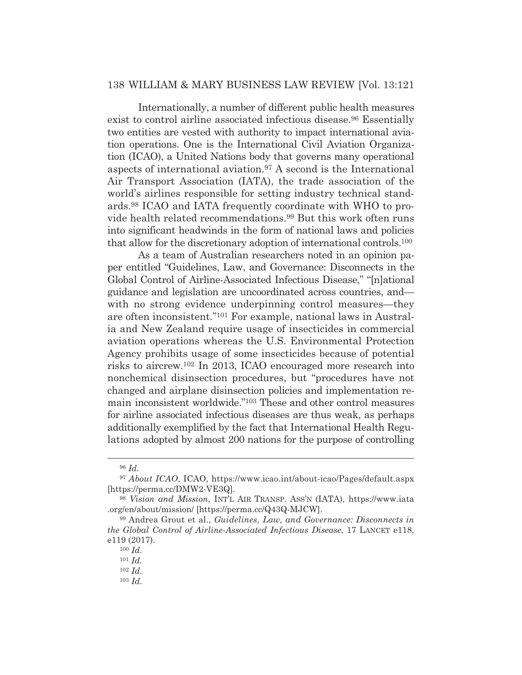Internationally, a number of different public health measures exist to control airline associated infectious disease.<sup>96</sup> Essentially two entities are vested with authority to impact international aviation operations. One is the International Civil Aviation Organization (ICAO), a United Nations body that governs many operational aspects of international aviation.97 A second is the International Air Transport Association (IATA), the trade association of the world's airlines responsible for setting industry technical standards.98 ICAO and IATA frequently coordinate with WHO to provide health related recommendations.99 But this work often runs into significant headwinds in the form of national laws and policies that allow for the discretionary adoption of international controls.100

 As a team of Australian researchers noted in an opinion paper entitled "Guidelines, Law, and Governance: Disconnects in the Global Control of Airline-Associated Infectious Disease," "[n]ational guidance and legislation are uncoordinated across countries, and with no strong evidence underpinning control measures—they are often inconsistent."101 For example, national laws in Australia and New Zealand require usage of insecticides in commercial aviation operations whereas the U.S. Environmental Protection Agency prohibits usage of some insecticides because of potential risks to aircrew.102 In 2013, ICAO encouraged more research into nonchemical disinsection procedures, but "procedures have not changed and airplane disinsection policies and implementation remain inconsistent worldwide."103 These and other control measures for airline associated infectious diseases are thus weak, as perhaps additionally exemplified by the fact that International Health Regulations adopted by almost 200 nations for the purpose of controlling

<sup>96</sup> *Id.*

<sup>97</sup> *About ICAO*, ICAO, https://www.icao.int/about-icao/Pages/default.aspx [https://perma.cc/DMW2-VE3Q].

<sup>98</sup> *Vision and Mission*, INT'L AIR TRANSP. ASS'N (IATA), https://www.iata .org/en/about/mission/ [https://perma.cc/Q43Q-MJCW].

<sup>99</sup> Andrea Grout et al., *Guidelines, Law, and Governance: Disconnects in the Global Control of Airline-Associated Infectious Disease*, 17 LANCET e118, e119 (2017).

<sup>100</sup> *Id.*

<sup>101</sup> *Id.*

<sup>102</sup> *Id.*

<sup>103</sup> *Id.*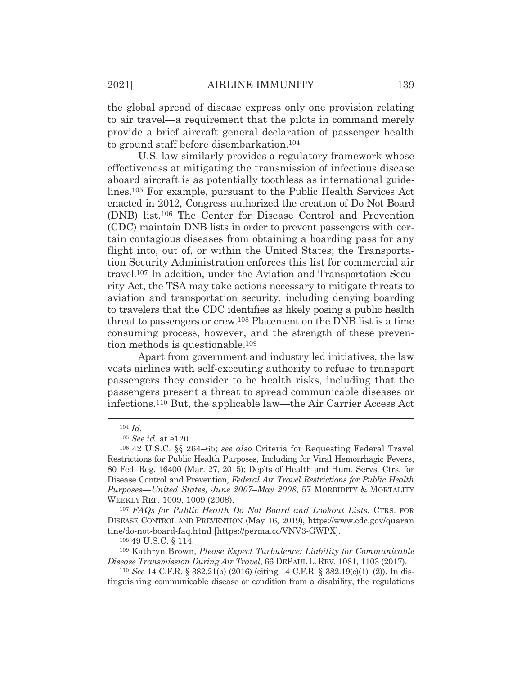the global spread of disease express only one provision relating to air travel—a requirement that the pilots in command merely provide a brief aircraft general declaration of passenger health to ground staff before disembarkation.104

 U.S. law similarly provides a regulatory framework whose effectiveness at mitigating the transmission of infectious disease aboard aircraft is as potentially toothless as international guidelines.105 For example, pursuant to the Public Health Services Act enacted in 2012, Congress authorized the creation of Do Not Board (DNB) list.106 The Center for Disease Control and Prevention (CDC) maintain DNB lists in order to prevent passengers with certain contagious diseases from obtaining a boarding pass for any flight into, out of, or within the United States; the Transportation Security Administration enforces this list for commercial air travel.107 In addition, under the Aviation and Transportation Security Act, the TSA may take actions necessary to mitigate threats to aviation and transportation security, including denying boarding to travelers that the CDC identifies as likely posing a public health threat to passengers or crew.108 Placement on the DNB list is a time consuming process, however, and the strength of these prevention methods is questionable.109

 Apart from government and industry led initiatives, the law vests airlines with self-executing authority to refuse to transport passengers they consider to be health risks, including that the passengers present a threat to spread communicable diseases or infections.110 But, the applicable law—the Air Carrier Access Act

<sup>107</sup> *FAQs for Public Health Do Not Board and Lookout Lists*, CTRS. FOR DISEASE CONTROL AND PREVENTION (May 16, 2019), https://www.cdc.gov/quaran tine/do-not-board-faq.html [https://perma.cc/VNV3-GWPX].

108 49 U.S.C. § 114.

109 Kathryn Brown, *Please Expect Turbulence: Liability for Communicable Disease Transmission During Air Travel*, 66 DEPAUL L. REV. 1081, 1103 (2017).

<sup>110</sup> *See* 14 C.F.R. § 382.21(b) (2016) (citing 14 C.F.R. § 382.19(c)(1)–(2)). In distinguishing communicable disease or condition from a disability, the regulations

<sup>104</sup> *Id.*

<sup>105</sup> *See id.* at e120.

<sup>106 42</sup> U.S.C. §§ 264–65; *see also* Criteria for Requesting Federal Travel Restrictions for Public Health Purposes, Including for Viral Hemorrhagic Fevers, 80 Fed. Reg. 16400 (Mar. 27, 2015); Dep'ts of Health and Hum. Servs. Ctrs. for Disease Control and Prevention, *Federal Air Travel Restrictions for Public Health Purposes—United States, June 2007*–*May 2008*, 57 MORBIDITY & MORTALITY WEEKLY REP. 1009, 1009 (2008).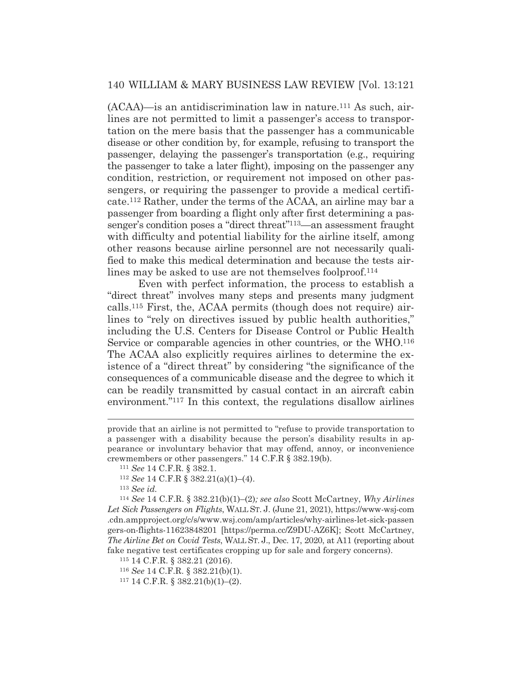$(ACAA)$ —is an antidiscrimination law in nature.<sup>111</sup> As such, airlines are not permitted to limit a passenger's access to transportation on the mere basis that the passenger has a communicable disease or other condition by, for example, refusing to transport the passenger, delaying the passenger's transportation (e.g., requiring the passenger to take a later flight), imposing on the passenger any condition, restriction, or requirement not imposed on other passengers, or requiring the passenger to provide a medical certificate.112 Rather, under the terms of the ACAA, an airline may bar a passenger from boarding a flight only after first determining a passenger's condition poses a "direct threat"113—an assessment fraught with difficulty and potential liability for the airline itself, among other reasons because airline personnel are not necessarily qualified to make this medical determination and because the tests airlines may be asked to use are not themselves foolproof.<sup>114</sup>

 Even with perfect information, the process to establish a "direct threat" involves many steps and presents many judgment calls.115 First, the, ACAA permits (though does not require) airlines to "rely on directives issued by public health authorities," including the U.S. Centers for Disease Control or Public Health Service or comparable agencies in other countries, or the WHO.116 The ACAA also explicitly requires airlines to determine the existence of a "direct threat" by considering "the significance of the consequences of a communicable disease and the degree to which it can be readily transmitted by casual contact in an aircraft cabin environment."117 In this context, the regulations disallow airlines

<sup>113</sup> *See id.*

<sup>114</sup> *See* 14 C.F.R. § 382.21(b)(1)–(2)*; see also* Scott McCartney, *Why Airlines Let Sick Passengers on Flights*, WALL ST. J. (June 21, 2021), https://www-wsj-com .cdn.ampproject.org/c/s/www.wsj.com/amp/articles/why-airlines-let-sick-passen gers-on-flights-11623848201 [https://perma.cc/Z9DU-AZ6K]; Scott McCartney, *The Airline Bet on Covid Tests*, WALL ST. J., Dec. 17, 2020, at A11 (reporting about fake negative test certificates cropping up for sale and forgery concerns).

115 14 C.F.R. § 382.21 (2016).

117 14 C.F.R. § 382.21(b)(1)–(2).

provide that an airline is not permitted to "refuse to provide transportation to a passenger with a disability because the person's disability results in appearance or involuntary behavior that may offend, annoy, or inconvenience crewmembers or other passengers." 14 C.F.R § 382.19(b). 111 *See* 14 C.F.R. § 382.1. 112 *See* 14 C.F.R § 382.21(a)(1)–(4).

<sup>116</sup> *See* 14 C.F.R. § 382.21(b)(1).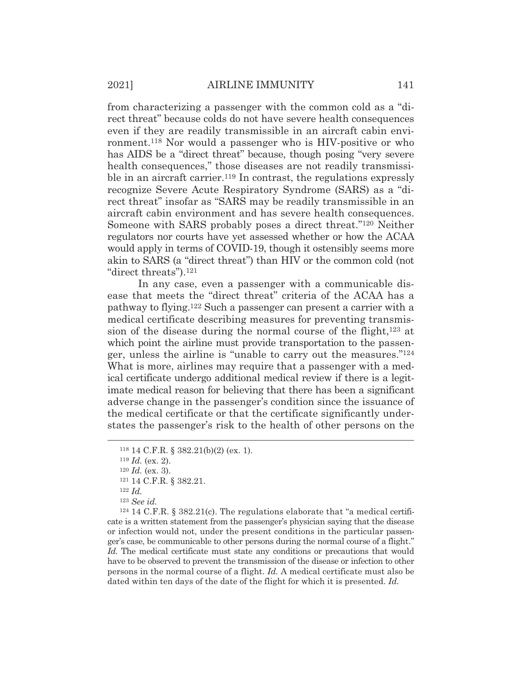from characterizing a passenger with the common cold as a "direct threat" because colds do not have severe health consequences even if they are readily transmissible in an aircraft cabin environment.118 Nor would a passenger who is HIV-positive or who has AIDS be a "direct threat" because, though posing "very severe health consequences," those diseases are not readily transmissible in an aircraft carrier.<sup>119</sup> In contrast, the regulations expressly recognize Severe Acute Respiratory Syndrome (SARS) as a "direct threat" insofar as "SARS may be readily transmissible in an aircraft cabin environment and has severe health consequences. Someone with SARS probably poses a direct threat."120 Neither regulators nor courts have yet assessed whether or how the ACAA would apply in terms of COVID-19, though it ostensibly seems more akin to SARS (a "direct threat") than HIV or the common cold (not "direct threats").121

 In any case, even a passenger with a communicable disease that meets the "direct threat" criteria of the ACAA has a pathway to flying.122 Such a passenger can present a carrier with a medical certificate describing measures for preventing transmission of the disease during the normal course of the flight,123 at which point the airline must provide transportation to the passenger, unless the airline is "unable to carry out the measures."124 What is more, airlines may require that a passenger with a medical certificate undergo additional medical review if there is a legitimate medical reason for believing that there has been a significant adverse change in the passenger's condition since the issuance of the medical certificate or that the certificate significantly understates the passenger's risk to the health of other persons on the

 $124$  14 C.F.R. § 382.21(c). The regulations elaborate that "a medical certificate is a written statement from the passenger's physician saying that the disease or infection would not, under the present conditions in the particular passenger's case, be communicable to other persons during the normal course of a flight." Id. The medical certificate must state any conditions or precautions that would have to be observed to prevent the transmission of the disease or infection to other persons in the normal course of a flight. *Id.* A medical certificate must also be dated within ten days of the date of the flight for which it is presented. *Id.*

<sup>118 14</sup> C.F.R. § 382.21(b)(2) (ex. 1).

<sup>119</sup> *Id.* (ex. 2).

<sup>120</sup> *Id.* (ex. 3). 121 14 C.F.R. § 382.21. 122 *Id.*

<sup>123</sup> *See id.*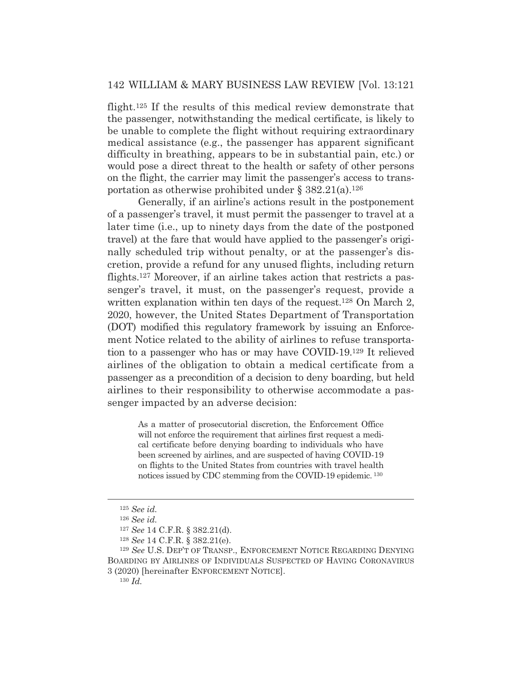flight.125 If the results of this medical review demonstrate that the passenger, notwithstanding the medical certificate, is likely to be unable to complete the flight without requiring extraordinary medical assistance (e.g., the passenger has apparent significant difficulty in breathing, appears to be in substantial pain, etc.) or would pose a direct threat to the health or safety of other persons on the flight, the carrier may limit the passenger's access to transportation as otherwise prohibited under  $\S 382.21(a)$ <sup>126</sup>

 Generally, if an airline's actions result in the postponement of a passenger's travel, it must permit the passenger to travel at a later time (i.e., up to ninety days from the date of the postponed travel) at the fare that would have applied to the passenger's originally scheduled trip without penalty, or at the passenger's discretion, provide a refund for any unused flights, including return flights.127 Moreover, if an airline takes action that restricts a passenger's travel, it must, on the passenger's request, provide a written explanation within ten days of the request.<sup>128</sup> On March 2, 2020, however, the United States Department of Transportation (DOT) modified this regulatory framework by issuing an Enforcement Notice related to the ability of airlines to refuse transportation to a passenger who has or may have COVID-19.129 It relieved airlines of the obligation to obtain a medical certificate from a passenger as a precondition of a decision to deny boarding, but held airlines to their responsibility to otherwise accommodate a passenger impacted by an adverse decision:

> As a matter of prosecutorial discretion, the Enforcement Office will not enforce the requirement that airlines first request a medical certificate before denying boarding to individuals who have been screened by airlines, and are suspected of having COVID-19 on flights to the United States from countries with travel health notices issued by CDC stemming from the COVID-19 epidemic. 130

<sup>125</sup> *See id.*

<sup>126</sup> *See id.*

<sup>127</sup> *See* 14 C.F.R. § 382.21(d).

<sup>128</sup> *See* 14 C.F.R. § 382.21(e).

<sup>129</sup> *See* U.S. DEP'T OF TRANSP., ENFORCEMENT NOTICE REGARDING DENYING BOARDING BY AIRLINES OF INDIVIDUALS SUSPECTED OF HAVING CORONAVIRUS 3 (2020) [hereinafter ENFORCEMENT NOTICE].

<sup>130</sup> *Id.*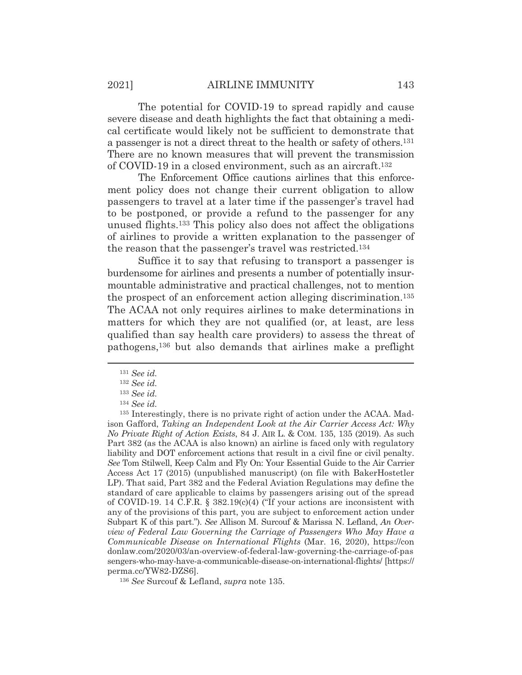The potential for COVID-19 to spread rapidly and cause severe disease and death highlights the fact that obtaining a medical certificate would likely not be sufficient to demonstrate that a passenger is not a direct threat to the health or safety of others.131 There are no known measures that will prevent the transmission of COVID-19 in a closed environment, such as an aircraft.132

 The Enforcement Office cautions airlines that this enforcement policy does not change their current obligation to allow passengers to travel at a later time if the passenger's travel had to be postponed, or provide a refund to the passenger for any unused flights.133 This policy also does not affect the obligations of airlines to provide a written explanation to the passenger of the reason that the passenger's travel was restricted.134

 Suffice it to say that refusing to transport a passenger is burdensome for airlines and presents a number of potentially insurmountable administrative and practical challenges, not to mention the prospect of an enforcement action alleging discrimination.135 The ACAA not only requires airlines to make determinations in matters for which they are not qualified (or, at least, are less qualified than say health care providers) to assess the threat of pathogens,136 but also demands that airlines make a preflight

<sup>131</sup> *See id.*

<sup>132</sup> *See id.*

<sup>133</sup> *See id.*

<sup>134</sup> *See id.*

<sup>135</sup> Interestingly, there is no private right of action under the ACAA. Madison Gafford, *Taking an Independent Look at the Air Carrier Access Act: Why No Private Right of Action Exists*, 84 J. AIR L. & COM. 135, 135 (2019). As such Part 382 (as the ACAA is also known) an airline is faced only with regulatory liability and DOT enforcement actions that result in a civil fine or civil penalty. *See* Tom Stilwell, Keep Calm and Fly On: Your Essential Guide to the Air Carrier Access Act 17 (2015) (unpublished manuscript) (on file with BakerHostetler LP). That said, Part 382 and the Federal Aviation Regulations may define the standard of care applicable to claims by passengers arising out of the spread of COVID-19. 14 C.F.R.  $\S$  382.19(c)(4) ("If your actions are inconsistent with any of the provisions of this part, you are subject to enforcement action under Subpart K of this part."). *See* Allison M. Surcouf & Marissa N. Lefland, *An Overview of Federal Law Governing the Carriage of Passengers Who May Have a Communicable Disease on International Flights* (Mar. 16, 2020), https://con donlaw.com/2020/03/an-overview-of-federal-law-governing-the-carriage-of-pas sengers-who-may-have-a-communicable-disease-on-international-flights/ [https:// perma.cc/YW82-DZS6].

<sup>136</sup> *See* Surcouf & Lefland, *supra* note 135.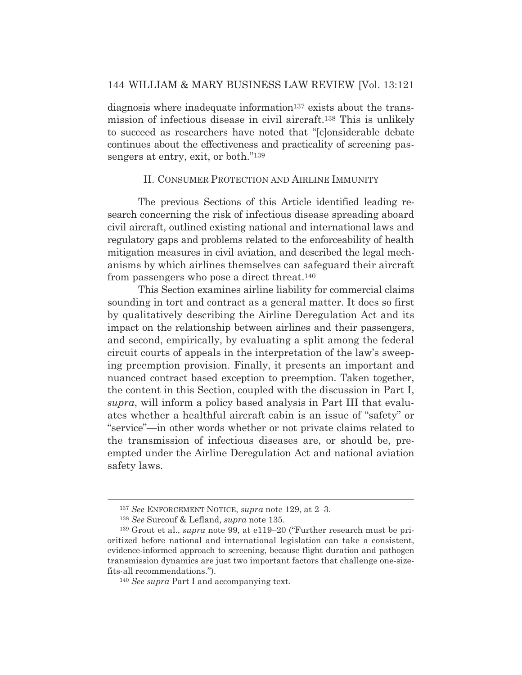diagnosis where inadequate information<sup>137</sup> exists about the transmission of infectious disease in civil aircraft.138 This is unlikely to succeed as researchers have noted that "[c]onsiderable debate continues about the effectiveness and practicality of screening passengers at entry, exit, or both."139

# II. CONSUMER PROTECTION AND AIRLINE IMMUNITY

 The previous Sections of this Article identified leading research concerning the risk of infectious disease spreading aboard civil aircraft, outlined existing national and international laws and regulatory gaps and problems related to the enforceability of health mitigation measures in civil aviation, and described the legal mechanisms by which airlines themselves can safeguard their aircraft from passengers who pose a direct threat.140

 This Section examines airline liability for commercial claims sounding in tort and contract as a general matter. It does so first by qualitatively describing the Airline Deregulation Act and its impact on the relationship between airlines and their passengers, and second, empirically, by evaluating a split among the federal circuit courts of appeals in the interpretation of the law's sweeping preemption provision. Finally, it presents an important and nuanced contract based exception to preemption. Taken together, the content in this Section, coupled with the discussion in Part I, *supra*, will inform a policy based analysis in Part III that evaluates whether a healthful aircraft cabin is an issue of "safety" or "service"—in other words whether or not private claims related to the transmission of infectious diseases are, or should be, preempted under the Airline Deregulation Act and national aviation safety laws.

<sup>137</sup> *See* ENFORCEMENT NOTICE, *supra* note 129, at 2–3.

<sup>138</sup> *See* Surcouf & Lefland, *supra* note 135.

<sup>139</sup> Grout et al., *supra* note 99, at e119–20 ("Further research must be prioritized before national and international legislation can take a consistent, evidence-informed approach to screening, because flight duration and pathogen transmission dynamics are just two important factors that challenge one-sizefits-all recommendations.").

<sup>140</sup> *See supra* Part I and accompanying text.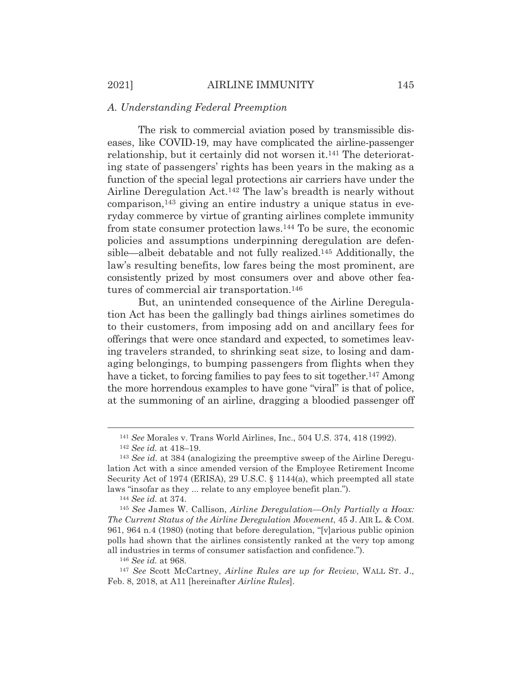#### *A. Understanding Federal Preemption*

 The risk to commercial aviation posed by transmissible diseases, like COVID-19, may have complicated the airline-passenger relationship, but it certainly did not worsen it.141 The deteriorating state of passengers' rights has been years in the making as a function of the special legal protections air carriers have under the Airline Deregulation Act.142 The law's breadth is nearly without comparison,143 giving an entire industry a unique status in everyday commerce by virtue of granting airlines complete immunity from state consumer protection laws.144 To be sure, the economic policies and assumptions underpinning deregulation are defensible—albeit debatable and not fully realized.145 Additionally, the law's resulting benefits, low fares being the most prominent, are consistently prized by most consumers over and above other features of commercial air transportation.146

 But, an unintended consequence of the Airline Deregulation Act has been the gallingly bad things airlines sometimes do to their customers, from imposing add on and ancillary fees for offerings that were once standard and expected, to sometimes leaving travelers stranded, to shrinking seat size, to losing and damaging belongings, to bumping passengers from flights when they have a ticket, to forcing families to pay fees to sit together.<sup>147</sup> Among the more horrendous example*s* to have gone "viral" is that of police, at the summoning of an airline, dragging a bloodied passenger off

<sup>141</sup> *See* Morales v. Trans World Airlines, Inc., 504 U.S. 374, 418 (1992). 142 *See id.* at 418–19.

<sup>143</sup> *See id.* at 384 (analogizing the preemptive sweep of the Airline Deregulation Act with a since amended version of the Employee Retirement Income Security Act of 1974 (ERISA), 29 U.S.C. § 1144(a), which preempted all state laws "insofar as they ... relate to any employee benefit plan."). 144 *See id.* at 374.

<sup>145</sup> *See* James W. Callison, *Airline Deregulation—Only Partially a Hoax: The Current Status of the Airline Deregulation Movement*, 45 J. AIR L. & COM. 961, 964 n.4 (1980) (noting that before deregulation, "[v]arious public opinion polls had shown that the airlines consistently ranked at the very top among all industries in terms of consumer satisfaction and confidence.").

<sup>146</sup> *See id.* at 968.

<sup>147</sup> *See* Scott McCartney, *Airline Rules are up for Review*, WALL ST. J., Feb. 8, 2018, at A11 [hereinafter *Airline Rules*].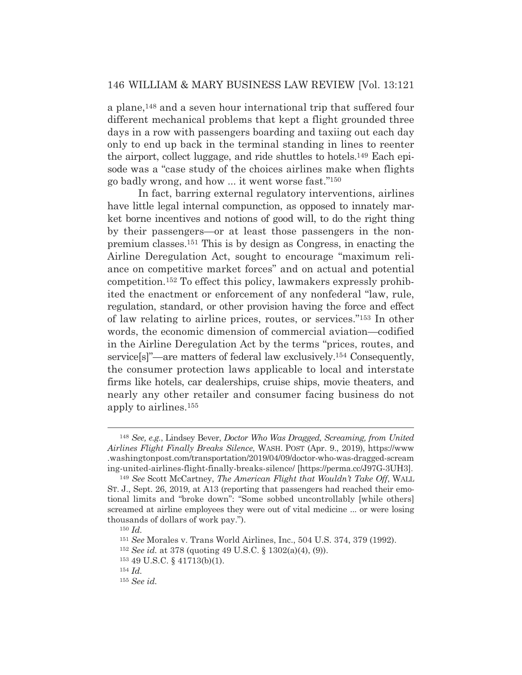a plane,<sup>148</sup> and a seven hour international trip that suffered four different mechanical problems that kept a flight grounded three days in a row with passengers boarding and taxiing out each day only to end up back in the terminal standing in lines to reenter the airport, collect luggage, and ride shuttles to hotels.149 Each episode was a "case study of the choices airlines make when flights go badly wrong, and how ... it went worse fast."150

 In fact, barring external regulatory interventions, airlines have little legal internal compunction, as opposed to innately market borne incentives and notions of good will, to do the right thing by their passengers—or at least those passengers in the nonpremium classes.151 This is by design as Congress, in enacting the Airline Deregulation Act, sought to encourage "maximum reliance on competitive market forces" and on actual and potential competition.152 To effect this policy, lawmakers expressly prohibited the enactment or enforcement of any nonfederal "law, rule, regulation, standard, or other provision having the force and effect of law relating to airline prices, routes, or services."153 In other words, the economic dimension of commercial aviation—codified in the Airline Deregulation Act by the terms "prices, routes, and service[s]"—are matters of federal law exclusively.154 Consequently, the consumer protection laws applicable to local and interstate firms like hotels, car dealerships, cruise ships, movie theaters, and nearly any other retailer and consumer facing business do not apply to airlines.155

<sup>148</sup> *See, e.g.*, Lindsey Bever, *Doctor Who Was Dragged, Screaming, from United Airlines Flight Finally Breaks Silence*, WASH. POST (Apr. 9., 2019), https://www .washingtonpost.com/transportation/2019/04/09/doctor-who-was-dragged-scream ing-united-airlines-flight-finally-breaks-silence/ [https://perma.cc/J97G-3UH3].

<sup>149</sup> *See* Scott McCartney, *The American Flight that Wouldn't Take Off*, WALL ST. J., Sept. 26, 2019, at A13 (reporting that passengers had reached their emotional limits and "broke down": "Some sobbed uncontrollably [while others] screamed at airline employees they were out of vital medicine ... or were losing thousands of dollars of work pay.").

<sup>150</sup> *Id.*

<sup>151</sup> *See* Morales v. Trans World Airlines, Inc., 504 U.S. 374, 379 (1992).

<sup>152</sup> *See id.* at 378 (quoting 49 U.S.C. § 1302(a)(4), (9)).

<sup>153 49</sup> U.S.C. § 41713(b)(1).

<sup>154</sup> *Id.*

<sup>155</sup> *See id.*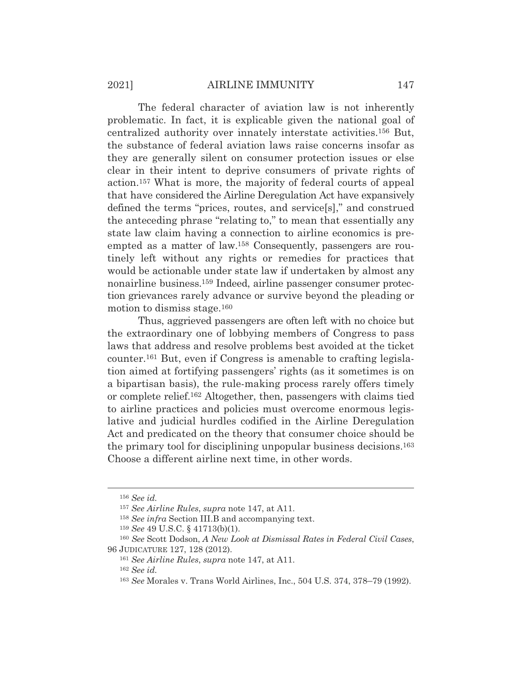The federal character of aviation law is not inherently problematic. In fact, it is explicable given the national goal of centralized authority over innately interstate activities.156 But, the substance of federal aviation laws raise concerns insofar as they are generally silent on consumer protection issues or else clear in their intent to deprive consumers of private rights of action.157 What is more, the majority of federal courts of appeal that have considered the Airline Deregulation Act have expansively defined the terms "prices, routes, and service[s]," and construed the anteceding phrase "relating to," to mean that essentially any state law claim having a connection to airline economics is preempted as a matter of law.158 Consequently, passengers are routinely left without any rights or remedies for practices that would be actionable under state law if undertaken by almost any nonairline business.159 Indeed, airline passenger consumer protection grievances rarely advance or survive beyond the pleading or motion to dismiss stage.160

 Thus, aggrieved passengers are often left with no choice but the extraordinary one of lobbying members of Congress to pass laws that address and resolve problems best avoided at the ticket counter.161 But, even if Congress is amenable to crafting legislation aimed at fortifying passengers' rights (as it sometimes is on a bipartisan basis), the rule-making process rarely offers timely or complete relief.162 Altogether, then, passengers with claims tied to airline practices and policies must overcome enormous legislative and judicial hurdles codified in the Airline Deregulation Act and predicated on the theory that consumer choice should be the primary tool for disciplining unpopular business decisions.163 Choose a different airline next time, in other words.

<sup>156</sup> *See id.*

<sup>157</sup> *See Airline Rules*, *supra* note 147, at A11.

<sup>158</sup> *See infra* Section III.B and accompanying text.

<sup>159</sup> *See* 49 U.S.C. § 41713(b)(1).

<sup>160</sup> *See* Scott Dodson, *A New Look at Dismissal Rates in Federal Civil Cases*, 96 JUDICATURE 127, 128 (2012).

<sup>161</sup> *See Airline Rules*, *supra* note 147, at A11.

<sup>162</sup> *See id.*

<sup>163</sup> *See* Morales v. Trans World Airlines, Inc., 504 U.S. 374, 378–79 (1992).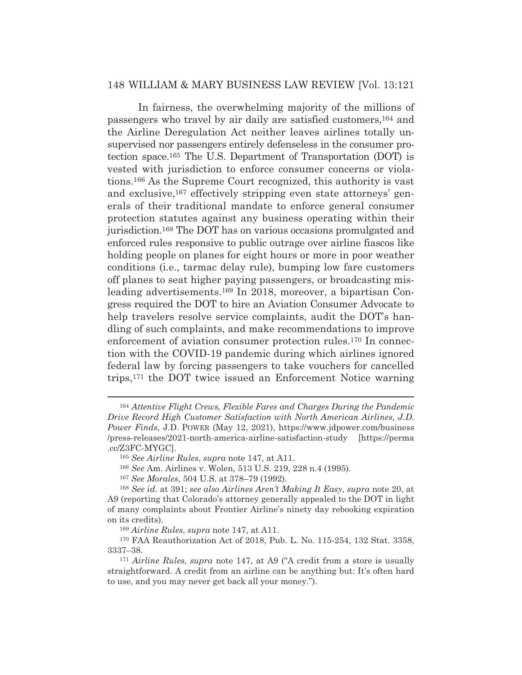In fairness, the overwhelming majority of the millions of passengers who travel by air daily are satisfied customers,164 and the Airline Deregulation Act neither leaves airlines totally unsupervised nor passengers entirely defenseless in the consumer protection space.165 The U.S. Department of Transportation (DOT) is vested with jurisdiction to enforce consumer concerns or violations.166 As the Supreme Court recognized, this authority is vast and exclusive,<sup>167</sup> effectively stripping even state attorneys' generals of their traditional mandate to enforce general consumer protection statutes against any business operating within their jurisdiction.168 The DOT has on various occasions promulgated and enforced rules responsive to public outrage over airline fiascos like holding people on planes for eight hours or more in poor weather conditions (i.e., tarmac delay rule), bumping low fare customers off planes to seat higher paying passengers, or broadcasting misleading advertisements.169 In 2018, moreover, a bipartisan Congress required the DOT to hire an Aviation Consumer Advocate to help travelers resolve service complaints, audit the DOT's handling of such complaints, and make recommendations to improve enforcement of aviation consumer protection rules.<sup>170</sup> In connection with the COVID-19 pandemic during which airlines ignored federal law by forcing passengers to take vouchers for cancelled trips,171 the DOT twice issued an Enforcement Notice warning

<sup>164</sup> *Attentive Flight Crews, Flexible Fares and Charges During the Pandemic Drive Record High Customer Satisfaction with North American Airlines, J.D. Power Finds*, J.D. POWER (May 12, 2021), https://www.jdpower.com/business /press-releases/2021-north-america-airline-satisfaction-study [https://perma .cc/Z3FC-MYGC].

<sup>165</sup> *See Airline Rules*, *supra* note 147, at A11.

<sup>166</sup> *See* Am. Airlines v. Wolen, 513 U.S. 219, 228 n.4 (1995).

<sup>167</sup> *See Morales*, 504 U.S. at 378–79 (1992).

<sup>168</sup> *See id.* at 391; *see also Airlines Aren't Making It Easy*, *supra* note 20, at A9 (reporting that Colorado's attorney generally appealed to the DOT in light of many complaints about Frontier Airline's ninety day rebooking expiration on its credits).

<sup>169</sup> *Airline Rules*, *supra* note 147, at A11.

<sup>170</sup> FAA Reauthorization Act of 2018, Pub. L. No. 115-254, 132 Stat. 3358, 3337–38.

<sup>171</sup> *Airline Rules*, *supra* note 147, at A9 ("A credit from a store is usually straightforward. A credit from an airline can be anything but: It's often hard to use, and you may never get back all your money.").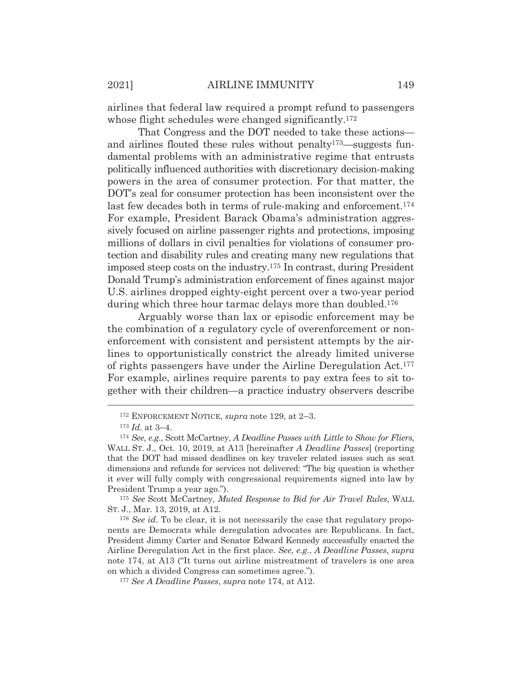airlines that federal law required a prompt refund to passengers whose flight schedules were changed significantly.<sup>172</sup>

 That Congress and the DOT needed to take these actions and airlines flouted these rules without penalty<sup>173</sup>—suggests fundamental problems with an administrative regime that entrusts politically influenced authorities with discretionary decision-making powers in the area of consumer protection. For that matter, the DOT's zeal for consumer protection has been inconsistent over the last few decades both in terms of rule-making and enforcement.<sup>174</sup> For example, President Barack Obama's administration aggressively focused on airline passenger rights and protections, imposing millions of dollars in civil penalties for violations of consumer protection and disability rules and creating many new regulations that imposed steep costs on the industry.175 In contrast, during President Donald Trump's administration enforcement of fines against major U.S. airlines dropped eighty-eight percent over a two-year period during which three hour tarmac delays more than doubled.<sup>176</sup>

 Arguably worse than lax or episodic enforcement may be the combination of a regulatory cycle of overenforcement or nonenforcement with consistent and persistent attempts by the airlines to opportunistically constrict the already limited universe of rights passengers have under the Airline Deregulation Act.177 For example, airlines require parents to pay extra fees to sit together with their children—a practice industry observers describe

<sup>175</sup> *See* Scott McCartney, *Muted Response to Bid for Air Travel Rules*, WALL ST. J., Mar. 13, 2019, at A12.

<sup>176</sup> See id. To be clear, it is not necessarily the case that regulatory proponents are Democrats while deregulation advocates are Republicans. In fact, President Jimmy Carter and Senator Edward Kennedy successfully enacted the Airline Deregulation Act in the first place. *See, e.g.*, *A Deadline Passes*, *supra* note 174, at A13 ("It turns out airline mistreatment of travelers is one area on which a divided Congress can sometimes agree.").

<sup>177</sup> *See A Deadline Passes*, *supra* note 174, at A12.

<sup>172</sup> ENFORCEMENT NOTICE, *supra* note 129, at 2–3.

<sup>173</sup> *Id.* at 3–4.

<sup>174</sup> *See, e.g.*, Scott McCartney, *A Deadline Passes with Little to Show for Fliers*, WALL ST. J., Oct. 10, 2019, at A13 [hereinafter *A Deadline Passes*] (reporting that the DOT had missed deadlines on key traveler related issues such as seat dimensions and refunds for services not delivered: "The big question is whether it ever will fully comply with congressional requirements signed into law by President Trump a year ago.").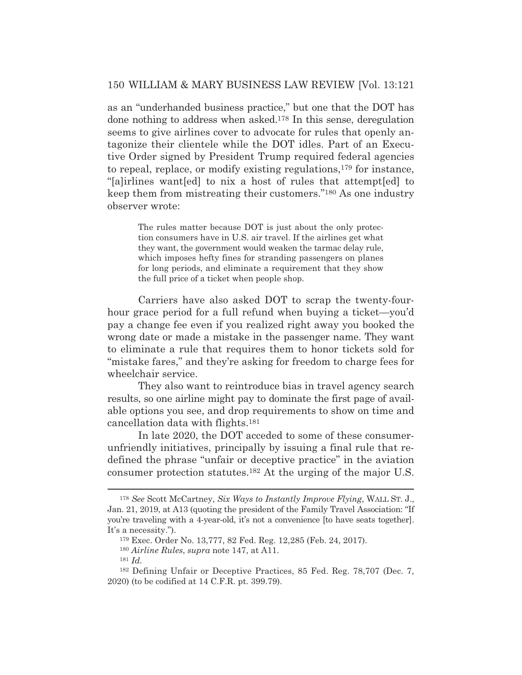as an "underhanded business practice," but one that the DOT has done nothing to address when asked.178 In this sense, deregulation seems to give airlines cover to advocate for rules that openly antagonize their clientele while the DOT idles. Part of an Executive Order signed by President Trump required federal agencies to repeal, replace, or modify existing regulations,179 for instance, "[a]irlines want[ed] to nix a host of rules that attempt[ed] to keep them from mistreating their customers."180 As one industry observer wrote:

> The rules matter because DOT is just about the only protection consumers have in U.S. air travel. If the airlines get what they want, the government would weaken the tarmac delay rule, which imposes hefty fines for stranding passengers on planes for long periods, and eliminate a requirement that they show the full price of a ticket when people shop.

 Carriers have also asked DOT to scrap the twenty-fourhour grace period for a full refund when buying a ticket—you'd pay a change fee even if you realized right away you booked the wrong date or made a mistake in the passenger name. They want to eliminate a rule that requires them to honor tickets sold for "mistake fares," and they're asking for freedom to charge fees for wheelchair service.

 They also want to reintroduce bias in travel agency search results, so one airline might pay to dominate the first page of available options you see, and drop requirements to show on time and cancellation data with flights.181

 In late 2020, the DOT acceded to some of these consumerunfriendly initiatives, principally by issuing a final rule that redefined the phrase "unfair or deceptive practice" in the aviation consumer protection statutes.182 At the urging of the major U.S.

<sup>178</sup> *See* Scott McCartney, *Six Ways to Instantly Improve Flying*, WALL ST. J., Jan. 21, 2019, at A13 (quoting the president of the Family Travel Association: "If you're traveling with a 4-year-old, it's not a convenience [to have seats together]. It's a necessity.").

<sup>179</sup> Exec. Order No. 13,777, 82 Fed. Reg. 12,285 (Feb. 24, 2017).

<sup>180</sup> *Airline Rules*, *supra* note 147, at A11.

<sup>181</sup> *Id.*

<sup>182</sup> Defining Unfair or Deceptive Practices, 85 Fed. Reg. 78,707 (Dec. 7, 2020) (to be codified at 14 C.F.R. pt. 399.79).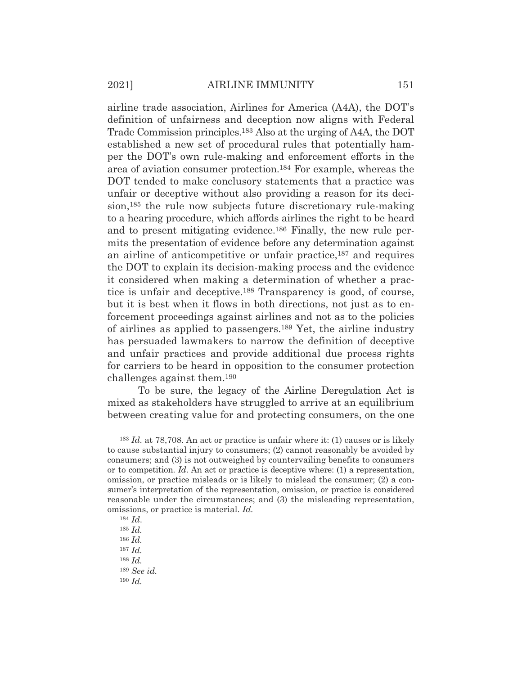airline trade association, Airlines for America (A4A), the DOT's definition of unfairness and deception now aligns with Federal Trade Commission principles.183 Also at the urging of A4A, the DOT established a new set of procedural rules that potentially hamper the DOT's own rule-making and enforcement efforts in the area of aviation consumer protection.184 For example, whereas the DOT tended to make conclusory statements that a practice was unfair or deceptive without also providing a reason for its decision,185 the rule now subjects future discretionary rule-making to a hearing procedure, which affords airlines the right to be heard and to present mitigating evidence.186 Finally, the new rule permits the presentation of evidence before any determination against an airline of anticompetitive or unfair practice,187 and requires the DOT to explain its decision-making process and the evidence it considered when making a determination of whether a practice is unfair and deceptive.188 Transparency is good, of course, but it is best when it flows in both directions, not just as to enforcement proceedings against airlines and not as to the policies of airlines as applied to passengers.189 Yet, the airline industry has persuaded lawmakers to narrow the definition of deceptive and unfair practices and provide additional due process rights for carriers to be heard in opposition to the consumer protection challenges against them.190

 To be sure, the legacy of the Airline Deregulation Act is mixed as stakeholders have struggled to arrive at an equilibrium between creating value for and protecting consumers, on the one

<sup>183</sup> *Id.* at 78,708. An act or practice is unfair where it: (1) causes or is likely to cause substantial injury to consumers; (2) cannot reasonably be avoided by consumers; and (3) is not outweighed by countervailing benefits to consumers or to competition. *Id*. An act or practice is deceptive where: (1) a representation, omission, or practice misleads or is likely to mislead the consumer; (2) a consumer's interpretation of the representation, omission, or practice is considered reasonable under the circumstances; and (3) the misleading representation, omissions, or practice is material. *Id.*

<sup>184</sup> *Id*.

<sup>185</sup> *Id.*

<sup>186</sup> *Id.*

<sup>187</sup> *Id.*

<sup>188</sup> *Id.*

<sup>189</sup> *See id.*

<sup>190</sup> *Id.*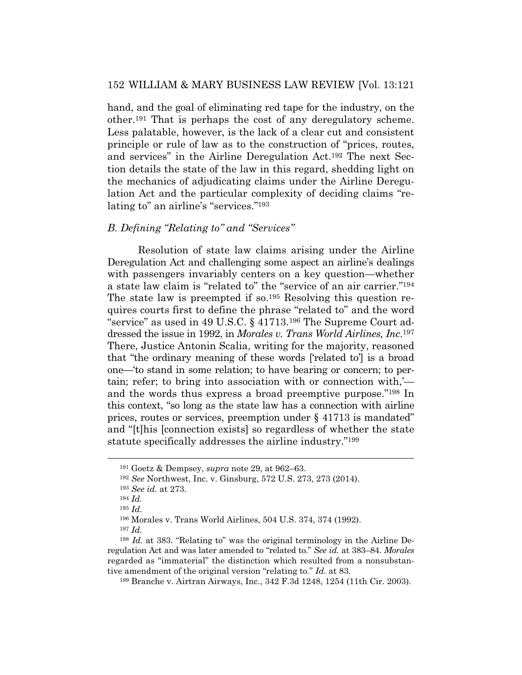hand, and the goal of eliminating red tape for the industry, on the other.191 That is perhaps the cost of any deregulatory scheme. Less palatable, however, is the lack of a clear cut and consistent principle or rule of law as to the construction of "prices, routes, and services" in the Airline Deregulation Act.192 The next Section details the state of the law in this regard, shedding light on the mechanics of adjudicating claims under the Airline Deregulation Act and the particular complexity of deciding claims "relating to" an airline's "services."193

#### *B. Defining "Relating to" and "Services"*

 Resolution of state law claims arising under the Airline Deregulation Act and challenging some aspect an airline's dealings with passengers invariably centers on a key question—whether a state law claim is "related to" the "service of an air carrier."194 The state law is preempted if so.195 Resolving this question requires courts first to define the phrase "related to" and the word "service" as used in 49 U.S.C. § 41713.196 The Supreme Court addressed the issue in 1992, in *Morales v. Trans World Airlines, Inc*.197 There, Justice Antonin Scalia, writing for the majority, reasoned that "the ordinary meaning of these words ['related to'] is a broad one—'to stand in some relation; to have bearing or concern; to pertain; refer; to bring into association with or connection with,' and the words thus express a broad preemptive purpose."198 In this context, "so long as the state law has a connection with airline prices, routes or services, preemption under § 41713 is mandated" and "[t]his [connection exists] so regardless of whether the state statute specifically addresses the airline industry."199

<sup>197</sup> *Id.*

199 Branche v. Airtran Airways, Inc., 342 F.3d 1248, 1254 (11th Cir. 2003).

<sup>191</sup> Goetz & Dempsey, *supra* note 29, at 962–63.

<sup>192</sup> *See* Northwest, Inc. v. Ginsburg, 572 U.S. 273, 273 (2014).

<sup>193</sup> *See id.* at 273.

<sup>194</sup> *Id.*

<sup>195</sup> *Id.*

<sup>196</sup> Morales v. Trans World Airlines, 504 U.S. 374, 374 (1992).

<sup>198</sup> *Id.* at 383. "Relating to" was the original terminology in the Airline Deregulation Act and was later amended to "related to." *See id.* at 383–84. *Morales*  regarded as "immaterial" the distinction which resulted from a nonsubstantive amendment of the original version "relating to." *Id.* at 83.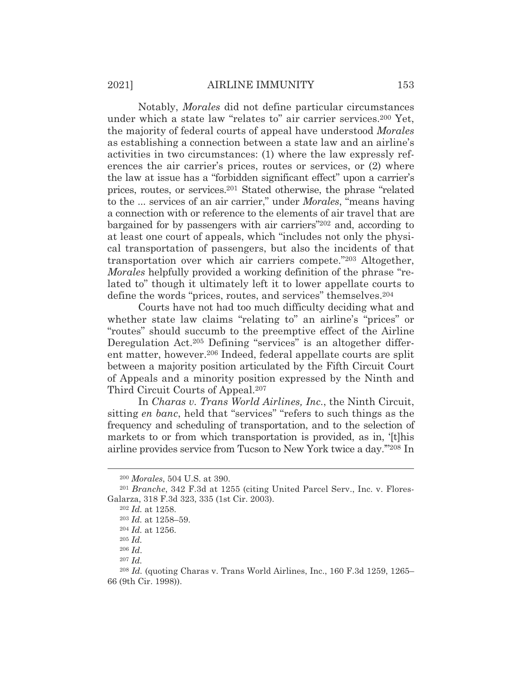Notably, *Morales* did not define particular circumstances under which a state law "relates to" air carrier services.200 Yet, the majority of federal courts of appeal have understood *Morales*  as establishing a connection between a state law and an airline's activities in two circumstances: (1) where the law expressly references the air carrier's prices, routes or services, or (2) where the law at issue has a "forbidden significant effect" upon a carrier's prices, routes, or services.201 Stated otherwise, the phrase "related to the ... services of an air carrier," under *Morales*, "means having a connection with or reference to the elements of air travel that are bargained for by passengers with air carriers"202 and, according to at least one court of appeals, which "includes not only the physical transportation of passengers, but also the incidents of that transportation over which air carriers compete."203 Altogether, *Morales* helpfully provided a working definition of the phrase "related to" though it ultimately left it to lower appellate courts to define the words "prices, routes, and services" themselves.204

 Courts have not had too much difficulty deciding what and whether state law claims "relating to" an airline's "prices" or "routes" should succumb to the preemptive effect of the Airline Deregulation Act.205 Defining "services" is an altogether different matter, however.206 Indeed, federal appellate courts are split between a majority position articulated by the Fifth Circuit Court of Appeals and a minority position expressed by the Ninth and Third Circuit Courts of Appeal.207

 In *Charas v. Trans World Airlines, Inc.*, the Ninth Circuit, sitting *en banc*, held that "services" "refers to such things as the frequency and scheduling of transportation, and to the selection of markets to or from which transportation is provided, as in, '[t]his airline provides service from Tucson to New York twice a day.'"208 In

<sup>200</sup> *Morales*, 504 U.S. at 390.

<sup>201</sup> *Branche*, 342 F.3d at 1255 (citing United Parcel Serv., Inc. v. Flores-Galarza, 318 F.3d 323, 335 (1st Cir. 2003).

<sup>202</sup> *Id.* at 1258.

<sup>203</sup> *Id.* at 1258–59.

<sup>204</sup> *Id.* at 1256.

<sup>205</sup> *Id.*

<sup>206</sup> *Id*.

<sup>207</sup> *Id.*

<sup>208</sup> *Id.* (quoting Charas v. Trans World Airlines, Inc., 160 F.3d 1259, 1265– 66 (9th Cir. 1998)).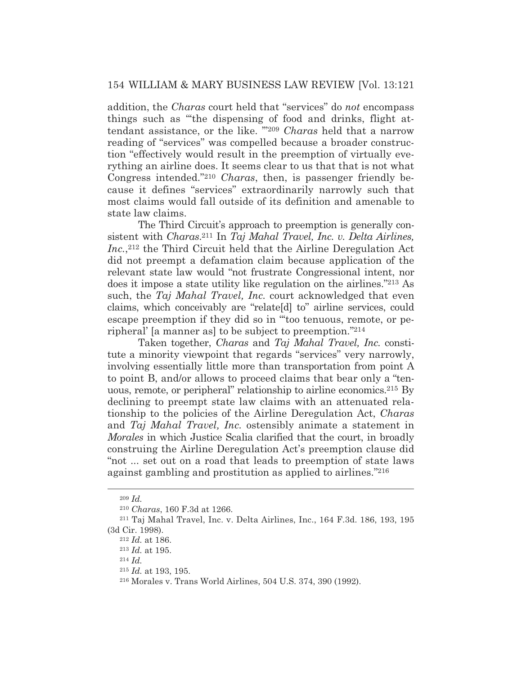addition, the *Charas* court held that "services" do *not* encompass things such as "'the dispensing of food and drinks, flight attendant assistance, or the like. '"209 *Charas* held that a narrow reading of "services" was compelled because a broader construction "effectively would result in the preemption of virtually everything an airline does. It seems clear to us that that is not what Congress intended."210 *Charas*, then, is passenger friendly because it defines "services" extraordinarily narrowly such that most claims would fall outside of its definition and amenable to state law claims.

 The Third Circuit's approach to preemption is generally consistent with *Charas*.211 In *Taj Mahal Travel, Inc. v. Delta Airlines,*  Inc.,<sup>212</sup> the Third Circuit held that the Airline Deregulation Act did not preempt a defamation claim because application of the relevant state law would "not frustrate Congressional intent, nor does it impose a state utility like regulation on the airlines."213 As such, the *Taj Mahal Travel, Inc.* court acknowledged that even claims, which conceivably are "relate[d] to" airline services, could escape preemption if they did so in "'too tenuous, remote, or peripheral' [a manner as] to be subject to preemption."214

 Taken together, *Charas* and *Taj Mahal Travel, Inc.* constitute a minority viewpoint that regards "services" very narrowly, involving essentially little more than transportation from point A to point B, and/or allows to proceed claims that bear only a "tenuous, remote, or peripheral" relationship to airline economics.215 By declining to preempt state law claims with an attenuated relationship to the policies of the Airline Deregulation Act, *Charas* and *Taj Mahal Travel, Inc.* ostensibly animate a statement in *Morales* in which Justice Scalia clarified that the court, in broadly construing the Airline Deregulation Act's preemption clause did "not ... set out on a road that leads to preemption of state laws against gambling and prostitution as applied to airlines."216

<sup>209</sup> *Id.*

<sup>210</sup> *Charas*, 160 F.3d at 1266. 211 Taj Mahal Travel, Inc. v. Delta Airlines, Inc., 164 F.3d. 186, 193, 195 (3d Cir. 1998). 212 *Id.* at 186.

<sup>213</sup> *Id.* at 195. 214 *Id.*

<sup>215</sup> *Id.* at 193, 195.

<sup>216</sup> Morales v. Trans World Airlines, 504 U.S. 374, 390 (1992).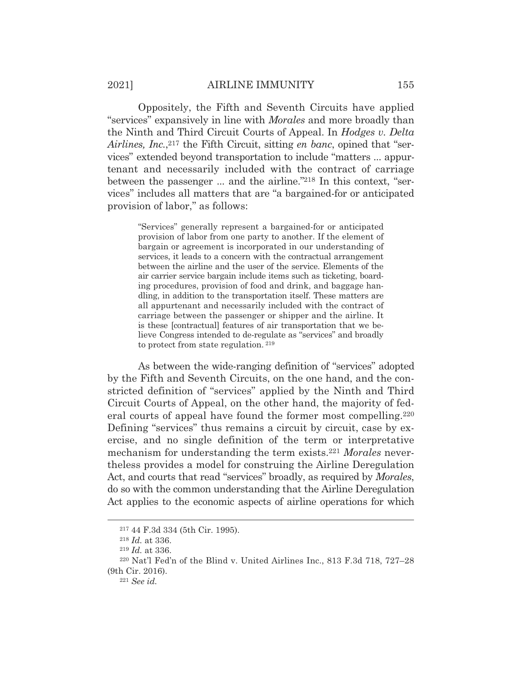Oppositely, the Fifth and Seventh Circuits have applied "services" expansively in line with *Morales* and more broadly than the Ninth and Third Circuit Courts of Appeal. In *Hodges v. Delta Airlines, Inc.*, 217 the Fifth Circuit, sitting *en banc*, opined that "services" extended beyond transportation to include "matters ... appurtenant and necessarily included with the contract of carriage between the passenger ... and the airline."218 In this context, "services" includes all matters that are "a bargained-for or anticipated provision of labor," as follows:

"Services" generally represent a bargained-for or anticipated provision of labor from one party to another. If the element of bargain or agreement is incorporated in our understanding of services, it leads to a concern with the contractual arrangement between the airline and the user of the service. Elements of the air carrier service bargain include items such as ticketing, boarding procedures, provision of food and drink, and baggage handling, in addition to the transportation itself. These matters are all appurtenant and necessarily included with the contract of carriage between the passenger or shipper and the airline. It is these [contractual] features of air transportation that we believe Congress intended to de-regulate as "services" and broadly to protect from state regulation. 219

 As between the wide-ranging definition of "services" adopted by the Fifth and Seventh Circuits, on the one hand, and the constricted definition of "services" applied by the Ninth and Third Circuit Courts of Appeal, on the other hand, the majority of federal courts of appeal have found the former most compelling.220 Defining "services" thus remains a circuit by circuit, case by exercise, and no single definition of the term or interpretative mechanism for understanding the term exists.221 *Morales* nevertheless provides a model for construing the Airline Deregulation Act, and courts that read "services" broadly, as required by *Morales*, do so with the common understanding that the Airline Deregulation Act applies to the economic aspects of airline operations for which

<sup>217 44</sup> F.3d 334 (5th Cir. 1995).

<sup>218</sup> *Id.* at 336.

<sup>219</sup> *Id.* at 336.

<sup>220</sup> Nat'l Fed'n of the Blind v. United Airlines Inc., 813 F.3d 718, 727–28 (9th Cir. 2016). 221 *See id.*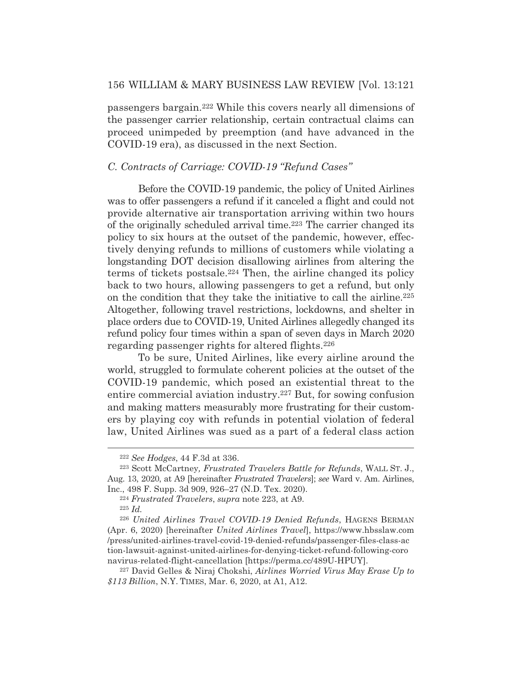passengers bargain.222 While this covers nearly all dimensions of the passenger carrier relationship, certain contractual claims can proceed unimpeded by preemption (and have advanced in the COVID-19 era), as discussed in the next Section.

#### *C. Contracts of Carriage: COVID-19 "Refund Cases"*

 Before the COVID-19 pandemic, the policy of United Airlines was to offer passengers a refund if it canceled a flight and could not provide alternative air transportation arriving within two hours of the originally scheduled arrival time.223 The carrier changed its policy to six hours at the outset of the pandemic, however, effectively denying refunds to millions of customers while violating a longstanding DOT decision disallowing airlines from altering the terms of tickets postsale.224 Then, the airline changed its policy back to two hours, allowing passengers to get a refund, but only on the condition that they take the initiative to call the airline.225 Altogether, following travel restrictions, lockdowns, and shelter in place orders due to COVID-19, United Airlines allegedly changed its refund policy four times within a span of seven days in March 2020 regarding passenger rights for altered flights.226

 To be sure, United Airlines, like every airline around the world, struggled to formulate coherent policies at the outset of the COVID-19 pandemic, which posed an existential threat to the entire commercial aviation industry.227 But, for sowing confusion and making matters measurably more frustrating for their customers by playing coy with refunds in potential violation of federal law, United Airlines was sued as a part of a federal class action

<sup>222</sup> *See Hodges*, 44 F.3d at 336.

<sup>223</sup> Scott McCartney*, Frustrated Travelers Battle for Refunds*, WALL ST. J., Aug. 13, 2020, at A9 [hereinafter *Frustrated Travelers*]; *see* Ward v. Am. Airlines,

Inc., 498 F. Supp. 3d 909, 926–27 (N.D. Tex. 2020). 224 *Frustrated Travelers*, *supra* note 223, at A9.

<sup>225</sup> *Id.*

<sup>226</sup> *United Airlines Travel COVID-19 Denied Refunds*, HAGENS BERMAN (Apr. 6, 2020) [hereinafter *United Airlines Travel*], https://www.hbsslaw.com /press/united-airlines-travel-covid-19-denied-refunds/passenger-files-class-ac tion-lawsuit-against-united-airlines-for-denying-ticket-refund-following-coro navirus-related-flight-cancellation [https://perma.cc/489U-HPUY].

<sup>227</sup> David Gelles & Niraj Chokshi, *Airlines Worried Virus May Erase Up to \$113 Billion*, N.Y. TIMES, Mar. 6, 2020, at A1, A12.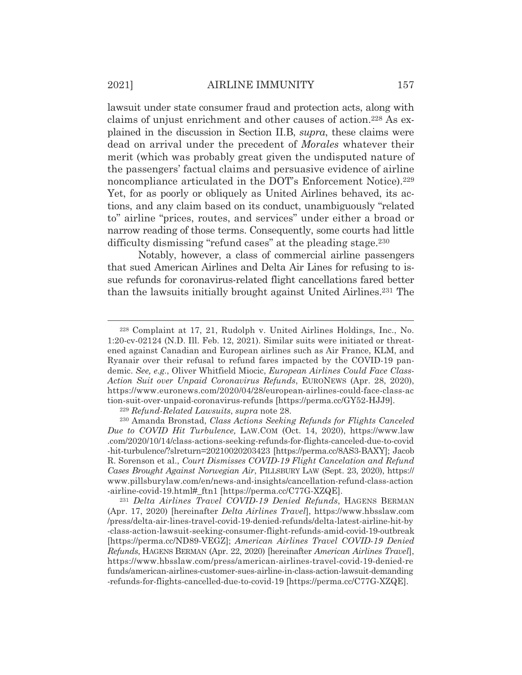lawsuit under state consumer fraud and protection acts, along with claims of unjust enrichment and other causes of action.228 As explained in the discussion in Section II.B, *supra*, these claims were dead on arrival under the precedent of *Morales* whatever their merit (which was probably great given the undisputed nature of the passengers' factual claims and persuasive evidence of airline noncompliance articulated in the DOT's Enforcement Notice).<sup>229</sup> Yet, for as poorly or obliquely as United Airlines behaved, its actions, and any claim based on its conduct, unambiguously "related to" airline "prices, routes, and services" under either a broad or narrow reading of those terms. Consequently, some courts had little difficulty dismissing "refund cases" at the pleading stage.<sup>230</sup>

 Notably, however, a class of commercial airline passengers that sued American Airlines and Delta Air Lines for refusing to issue refunds for coronavirus-related flight cancellations fared better than the lawsuits initially brought against United Airlines.231 The

<sup>231</sup> *Delta Airlines Travel COVID-19 Denied Refunds*, HAGENS BERMAN (Apr. 17, 2020) [hereinafter *Delta Airlines Travel*], https://www.hbsslaw.com /press/delta-air-lines-travel-covid-19-denied-refunds/delta-latest-airline-hit-by -class-action-lawsuit-seeking-consumer-flight-refunds-amid-covid-19-outbreak [https://perma.cc/ND89-VEGZ]; *American Airlines Travel COVID-19 Denied Refunds*, HAGENS BERMAN (Apr. 22, 2020) [hereinafter *American Airlines Travel*], https://www.hbsslaw.com/press/american-airlines-travel-covid-19-denied-re funds/american-airlines-customer-sues-airline-in-class-action-lawsuit-demanding -refunds-for-flights-cancelled-due-to-covid-19 [https://perma.cc/C77G-XZQE].

<sup>228</sup> Complaint at 17, 21, Rudolph v. United Airlines Holdings, Inc., No. 1:20-cv-02124 (N.D. Ill. Feb. 12, 2021). Similar suits were initiated or threatened against Canadian and European airlines such as Air France, KLM, and Ryanair over their refusal to refund fares impacted by the COVID-19 pandemic. *See, e.g.*, Oliver Whitfield Miocic, *European Airlines Could Face Class-Action Suit over Unpaid Coronavirus Refunds*, EURONEWS (Apr. 28, 2020), https://www.euronews.com/2020/04/28/european-airlines-could-face-class-ac tion-suit-over-unpaid-coronavirus-refunds [https://perma.cc/GY52-HJJ9].

<sup>229</sup> *Refund-Related Lawsuits*, *supra* note 28.

<sup>230</sup> Amanda Bronstad, *Class Actions Seeking Refunds for Flights Canceled Due to COVID Hit Turbulence,* LAW.COM (Oct. 14, 2020), https://www.law .com/2020/10/14/class-actions-seeking-refunds-for-flights-canceled-due-to-covid -hit-turbulence/?slreturn=20210020203423 [https://perma.cc/8AS3-BAXY]; Jacob R. Sorenson et al., *Court Dismisses COVID-19 Flight Cancelation and Refund Cases Brought Against Norwegian Air*, PILLSBURY LAW (Sept. 23, 2020), https:// www.pillsburylaw.com/en/news-and-insights/cancellation-refund-class-action -airline-covid-19.html#\_ftn1 [https://perma.cc/C77G-XZQE].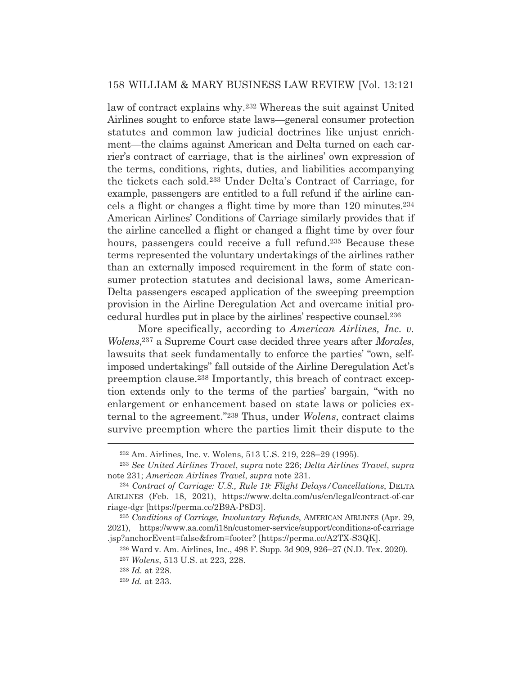law of contract explains why.232 Whereas the suit against United Airlines sought to enforce state laws—general consumer protection statutes and common law judicial doctrines like unjust enrichment—the claims against American and Delta turned on each carrier's contract of carriage, that is the airlines' own expression of the terms, conditions, rights, duties, and liabilities accompanying the tickets each sold.233 Under Delta's Contract of Carriage, for example, passengers are entitled to a full refund if the airline cancels a flight or changes a flight time by more than 120 minutes.234 American Airlines' Conditions of Carriage similarly provides that if the airline cancelled a flight or changed a flight time by over four hours, passengers could receive a full refund.<sup>235</sup> Because these terms represented the voluntary undertakings of the airlines rather than an externally imposed requirement in the form of state consumer protection statutes and decisional laws, some American-Delta passengers escaped application of the sweeping preemption provision in the Airline Deregulation Act and overcame initial procedural hurdles put in place by the airlines' respective counsel.236

 More specifically, according to *American Airlines, Inc. v. Wolens*, 237 a Supreme Court case decided three years after *Morales*, lawsuits that seek fundamentally to enforce the parties' "own, selfimposed undertakings" fall outside of the Airline Deregulation Act's preemption clause.238 Importantly, this breach of contract exception extends only to the terms of the parties' bargain, "with no enlargement or enhancement based on state laws or policies external to the agreement."239 Thus, under *Wolens*, contract claims survive preemption where the parties limit their dispute to the

<sup>232</sup> Am. Airlines, Inc. v. Wolens, 513 U.S. 219, 228–29 (1995).

<sup>233</sup> *See United Airlines Travel*, *supra* note 226; *Delta Airlines Travel*, *supra* note 231; *American Airlines Travel*, *supra* note 231.

<sup>234</sup> *Contract of Carriage: U.S., Rule 19: Flight Delays/Cancellations*, DELTA AIRLINES (Feb. 18, 2021), https://www.delta.com/us/en/legal/contract-of-car riage-dgr [https://perma.cc/2B9A-P8D3].

<sup>235</sup> *Conditions of Carriage, Involuntary Refunds*, AMERICAN AIRLINES (Apr. 29, 2021), https://www.aa.com/i18n/customer-service/support/conditions-of-carriage .jsp?anchorEvent=false&from=footer? [https://perma.cc/A2TX-S3QK].

<sup>236</sup> Ward v. Am. Airlines, Inc., 498 F. Supp. 3d 909, 926–27 (N.D. Tex. 2020).

<sup>237</sup> *Wolens*, 513 U.S. at 223, 228.

<sup>238</sup> *Id.* at 228.

<sup>239</sup> *Id.* at 233.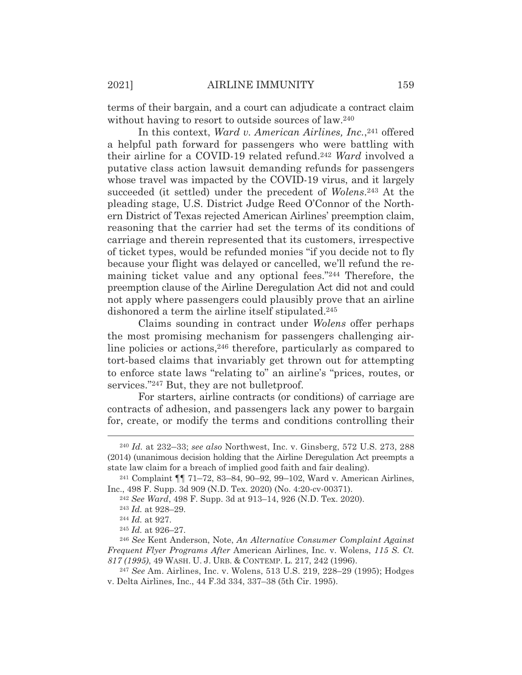terms of their bargain, and a court can adjudicate a contract claim without having to resort to outside sources of law.<sup>240</sup>

In this context, *Ward v. American Airlines, Inc.*,<sup>241</sup> offered a helpful path forward for passengers who were battling with their airline for a COVID-19 related refund.242 *Ward* involved a putative class action lawsuit demanding refunds for passengers whose travel was impacted by the COVID-19 virus, and it largely succeeded (it settled) under the precedent of *Wolens*.243 At the pleading stage, U.S. District Judge Reed O'Connor of the Northern District of Texas rejected American Airlines' preemption claim, reasoning that the carrier had set the terms of its conditions of carriage and therein represented that its customers, irrespective of ticket types, would be refunded monies "if you decide not to fly because your flight was delayed or cancelled, we'll refund the remaining ticket value and any optional fees."244 Therefore, the preemption clause of the Airline Deregulation Act did not and could not apply where passengers could plausibly prove that an airline dishonored a term the airline itself stipulated.245

 Claims sounding in contract under *Wolens* offer perhaps the most promising mechanism for passengers challenging airline policies or actions,<sup>246</sup> therefore, particularly as compared to tort-based claims that invariably get thrown out for attempting to enforce state laws "relating to" an airline's "prices, routes, or services."<sup>247</sup> But, they are not bulletproof.

 For starters, airline contracts (or conditions) of carriage are contracts of adhesion, and passengers lack any power to bargain for, create, or modify the terms and conditions controlling their

<sup>240</sup> *Id.* at 232–33; *see also* Northwest, Inc. v. Ginsberg, 572 U.S. 273, 288 (2014) (unanimous decision holding that the Airline Deregulation Act preempts a state law claim for a breach of implied good faith and fair dealing).

<sup>241</sup> Complaint ¶¶ 71–72, 83–84, 90–92, 99–102, Ward v. American Airlines, Inc., 498 F. Supp. 3d 909 (N.D. Tex. 2020) (No. 4:20-cv-00371). 242 *See Ward*, 498 F. Supp. 3d at 913–14, 926 (N.D. Tex. 2020).

<sup>243</sup> *Id.* at 928–29. 244 *Id.* at 927.

<sup>245</sup> *Id.* at 926–27.

<sup>246</sup> *See* Kent Anderson, Note, *An Alternative Consumer Complaint Against Frequent Flyer Programs After* American Airlines, Inc. v. Wolens, *115 S. Ct. 817 (1995)*, 49 WASH. U. J. URB.&CONTEMP. L. 217, 242 (1996).

<sup>247</sup> *See* Am. Airlines, Inc. v. Wolens, 513 U.S. 219, 228–29 (1995); Hodges v. Delta Airlines, Inc., 44 F.3d 334, 337–38 (5th Cir. 1995).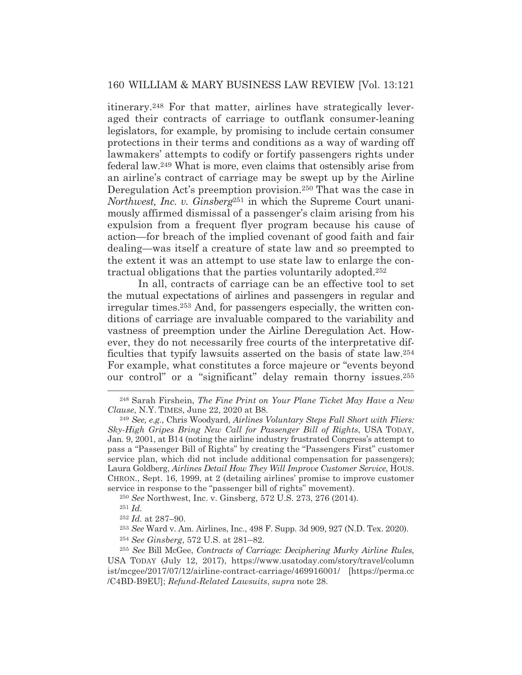itinerary.248 For that matter, airlines have strategically leveraged their contracts of carriage to outflank consumer-leaning legislators, for example, by promising to include certain consumer protections in their terms and conditions as a way of warding off lawmakers' attempts to codify or fortify passengers rights under federal law.249 What is more, even claims that ostensibly arise from an airline's contract of carriage may be swept up by the Airline Deregulation Act's preemption provision.<sup>250</sup> That was the case in *Northwest, Inc. v. Ginsberg*251 in which the Supreme Court unanimously affirmed dismissal of a passenger's claim arising from his expulsion from a frequent flyer program because his cause of action—for breach of the implied covenant of good faith and fair dealing—was itself a creature of state law and so preempted to the extent it was an attempt to use state law to enlarge the contractual obligations that the parties voluntarily adopted.252

 In all, contracts of carriage can be an effective tool to set the mutual expectations of airlines and passengers in regular and irregular times.253 And, for passengers especially, the written conditions of carriage are invaluable compared to the variability and vastness of preemption under the Airline Deregulation Act. However, they do not necessarily free courts of the interpretative difficulties that typify lawsuits asserted on the basis of state law.254 For example, what constitutes a force majeure or "events beyond our control" or a "significant" delay remain thorny issues.255

<sup>250</sup> *See* Northwest, Inc. v. Ginsberg, 572 U.S. 273, 276 (2014).

<sup>251</sup> *Id.*

<sup>253</sup> *See* Ward v. Am. Airlines, Inc., 498 F. Supp. 3d 909, 927 (N.D. Tex. 2020).

<sup>254</sup> *See Ginsberg*, 572 U.S. at 281–82.

<sup>255</sup> *See* Bill McGee, *Contracts of Carriage: Deciphering Murky Airline Rules*, USA TODAY (July 12, 2017), https://www.usatoday.com/story/travel/column ist/mcgee/2017/07/12/airline-contract-carriage/469916001/ [https://perma.cc /C4BD-B9EU]; *Refund-Related Lawsuits*, *supra* note 28.

<sup>248</sup> Sarah Firshein, *The Fine Print on Your Plane Ticket May Have a New Clause*, N.Y. TIMES, June 22, 2020 at B8.

<sup>249</sup> *See, e.g.*, Chris Woodyard, *Airlines Voluntary Steps Fall Short with Fliers: Sky-High Gripes Bring New Call for Passenger Bill of Rights*, USA TODAY, Jan. 9, 2001, at B14 (noting the airline industry frustrated Congress's attempt to pass a "Passenger Bill of Rights" by creating the "Passengers First" customer service plan, which did not include additional compensation for passengers); Laura Goldberg, *Airlines Detail How They Will Improve Customer Service*, HOUS. CHRON., Sept. 16, 1999, at 2 (detailing airlines' promise to improve customer service in response to the "passenger bill of rights" movement).

<sup>252</sup> *Id.* at 287–90.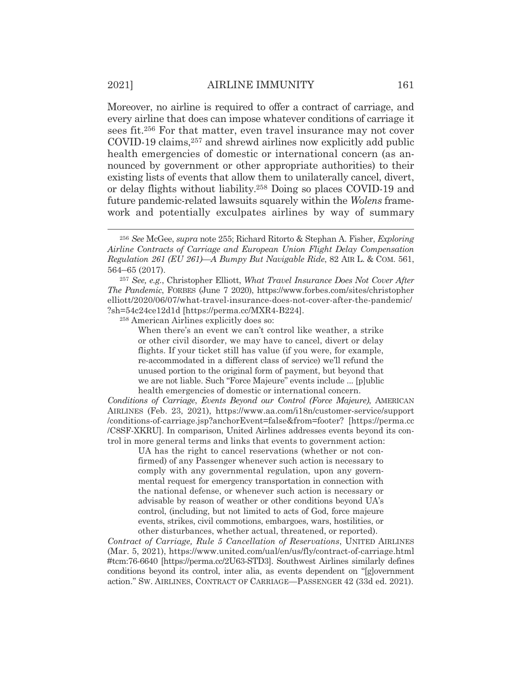Moreover, no airline is required to offer a contract of carriage, and every airline that does can impose whatever conditions of carriage it sees fit.256 For that matter, even travel insurance may not cover COVID-19 claims,257 and shrewd airlines now explicitly add public health emergencies of domestic or international concern (as announced by government or other appropriate authorities) to their existing lists of events that allow them to unilaterally cancel, divert, or delay flights without liability.258 Doing so places COVID-19 and future pandemic-related lawsuits squarely within the *Wolens* framework and potentially exculpates airlines by way of summary

258 American Airlines explicitly does so:

When there's an event we can't control like weather, a strike or other civil disorder, we may have to cancel, divert or delay flights. If your ticket still has value (if you were, for example, re-accommodated in a different class of service) we'll refund the unused portion to the original form of payment, but beyond that we are not liable. Such "Force Majeure" events include ... [p]ublic health emergencies of domestic or international concern.

*Conditions of Carriage*, *Events Beyond our Control (Force Majeure)*, AMERICAN AIRLINES (Feb. 23, 2021), https://www.aa.com/i18n/customer-service/support /conditions-of-carriage.jsp?anchorEvent=false&from=footer? [https://perma.cc /C8SF-XKRU]. In comparison, United Airlines addresses events beyond its control in more general terms and links that events to government action:

UA has the right to cancel reservations (whether or not confirmed) of any Passenger whenever such action is necessary to comply with any governmental regulation, upon any governmental request for emergency transportation in connection with the national defense, or whenever such action is necessary or advisable by reason of weather or other conditions beyond UA's control, (including, but not limited to acts of God, force majeure events, strikes, civil commotions, embargoes, wars, hostilities, or other disturbances, whether actual, threatened, or reported).

*Contract of Carriage, Rule 5 Cancellation of Reservations*, UNITED AIRLINES (Mar. 5, 2021), https://www.united.com/ual/en/us/fly/contract-of-carriage.html #tcm:76-6640 [https://perma.cc/2U63-STD3]. Southwest Airlines similarly defines conditions beyond its control, inter alia, as events dependent on "[g]overnment action." SW. AIRLINES, CONTRACT OF CARRIAGE—PASSENGER 42 (33d ed. 2021).

<sup>256</sup> *See* McGee, *supra* note 255; Richard Ritorto & Stephan A. Fisher, *Exploring Airline Contracts of Carriage and European Union Flight Delay Compensation Regulation 261 (EU 261)—A Bumpy But Navigable Ride*, 82 AIR L. & COM. 561, 564–65 (2017).

<sup>257</sup> *See, e.g.*, Christopher Elliott, *What Travel Insurance Does Not Cover After The Pandemic*, FORBES (June 7 2020), https://www.forbes.com/sites/christopher elliott/2020/06/07/what-travel-insurance-does-not-cover-after-the-pandemic/ ?sh=54c24ce12d1d [https://perma.cc/MXR4-B224].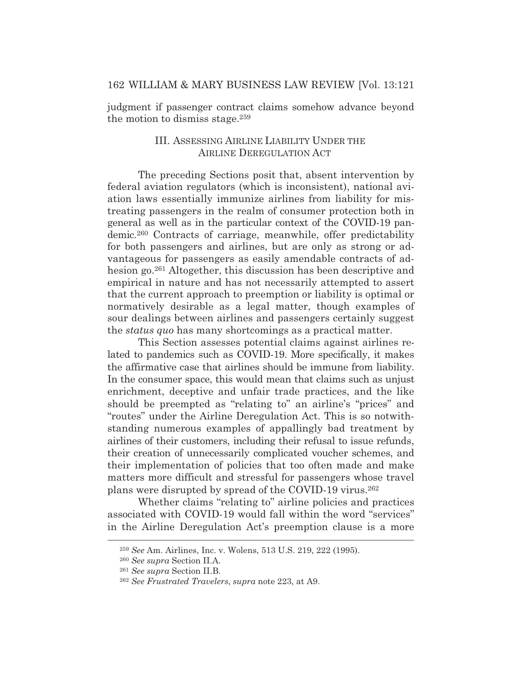judgment if passenger contract claims somehow advance beyond the motion to dismiss stage.259

# III. ASSESSING AIRLINE LIABILITY UNDER THE AIRLINE DEREGULATION ACT

 The preceding Sections posit that, absent intervention by federal aviation regulators (which is inconsistent), national aviation laws essentially immunize airlines from liability for mistreating passengers in the realm of consumer protection both in general as well as in the particular context of the COVID-19 pandemic.260 Contracts of carriage, meanwhile, offer predictability for both passengers and airlines, but are only as strong or advantageous for passengers as easily amendable contracts of adhesion go.261 Altogether, this discussion has been descriptive and empirical in nature and has not necessarily attempted to assert that the current approach to preemption or liability is optimal or normatively desirable as a legal matter, though examples of sour dealings between airlines and passengers certainly suggest the *status quo* has many shortcomings as a practical matter.

 This Section assesses potential claims against airlines related to pandemics such as COVID-19. More specifically, it makes the affirmative case that airlines should be immune from liability. In the consumer space, this would mean that claims such as unjust enrichment, deceptive and unfair trade practices, and the like should be preempted as "relating to" an airline's "prices" and "routes" under the Airline Deregulation Act. This is so notwithstanding numerous examples of appallingly bad treatment by airlines of their customers, including their refusal to issue refunds, their creation of unnecessarily complicated voucher schemes, and their implementation of policies that too often made and make matters more difficult and stressful for passengers whose travel plans were disrupted by spread of the COVID-19 virus.262

 Whether claims "relating to" airline policies and practices associated with COVID-19 would fall within the word "services" in the Airline Deregulation Act's preemption clause is a more

<sup>259</sup> *See* Am. Airlines, Inc. v. Wolens, 513 U.S. 219, 222 (1995).

<sup>260</sup> *See supra* Section II.A.

<sup>261</sup> *See supra* Section II.B.

<sup>262</sup> *See Frustrated Travelers*, *supra* note 223, at A9.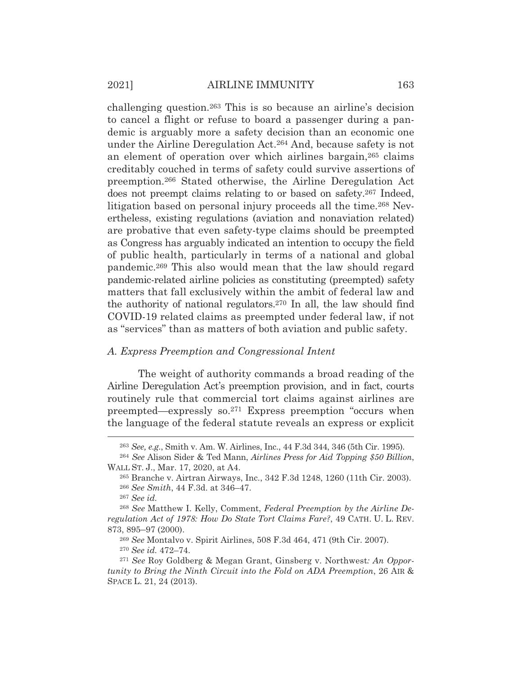challenging question.263 This is so because an airline's decision to cancel a flight or refuse to board a passenger during a pandemic is arguably more a safety decision than an economic one under the Airline Deregulation Act.264 And, because safety is not an element of operation over which airlines bargain,265 claims creditably couched in terms of safety could survive assertions of preemption.266 Stated otherwise, the Airline Deregulation Act does not preempt claims relating to or based on safety.267 Indeed, litigation based on personal injury proceeds all the time.268 Nevertheless, existing regulations (aviation and nonaviation related) are probative that even safety-type claims should be preempted as Congress has arguably indicated an intention to occupy the field of public health, particularly in terms of a national and global pandemic.269 This also would mean that the law should regard pandemic-related airline policies as constituting (preempted) safety matters that fall exclusively within the ambit of federal law and the authority of national regulators.270 In all, the law should find COVID-19 related claims as preempted under federal law, if not as "services" than as matters of both aviation and public safety.

#### *A. Express Preemption and Congressional Intent*

 The weight of authority commands a broad reading of the Airline Deregulation Act's preemption provision, and in fact, courts routinely rule that commercial tort claims against airlines are preempted—expressly so.271 Express preemption "occurs when the language of the federal statute reveals an express or explicit

<sup>267</sup> *See id.*

<sup>269</sup> *See* Montalvo v. Spirit Airlines, 508 F.3d 464, 471 (9th Cir. 2007). <sup>270</sup> *See id.* 472–74.

<sup>263</sup> *See, e.g.*, Smith v. Am. W. Airlines, Inc., 44 F.3d 344, 346 (5th Cir. 1995).

<sup>264</sup> *See* Alison Sider & Ted Mann, *Airlines Press for Aid Topping \$50 Billion*, WALL ST. J., Mar. 17, 2020, at A4.

<sup>265</sup> Branche v. Airtran Airways, Inc., 342 F.3d 1248, 1260 (11th Cir. 2003). <sup>266</sup> *See Smith*, 44 F.3d. at 346–47.

<sup>268</sup> *See* Matthew I. Kelly, Comment, *Federal Preemption by the Airline Deregulation Act of 1978: How Do State Tort Claims Fare?*, 49 CATH. U. L. REV. 873, 895–97 (2000).

<sup>271</sup> *See* Roy Goldberg & Megan Grant, Ginsberg v. Northwest*: An Opportunity to Bring the Ninth Circuit into the Fold on ADA Preemption*, 26 AIR & SPACE L. 21, 24 (2013).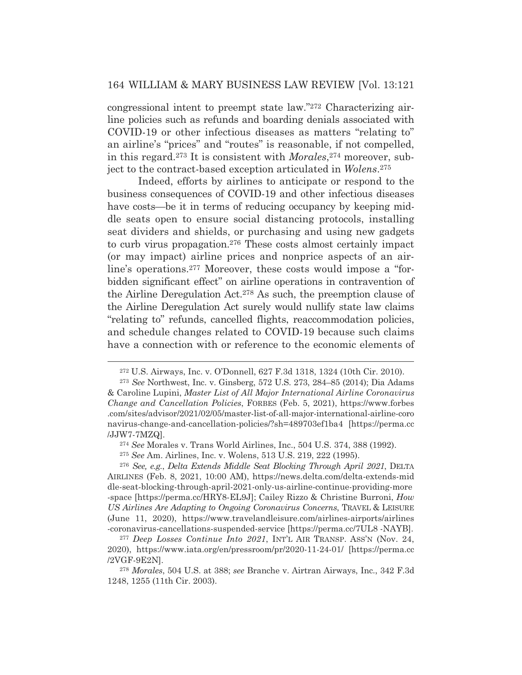congressional intent to preempt state law."272 Characterizing airline policies such as refunds and boarding denials associated with COVID-19 or other infectious diseases as matters "relating to" an airline's "prices" and "routes" is reasonable, if not compelled, in this regard.273 It is consistent with *Morales*,274 moreover, subject to the contract-based exception articulated in *Wolens*.275

 Indeed, efforts by airlines to anticipate or respond to the business consequences of COVID-19 and other infectious diseases have costs—be it in terms of reducing occupancy by keeping middle seats open to ensure social distancing protocols, installing seat dividers and shields, or purchasing and using new gadgets to curb virus propagation.276 These costs almost certainly impact (or may impact) airline prices and nonprice aspects of an airline's operations.277 Moreover, these costs would impose a "forbidden significant effect" on airline operations in contravention of the Airline Deregulation Act.278 As such, the preemption clause of the Airline Deregulation Act surely would nullify state law claims "relating to" refunds, cancelled flights, reaccommodation policies, and schedule changes related to COVID-19 because such claims have a connection with or reference to the economic elements of

<sup>272</sup> U.S. Airways, Inc. v. O'Donnell, 627 F.3d 1318, 1324 (10th Cir. 2010).

<sup>273</sup> *See* Northwest, Inc. v. Ginsberg, 572 U.S. 273, 284–85 (2014); Dia Adams & Caroline Lupini, *Master List of All Major International Airline Coronavirus Change and Cancellation Policies*, FORBES (Feb. 5, 2021), https://www.forbes .com/sites/advisor/2021/02/05/master-list-of-all-major-international-airline-coro navirus-change-and-cancellation-policies/?sh=489703ef1ba4 [https://perma.cc /JJW7-7MZQ].

<sup>274</sup> *See* Morales v. Trans World Airlines, Inc., 504 U.S. 374, 388 (1992).

<sup>275</sup> *See* Am. Airlines, Inc. v. Wolens, 513 U.S. 219, 222 (1995).

<sup>276</sup> *See, e.g.*, *Delta Extends Middle Seat Blocking Through April 2021*, DELTA AIRLINES (Feb. 8, 2021, 10:00 AM), https://news.delta.com/delta-extends-mid dle-seat-blocking-through-april-2021-only-us-airline-continue-providing-more -space [https://perma.cc/HRY8-EL9J]; Cailey Rizzo & Christine Burroni, *How US Airlines Are Adapting to Ongoing Coronavirus Concerns*, TRAVEL & LEISURE (June 11, 2020), https://www.travelandleisure.com/airlines-airports/airlines -coronavirus-cancellations-suspended-service [https://perma.cc/7UL8 -NAYB].

<sup>277</sup> *Deep Losses Continue Into 2021*, INT'L AIR TRANSP. ASS'N (Nov. 24, 2020), https://www.iata.org/en/pressroom/pr/2020-11-24-01/ [https://perma.cc /2VGF-9E2N].

<sup>278</sup> *Morales*, 504 U.S. at 388; *see* Branche v. Airtran Airways, Inc., 342 F.3d 1248, 1255 (11th Cir. 2003).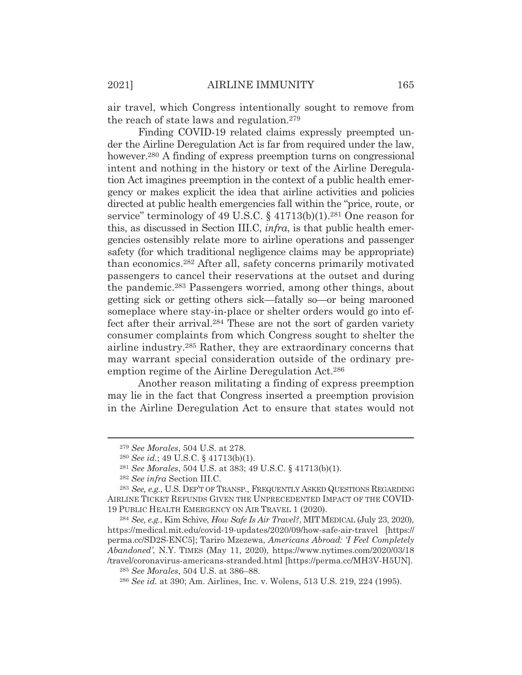air travel, which Congress intentionally sought to remove from the reach of state laws and regulation.279

 Finding COVID-19 related claims expressly preempted under the Airline Deregulation Act is far from required under the law, however.<sup>280</sup> A finding of express preemption turns on congressional intent and nothing in the history or text of the Airline Deregulation Act imagines preemption in the context of a public health emergency or makes explicit the idea that airline activities and policies directed at public health emergencies fall within the "price, route, or service" terminology of 49 U.S.C. § 41713(b)(1).<sup>281</sup> One reason for this, as discussed in Section III.C, *infra*, is that public health emergencies ostensibly relate more to airline operations and passenger safety (for which traditional negligence claims may be appropriate) than economics.282 After all, safety concerns primarily motivated passengers to cancel their reservations at the outset and during the pandemic.283 Passengers worried, among other things, about getting sick or getting others sick—fatally so—or being marooned someplace where stay-in-place or shelter orders would go into effect after their arrival.284 These are not the sort of garden variety consumer complaints from which Congress sought to shelter the airline industry.285 Rather, they are extraordinary concerns that may warrant special consideration outside of the ordinary preemption regime of the Airline Deregulation Act.286

 Another reason militating a finding of express preemption may lie in the fact that Congress inserted a preemption provision in the Airline Deregulation Act to ensure that states would not

<sup>279</sup> *See Morales*, 504 U.S. at 278.

<sup>280</sup> *See id.*; 49 U.S.C. § 41713(b)(1).

<sup>281</sup> *See Morales*, 504 U.S. at 383; 49 U.S.C. § 41713(b)(1).

<sup>282</sup> *See infra* Section III.C.

<sup>283</sup> *See, e.g.*, U.S. DEP'T OF TRANSP., FREQUENTLY ASKED QUESTIONS REGARDING AIRLINE TICKET REFUNDS GIVEN THE UNPRECEDENTED IMPACT OF THE COVID-19 PUBLIC HEALTH EMERGENCY ON AIR TRAVEL 1 (2020).

<sup>284</sup> *See, e.g.*, Kim Schive, *How Safe Is Air Travel?*, MIT MEDICAL (July 23, 2020), https://medical.mit.edu/covid-19-updates/2020/09/how-safe-air-travel [https:// perma.cc/SD2S-ENC5]; Tariro Mzezewa, *Americans Abroad: 'I Feel Completely Abandoned'*, N.Y. TIMES (May 11, 2020), https://www.nytimes.com/2020/03/18 /travel/coronavirus-americans-stranded.html [https://perma.cc/MH3V-H5UN]. <sup>285</sup> *See Morales*, 504 U.S. at 386–88.

<sup>286</sup> *See id.* at 390; Am. Airlines, Inc. v. Wolens, 513 U.S. 219, 224 (1995).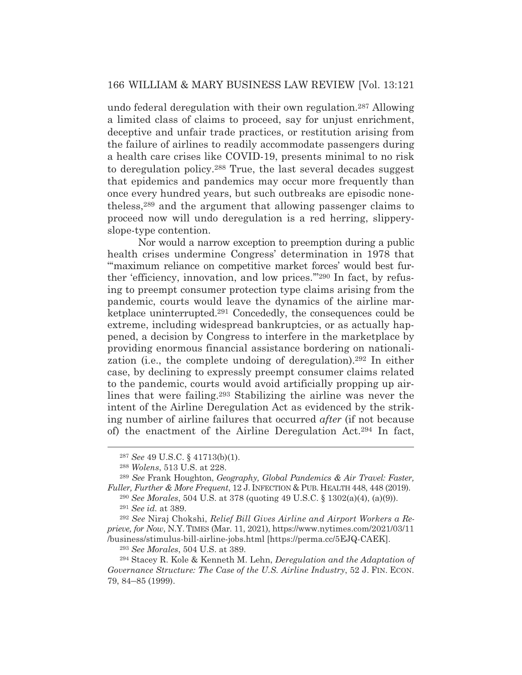undo federal deregulation with their own regulation.287 Allowing a limited class of claims to proceed, say for unjust enrichment, deceptive and unfair trade practices, or restitution arising from the failure of airlines to readily accommodate passengers during a health care crises like COVID-19, presents minimal to no risk to deregulation policy.288 True, the last several decades suggest that epidemics and pandemics may occur more frequently than once every hundred years, but such outbreaks are episodic nonetheless,289 and the argument that allowing passenger claims to proceed now will undo deregulation is a red herring, slipperyslope-type contention.

 Nor would a narrow exception to preemption during a public health crises undermine Congress' determination in 1978 that "maximum reliance on competitive market forces' would best further 'efficiency, innovation, and low prices.'"290 In fact, by refusing to preempt consumer protection type claims arising from the pandemic, courts would leave the dynamics of the airline marketplace uninterrupted.291 Concededly, the consequences could be extreme, including widespread bankruptcies, or as actually happened, a decision by Congress to interfere in the marketplace by providing enormous financial assistance bordering on nationalization (i.e., the complete undoing of deregulation).292 In either case, by declining to expressly preempt consumer claims related to the pandemic, courts would avoid artificially propping up airlines that were failing.293 Stabilizing the airline was never the intent of the Airline Deregulation Act as evidenced by the striking number of airline failures that occurred *after* (if not because of) the enactment of the Airline Deregulation Act.294 In fact,

<sup>287</sup> *See* 49 U.S.C. § 41713(b)(1).

<sup>288</sup> *Wolens*, 513 U.S. at 228.

<sup>289</sup> *See* Frank Houghton, *Geography, Global Pandemics & Air Travel: Faster, Fuller, Further & More Frequent*, 12 J. INFECTION & PUB. HEALTH 448, 448 (2019).

<sup>290</sup> *See Morales*, 504 U.S. at 378 (quoting 49 U.S.C. § 1302(a)(4), (a)(9)). <sup>291</sup> *See id.* at 389.

<sup>292</sup> *See* Niraj Chokshi, *Relief Bill Gives Airline and Airport Workers a Reprieve, for Now*, N.Y. TIMES (Mar. 11, 2021), https://www.nytimes.com/2021/03/11 /business/stimulus-bill-airline-jobs.html [https://perma.cc/5EJQ-CAEK].

<sup>293</sup> *See Morales*, 504 U.S. at 389.

<sup>294</sup> Stacey R. Kole & Kenneth M. Lehn, *Deregulation and the Adaptation of Governance Structure: The Case of the U.S. Airline Industry*, 52 J. FIN. ECON. 79, 84–85 (1999).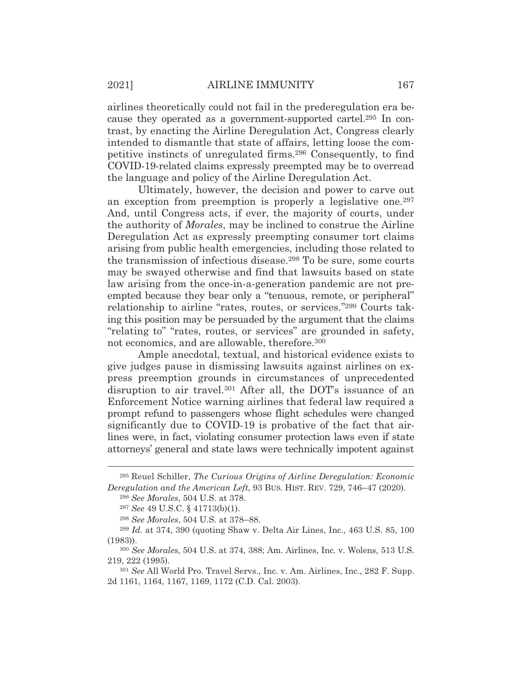airlines theoretically could not fail in the prederegulation era because they operated as a government-supported cartel.295 In contrast, by enacting the Airline Deregulation Act, Congress clearly intended to dismantle that state of affairs, letting loose the competitive instincts of unregulated firms.296 Consequently, to find COVID-19-related claims expressly preempted may be to overread the language and policy of the Airline Deregulation Act.

 Ultimately, however, the decision and power to carve out an exception from preemption is properly a legislative one.<sup>297</sup> And, until Congress acts, if ever, the majority of courts, under the authority of *Morales*, may be inclined to construe the Airline Deregulation Act as expressly preempting consumer tort claims arising from public health emergencies, including those related to the transmission of infectious disease.298 To be sure, some courts may be swayed otherwise and find that lawsuits based on state law arising from the once-in-a-generation pandemic are not preempted because they bear only a "tenuous, remote, or peripheral" relationship to airline "rates, routes, or services."299 Courts taking this position may be persuaded by the argument that the claims "relating to" "rates, routes, or services" are grounded in safety, not economics, and are allowable, therefore.300

 Ample anecdotal, textual, and historical evidence exists to give judges pause in dismissing lawsuits against airlines on express preemption grounds in circumstances of unprecedented disruption to air travel.301 After all, the DOT's issuance of an Enforcement Notice warning airlines that federal law required a prompt refund to passengers whose flight schedules were changed significantly due to COVID-19 is probative of the fact that airlines were, in fact, violating consumer protection laws even if state attorneys' general and state laws were technically impotent against

<sup>295</sup> Reuel Schiller, *The Curious Origins of Airline Deregulation: Economic Deregulation and the American Left*, 93 BUS. HIST. REV. 729, 746–47 (2020).

<sup>296</sup> *See Morales*, 504 U.S. at 378.

<sup>297</sup> *See* 49 U.S.C. § 41713(b)(1).

<sup>298</sup> *See Morales*, 504 U.S. at 378–88.

<sup>299</sup> *Id.* at 374, 390 (quoting Shaw v. Delta Air Lines, Inc., 463 U.S. 85, 100 (1983)).

<sup>300</sup> *See Morales*, 504 U.S. at 374, 388; Am. Airlines, Inc. v. Wolens, 513 U.S. 219, 222 (1995).

<sup>301</sup> *See* All World Pro. Travel Servs., Inc. v. Am. Airlines, Inc., 282 F. Supp. 2d 1161, 1164, 1167, 1169, 1172 (C.D. Cal. 2003).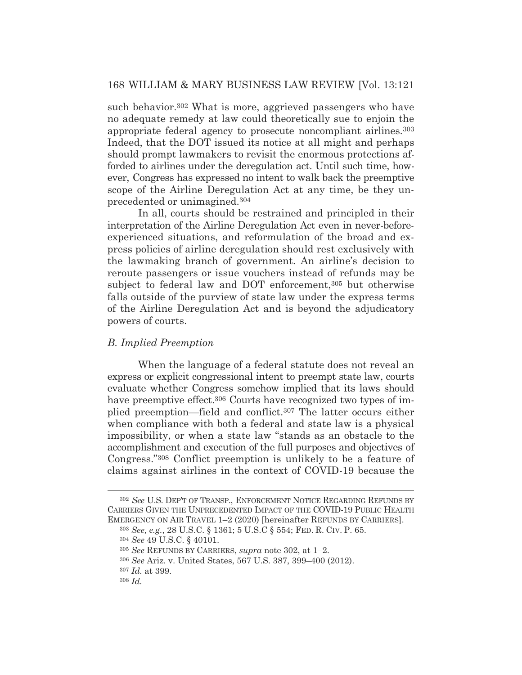such behavior.<sup>302</sup> What is more, aggrieved passengers who have no adequate remedy at law could theoretically sue to enjoin the appropriate federal agency to prosecute noncompliant airlines.303 Indeed, that the DOT issued its notice at all might and perhaps should prompt lawmakers to revisit the enormous protections afforded to airlines under the deregulation act. Until such time, however, Congress has expressed no intent to walk back the preemptive scope of the Airline Deregulation Act at any time, be they unprecedented or unimagined.304

 In all, courts should be restrained and principled in their interpretation of the Airline Deregulation Act even in never-beforeexperienced situations, and reformulation of the broad and express policies of airline deregulation should rest exclusively with the lawmaking branch of government. An airline's decision to reroute passengers or issue vouchers instead of refunds may be subject to federal law and DOT enforcement,<sup>305</sup> but otherwise falls outside of the purview of state law under the express terms of the Airline Deregulation Act and is beyond the adjudicatory powers of courts.

#### *B. Implied Preemption*

 When the language of a federal statute does not reveal an express or explicit congressional intent to preempt state law, courts evaluate whether Congress somehow implied that its laws should have preemptive effect.<sup>306</sup> Courts have recognized two types of implied preemption—field and conflict.307 The latter occurs either when compliance with both a federal and state law is a physical impossibility, or when a state law "stands as an obstacle to the accomplishment and execution of the full purposes and objectives of Congress."308 Conflict preemption is unlikely to be a feature of claims against airlines in the context of COVID-19 because the

<sup>302</sup> *See* U.S. DEP'T OF TRANSP., ENFORCEMENT NOTICE REGARDING REFUNDS BY CARRIERS GIVEN THE UNPRECEDENTED IMPACT OF THE COVID-19 PUBLIC HEALTH EMERGENCY ON AIR TRAVEL 1–2 (2020) [hereinafter REFUNDS BY CARRIERS].

<sup>303</sup> *See, e.g.*, 28 U.S.C. § 1361; 5 U.S.C § 554; FED. R. CIV. P. 65.

<sup>304</sup> *See* 49 U.S.C. § 40101.

<sup>305</sup> *See* REFUNDS BY CARRIERS, *supra* note 302, at 1–2.

<sup>306</sup> *See* Ariz. v. United States, 567 U.S. 387, 399–400 (2012).

<sup>307</sup> *Id.* at 399.

<sup>308</sup> *Id.*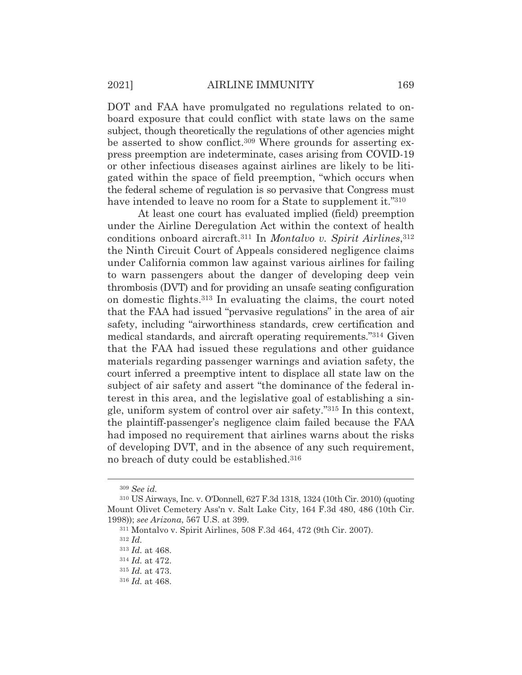DOT and FAA have promulgated no regulations related to onboard exposure that could conflict with state laws on the same subject, though theoretically the regulations of other agencies might be asserted to show conflict.<sup>309</sup> Where grounds for asserting express preemption are indeterminate, cases arising from COVID-19 or other infectious diseases against airlines are likely to be litigated within the space of field preemption, "which occurs when the federal scheme of regulation is so pervasive that Congress must have intended to leave no room for a State to supplement it."310

 At least one court has evaluated implied (field) preemption under the Airline Deregulation Act within the context of health conditions onboard aircraft.311 In *Montalvo v. Spirit Airlines*,312 the Ninth Circuit Court of Appeals considered negligence claims under California common law against various airlines for failing to warn passengers about the danger of developing deep vein thrombosis (DVT) and for providing an unsafe seating configuration on domestic flights.313 In evaluating the claims, the court noted that the FAA had issued "pervasive regulations" in the area of air safety, including "airworthiness standards, crew certification and medical standards, and aircraft operating requirements."314 Given that the FAA had issued these regulations and other guidance materials regarding passenger warnings and aviation safety, the court inferred a preemptive intent to displace all state law on the subject of air safety and assert "the dominance of the federal interest in this area, and the legislative goal of establishing a single, uniform system of control over air safety."315 In this context, the plaintiff-passenger's negligence claim failed because the FAA had imposed no requirement that airlines warns about the risks of developing DVT, and in the absence of any such requirement, no breach of duty could be established.316

<sup>309</sup> *See id.*

<sup>310</sup> US Airways, Inc. v. O'Donnell, 627 F.3d 1318, 1324 (10th Cir. 2010) (quoting Mount Olivet Cemetery Ass'n v. Salt Lake City, 164 F.3d 480, 486 (10th Cir. 1998)); *see Arizona*, 567 U.S. at 399.

<sup>311</sup> Montalvo v. Spirit Airlines, 508 F.3d 464, 472 (9th Cir. 2007).

<sup>312</sup> *Id.*

<sup>313</sup> *Id.* at 468.

<sup>314</sup> *Id.* at 472.

<sup>315</sup> *Id.* at 473.

<sup>316</sup> *Id.* at 468.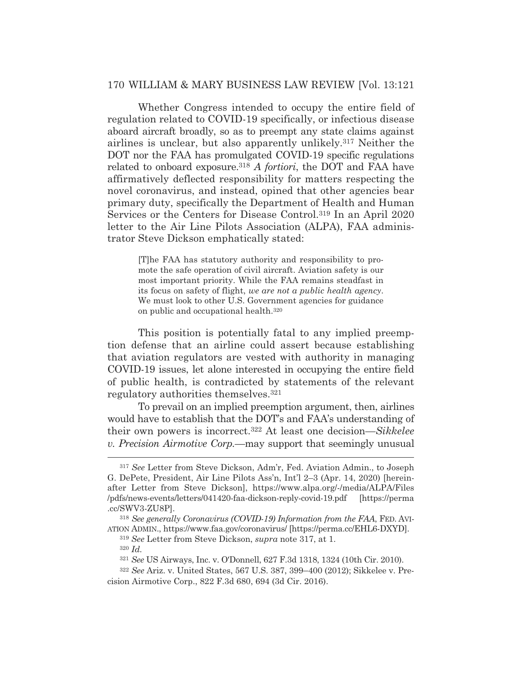Whether Congress intended to occupy the entire field of regulation related to COVID-19 specifically, or infectious disease aboard aircraft broadly, so as to preempt any state claims against airlines is unclear, but also apparently unlikely.317 Neither the DOT nor the FAA has promulgated COVID-19 specific regulations related to onboard exposure.318 *A fortiori*, the DOT and FAA have affirmatively deflected responsibility for matters respecting the novel coronavirus, and instead, opined that other agencies bear primary duty, specifically the Department of Health and Human Services or the Centers for Disease Control.319 In an April 2020 letter to the Air Line Pilots Association (ALPA), FAA administrator Steve Dickson emphatically stated:

> [T]he FAA has statutory authority and responsibility to promote the safe operation of civil aircraft. Aviation safety is our most important priority. While the FAA remains steadfast in its focus on safety of flight, *we are not a public health agency*. We must look to other U.S. Government agencies for guidance on public and occupational health.320

 This position is potentially fatal to any implied preemption defense that an airline could assert because establishing that aviation regulators are vested with authority in managing COVID-19 issues, let alone interested in occupying the entire field of public health, is contradicted by statements of the relevant regulatory authorities themselves.321

 To prevail on an implied preemption argument, then, airlines would have to establish that the DOT's and FAA's understanding of their own powers is incorrect.322 At least one decision—*Sikkelee v. Precision Airmotive Corp.*—may support that seemingly unusual

<sup>317</sup> *See* Letter from Steve Dickson, Adm'r, Fed. Aviation Admin., to Joseph G. DePete, President, Air Line Pilots Ass'n, Int'l 2–3 (Apr. 14, 2020) [hereinafter Letter from Steve Dickson], https://www.alpa.org/-/media/ALPA/Files /pdfs/news-events/letters/041420-faa-dickson-reply-covid-19.pdf [https://perma .cc/SWV3-ZU8P].

<sup>318</sup> *See generally Coronavirus (COVID-19) Information from the FAA*, FED. AVI-ATION ADMIN., https://www.faa.gov/coronavirus/ [https://perma.cc/EHL6-DXYD].

<sup>319</sup> *See* Letter from Steve Dickson, *supra* note 317, at 1.

<sup>320</sup> *Id.*

<sup>321</sup> *See* US Airways, Inc. v. O'Donnell, 627 F.3d 1318, 1324 (10th Cir. 2010).

<sup>322</sup> *See* Ariz. v. United States, 567 U.S. 387, 399–400 (2012); Sikkelee v. Precision Airmotive Corp., 822 F.3d 680, 694 (3d Cir. 2016).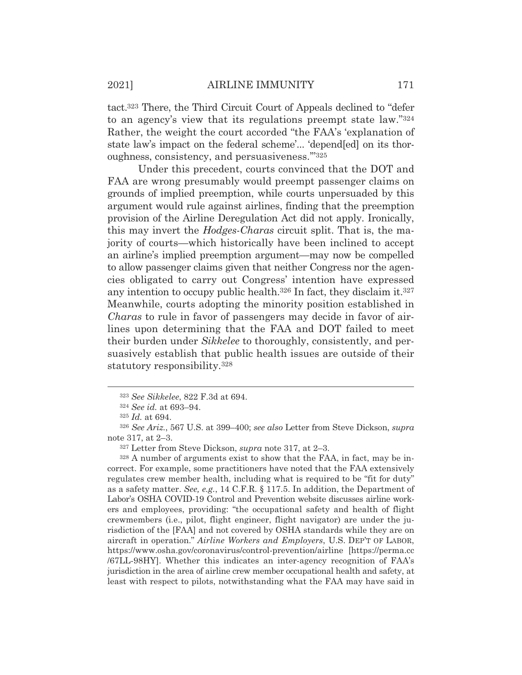tact.323 There, the Third Circuit Court of Appeals declined to "defer to an agency's view that its regulations preempt state law."324 Rather, the weight the court accorded "the FAA's 'explanation of state law's impact on the federal scheme'... 'depend[ed] on its thoroughness, consistency, and persuasiveness.'"325

 Under this precedent, courts convinced that the DOT and FAA are wrong presumably would preempt passenger claims on grounds of implied preemption, while courts unpersuaded by this argument would rule against airlines, finding that the preemption provision of the Airline Deregulation Act did not apply. Ironically, this may invert the *Hodges-Charas* circuit split. That is, the majority of courts—which historically have been inclined to accept an airline's implied preemption argument—may now be compelled to allow passenger claims given that neither Congress nor the agencies obligated to carry out Congress' intention have expressed any intention to occupy public health.326 In fact, they disclaim it.327 Meanwhile, courts adopting the minority position established in *Charas* to rule in favor of passengers may decide in favor of airlines upon determining that the FAA and DOT failed to meet their burden under *Sikkelee* to thoroughly, consistently, and persuasively establish that public health issues are outside of their statutory responsibility.328

328 A number of arguments exist to show that the FAA, in fact, may be incorrect. For example, some practitioners have noted that the FAA extensively regulates crew member health, including what is required to be "fit for duty" as a safety matter. *See, e.g.*, 14 C.F.R. § 117.5. In addition, the Department of Labor's OSHA COVID-19 Control and Prevention website discusses airline workers and employees, providing: "the occupational safety and health of flight crewmembers (i.e., pilot, flight engineer, flight navigator) are under the jurisdiction of the [FAA] and not covered by OSHA standards while they are on aircraft in operation." *Airline Workers and Employers*, U.S. DEP'T OF LABOR, https://www.osha.gov/coronavirus/control-prevention/airline [https://perma.cc /67LL-98HY]. Whether this indicates an inter-agency recognition of FAA's jurisdiction in the area of airline crew member occupational health and safety, at least with respect to pilots, notwithstanding what the FAA may have said in

<sup>323</sup> *See Sikkelee*, 822 F.3d at 694.

<sup>324</sup> *See id.* at 693–94.

<sup>325</sup> *Id.* at 694.

<sup>326</sup> *See Ariz.*, 567 U.S. at 399–400; *see also* Letter from Steve Dickson, *supra* note 317, at 2–3.

<sup>327</sup> Letter from Steve Dickson, *supra* note 317, at 2–3.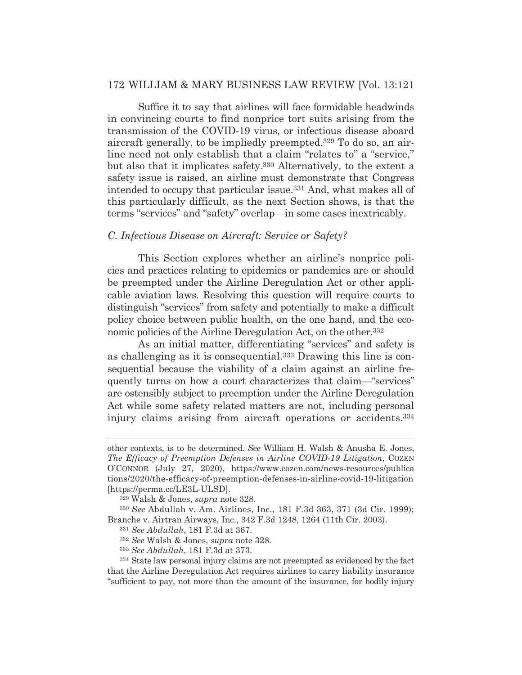Suffice it to say that airlines will face formidable headwinds in convincing courts to find nonprice tort suits arising from the transmission of the COVID-19 virus, or infectious disease aboard aircraft generally, to be impliedly preempted.329 To do so, an airline need not only establish that a claim "relates to" a "service," but also that it implicates safety.330 Alternatively, to the extent a safety issue is raised, an airline must demonstrate that Congress intended to occupy that particular issue.331 And, what makes all of this particularly difficult, as the next Section shows, is that the terms "services" and "safety" overlap—in some cases inextricably.

#### *C. Infectious Disease on Aircraft: Service or Safety?*

 This Section explores whether an airline's nonprice policies and practices relating to epidemics or pandemics are or should be preempted under the Airline Deregulation Act or other applicable aviation laws. Resolving this question will require courts to distinguish "services" from safety and potentially to make a difficult policy choice between public health, on the one hand, and the economic policies of the Airline Deregulation Act, on the other.<sup>332</sup>

 As an initial matter, differentiating "services" and safety is as challenging as it is consequential.333 Drawing this line is consequential because the viability of a claim against an airline frequently turns on how a court characterizes that claim—"services" are ostensibly subject to preemption under the Airline Deregulation Act while some safety related matters are not, including personal injury claims arising from aircraft operations or accidents.<sup>334</sup>

other contexts, is to be determined. *See* William H. Walsh & Anusha E. Jones, *The Efficacy of Preemption Defenses in Airline COVID-19 Litigation*, COZEN O'CONNOR (July 27, 2020), https://www.cozen.com/news-resources/publica tions/2020/the-efficacy-of-preemption-defenses-in-airline-covid-19-litigation [https://perma.cc/LE3L-ULSD].

<sup>329</sup> Walsh & Jones, *supra* note 328.

<sup>330</sup> *See* Abdullah v. Am. Airlines, Inc., 181 F.3d 363, 371 (3d Cir. 1999); Branche v. Airtran Airways, Inc., 342 F.3d 1248, 1264 (11th Cir. 2003).

<sup>331</sup> *See Abdullah*, 181 F.3d at 367.

<sup>332</sup> *See* Walsh & Jones, *supra* note 328.

<sup>333</sup> *See Abdullah*, 181 F.3d at 373.

<sup>334</sup> State law personal injury claims are not preempted as evidenced by the fact that the Airline Deregulation Act requires airlines to carry liability insurance "sufficient to pay, not more than the amount of the insurance, for bodily injury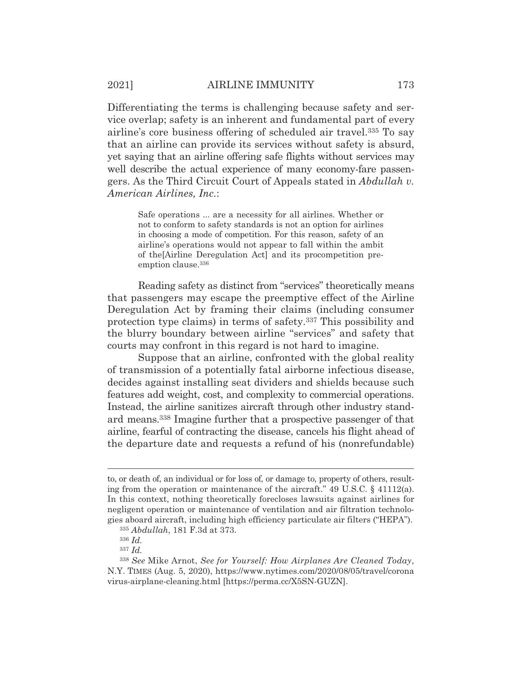Differentiating the terms is challenging because safety and service overlap; safety is an inherent and fundamental part of every airline's core business offering of scheduled air travel.335 To say that an airline can provide its services without safety is absurd, yet saying that an airline offering safe flights without services may well describe the actual experience of many economy-fare passengers. As the Third Circuit Court of Appeals stated in *Abdullah v. American Airlines, Inc.*:

> Safe operations ... are a necessity for all airlines. Whether or not to conform to safety standards is not an option for airlines in choosing a mode of competition. For this reason, safety of an airline's operations would not appear to fall within the ambit of the[Airline Deregulation Act] and its procompetition preemption clause.336

 Reading safety as distinct from "services" theoretically means that passengers may escape the preemptive effect of the Airline Deregulation Act by framing their claims (including consumer protection type claims) in terms of safety.337 This possibility and the blurry boundary between airline "services" and safety that courts may confront in this regard is not hard to imagine.

 Suppose that an airline, confronted with the global reality of transmission of a potentially fatal airborne infectious disease, decides against installing seat dividers and shields because such features add weight, cost, and complexity to commercial operations. Instead, the airline sanitizes aircraft through other industry standard means.338 Imagine further that a prospective passenger of that airline, fearful of contracting the disease, cancels his flight ahead of the departure date and requests a refund of his (nonrefundable)

to, or death of, an individual or for loss of, or damage to, property of others, resulting from the operation or maintenance of the aircraft."  $49 \text{ U.S.C.}$  §  $41112(a)$ . In this context, nothing theoretically forecloses lawsuits against airlines for negligent operation or maintenance of ventilation and air filtration technologies aboard aircraft, including high efficiency particulate air filters ("HEPA").

<sup>335</sup> *Abdullah*, 181 F.3d at 373.

<sup>336</sup> *Id.*

<sup>337</sup> *Id.*

<sup>338</sup> *See* Mike Arnot, *See for Yourself: How Airplanes Are Cleaned Today*, N.Y. TIMES (Aug. 5, 2020), https://www.nytimes.com/2020/08/05/travel/corona virus-airplane-cleaning.html [https://perma.cc/X5SN-GUZN].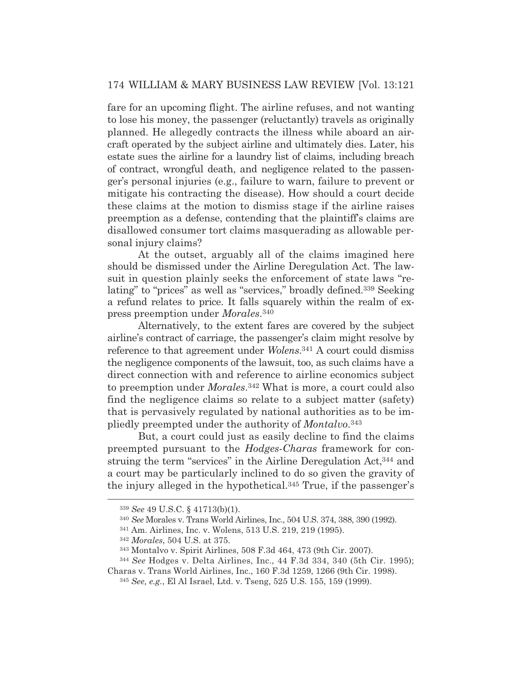fare for an upcoming flight. The airline refuses, and not wanting to lose his money, the passenger (reluctantly) travels as originally planned. He allegedly contracts the illness while aboard an aircraft operated by the subject airline and ultimately dies. Later, his estate sues the airline for a laundry list of claims, including breach of contract, wrongful death, and negligence related to the passenger's personal injuries (e.g., failure to warn, failure to prevent or mitigate his contracting the disease). How should a court decide these claims at the motion to dismiss stage if the airline raises preemption as a defense, contending that the plaintiff's claims are disallowed consumer tort claims masquerading as allowable personal injury claims?

 At the outset, arguably all of the claims imagined here should be dismissed under the Airline Deregulation Act. The lawsuit in question plainly seeks the enforcement of state laws "relating" to "prices" as well as "services," broadly defined.339 Seeking a refund relates to price. It falls squarely within the realm of express preemption under *Morales*.340

 Alternatively, to the extent fares are covered by the subject airline's contract of carriage, the passenger's claim might resolve by reference to that agreement under *Wolens*.341 A court could dismiss the negligence components of the lawsuit, too, as such claims have a direct connection with and reference to airline economics subject to preemption under *Morales*.342 What is more, a court could also find the negligence claims so relate to a subject matter (safety) that is pervasively regulated by national authorities as to be impliedly preempted under the authority of *Montalvo*.343

 But, a court could just as easily decline to find the claims preempted pursuant to the *Hodges*-*Charas* framework for construing the term "services" in the Airline Deregulation Act,344 and a court may be particularly inclined to do so given the gravity of the injury alleged in the hypothetical.345 True, if the passenger's

<sup>339</sup> *See* 49 U.S.C. § 41713(b)(1).

<sup>340</sup> *See* Morales v. Trans World Airlines, Inc., 504 U.S. 374, 388, 390 (1992).

<sup>341</sup> Am. Airlines, Inc. v. Wolens, 513 U.S. 219, 219 (1995).

<sup>342</sup> *Morales*, 504 U.S. at 375.

<sup>343</sup> Montalvo v. Spirit Airlines, 508 F.3d 464, 473 (9th Cir. 2007).

<sup>344</sup> *See* Hodges v. Delta Airlines, Inc., 44 F.3d 334, 340 (5th Cir. 1995);

Charas v. Trans World Airlines, Inc., 160 F.3d 1259, 1266 (9th Cir. 1998). <sup>345</sup> *See, e.g.*, El Al Israel, Ltd. v. Tseng, 525 U.S. 155, 159 (1999).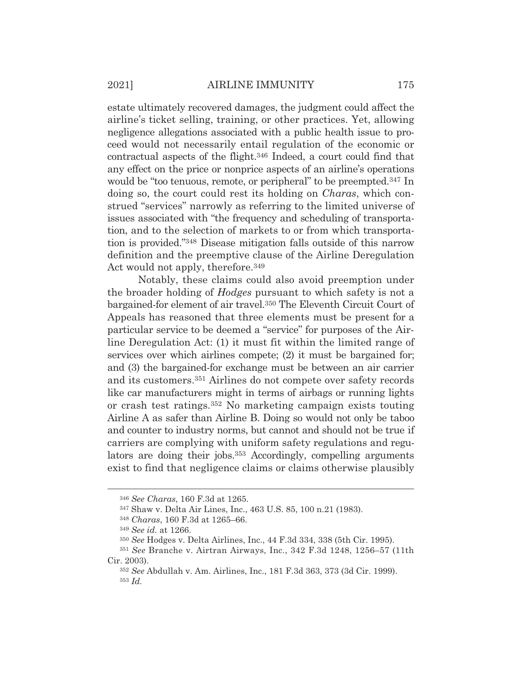estate ultimately recovered damages, the judgment could affect the airline's ticket selling, training, or other practices. Yet, allowing negligence allegations associated with a public health issue to proceed would not necessarily entail regulation of the economic or contractual aspects of the flight.346 Indeed, a court could find that any effect on the price or nonprice aspects of an airline's operations would be "too tenuous, remote, or peripheral" to be preempted.<sup>347</sup> In doing so, the court could rest its holding on *Charas*, which construed "services" narrowly as referring to the limited universe of issues associated with "the frequency and scheduling of transportation, and to the selection of markets to or from which transportation is provided."348 Disease mitigation falls outside of this narrow definition and the preemptive clause of the Airline Deregulation Act would not apply, therefore.349

 Notably, these claims could also avoid preemption under the broader holding of *Hodges* pursuant to which safety is not a bargained-for element of air travel.350 The Eleventh Circuit Court of Appeals has reasoned that three elements must be present for a particular service to be deemed a "service" for purposes of the Airline Deregulation Act: (1) it must fit within the limited range of services over which airlines compete; (2) it must be bargained for; and (3) the bargained-for exchange must be between an air carrier and its customers.351 Airlines do not compete over safety records like car manufacturers might in terms of airbags or running lights or crash test ratings.352 No marketing campaign exists touting Airline A as safer than Airline B. Doing so would not only be taboo and counter to industry norms, but cannot and should not be true if carriers are complying with uniform safety regulations and regulators are doing their jobs.353 Accordingly, compelling arguments exist to find that negligence claims or claims otherwise plausibly

<sup>346</sup> *See Charas*, 160 F.3d at 1265.

<sup>347</sup> Shaw v. Delta Air Lines, Inc., 463 U.S. 85, 100 n.21 (1983).

<sup>348</sup> *Charas*, 160 F.3d at 1265–66.

<sup>349</sup> *See id.* at 1266.

<sup>350</sup> *See* Hodges v. Delta Airlines, Inc., 44 F.3d 334, 338 (5th Cir. 1995).

<sup>351</sup> *See* Branche v. Airtran Airways, Inc., 342 F.3d 1248, 1256–57 (11th Cir. 2003).

<sup>352</sup> *See* Abdullah v. Am. Airlines, Inc., 181 F.3d 363, 373 (3d Cir. 1999). <sup>353</sup> *Id.*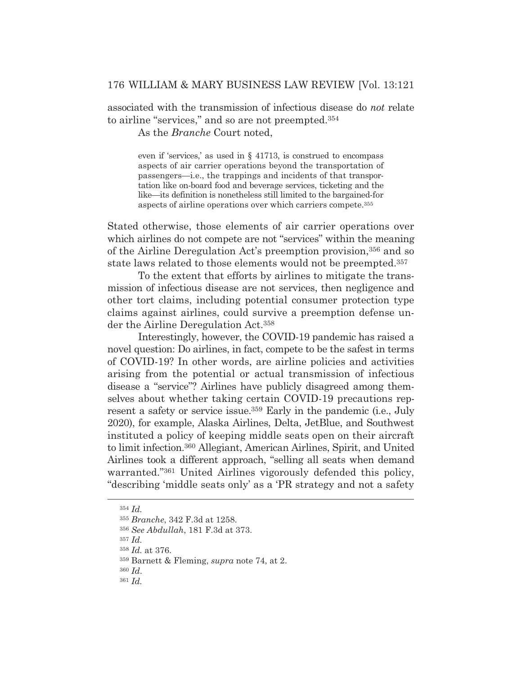associated with the transmission of infectious disease do *not* relate to airline "services," and so are not preempted.354

As the *Branche* Court noted,

even if 'services,' as used in § 41713, is construed to encompass aspects of air carrier operations beyond the transportation of passengers—i.e., the trappings and incidents of that transportation like on-board food and beverage services, ticketing and the like—its definition is nonetheless still limited to the bargained-for aspects of airline operations over which carriers compete.355

Stated otherwise, those elements of air carrier operations over which airlines do not compete are not "services" within the meaning of the Airline Deregulation Act's preemption provision,356 and so state laws related to those elements would not be preempted.357

 To the extent that efforts by airlines to mitigate the transmission of infectious disease are not services, then negligence and other tort claims, including potential consumer protection type claims against airlines, could survive a preemption defense under the Airline Deregulation Act.358

 Interestingly, however, the COVID-19 pandemic has raised a novel question: Do airlines, in fact, compete to be the safest in terms of COVID-19? In other words, are airline policies and activities arising from the potential or actual transmission of infectious disease a "service"? Airlines have publicly disagreed among themselves about whether taking certain COVID-19 precautions represent a safety or service issue.359 Early in the pandemic (i.e., July 2020), for example, Alaska Airlines, Delta, JetBlue, and Southwest instituted a policy of keeping middle seats open on their aircraft to limit infection.360 Allegiant, American Airlines, Spirit, and United Airlines took a different approach, "selling all seats when demand warranted."361 United Airlines vigorously defended this policy, "describing 'middle seats only' as a 'PR strategy and not a safety

<sup>357</sup> *Id.*

<sup>358</sup> *Id.* at 376.

<sup>360</sup> *Id*.

<sup>354</sup> *Id.*

<sup>355</sup> *Branche*, 342 F.3d at 1258.

<sup>356</sup> *See Abdullah*, 181 F.3d at 373.

<sup>359</sup> Barnett & Fleming, *supra* note 74, at 2.

<sup>361</sup> *Id.*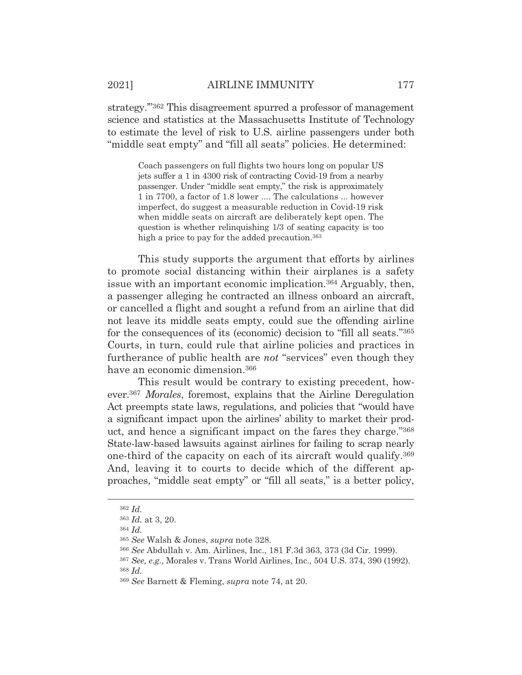strategy.'"362 This disagreement spurred a professor of management science and statistics at the Massachusetts Institute of Technology to estimate the level of risk to U.S. airline passengers under both "middle seat empty" and "fill all seats" policies. He determined:

Coach passengers on full flights two hours long on popular US jets suffer a 1 in 4300 risk of contracting Covid-19 from a nearby passenger. Under "middle seat empty," the risk is approximately 1 in 7700, a factor of 1.8 lower .... The calculations ... however imperfect, do suggest a measurable reduction in Covid-19 risk when middle seats on aircraft are deliberately kept open. The question is whether relinquishing 1/3 of seating capacity is too high a price to pay for the added precaution.<sup>363</sup>

 This study supports the argument that efforts by airlines to promote social distancing within their airplanes is a safety issue with an important economic implication.364 Arguably, then, a passenger alleging he contracted an illness onboard an aircraft, or cancelled a flight and sought a refund from an airline that did not leave its middle seats empty, could sue the offending airline for the consequences of its (economic) decision to "fill all seats."365 Courts, in turn, could rule that airline policies and practices in furtherance of public health are *not* "services" even though they have an economic dimension.366

 This result would be contrary to existing precedent, however.367 *Morales*, foremost, explains that the Airline Deregulation Act preempts state laws, regulations, and policies that "would have a significant impact upon the airlines' ability to market their product, and hence a significant impact on the fares they charge."368 State-law-based lawsuits against airlines for failing to scrap nearly one-third of the capacity on each of its aircraft would qualify.369 And, leaving it to courts to decide which of the different approaches, "middle seat empty" or "fill all seats," is a better policy,

<sup>362</sup> *Id.*

<sup>363</sup> *Id.* at 3, 20.

<sup>364</sup> *Id.*

<sup>365</sup> *See* Walsh & Jones, *supra* note 328.

<sup>366</sup> *See* Abdullah v. Am. Airlines, Inc., 181 F.3d 363, 373 (3d Cir. 1999).

<sup>367</sup> *See, e.g.*, Morales v. Trans World Airlines, Inc., 504 U.S. 374, 390 (1992). <sup>368</sup> *Id.*

<sup>369</sup> *See* Barnett & Fleming, *supra* note 74, at 20.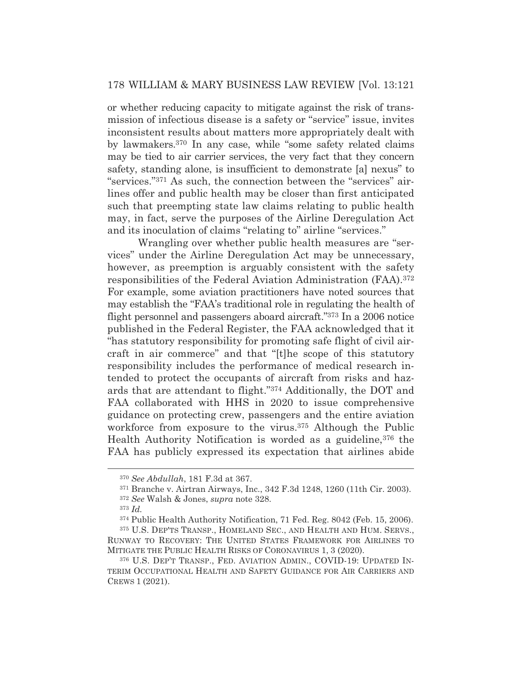or whether reducing capacity to mitigate against the risk of transmission of infectious disease is a safety or "service" issue, invites inconsistent results about matters more appropriately dealt with by lawmakers.370 In any case, while "some safety related claims may be tied to air carrier services, the very fact that they concern safety, standing alone, is insufficient to demonstrate [a] nexus" to "services."371 As such, the connection between the "services" airlines offer and public health may be closer than first anticipated such that preempting state law claims relating to public health may, in fact, serve the purposes of the Airline Deregulation Act and its inoculation of claims "relating to" airline "services."

 Wrangling over whether public health measures are "services" under the Airline Deregulation Act may be unnecessary, however, as preemption is arguably consistent with the safety responsibilities of the Federal Aviation Administration (FAA).372 For example, some aviation practitioners have noted sources that may establish the "FAA's traditional role in regulating the health of flight personnel and passengers aboard aircraft."373 In a 2006 notice published in the Federal Register, the FAA acknowledged that it "has statutory responsibility for promoting safe flight of civil aircraft in air commerce" and that "[t]he scope of this statutory responsibility includes the performance of medical research intended to protect the occupants of aircraft from risks and hazards that are attendant to flight."374 Additionally, the DOT and FAA collaborated with HHS in 2020 to issue comprehensive guidance on protecting crew, passengers and the entire aviation workforce from exposure to the virus.375 Although the Public Health Authority Notification is worded as a guideline, 376 the FAA has publicly expressed its expectation that airlines abide

<sup>370</sup> *See Abdullah*, 181 F.3d at 367.

<sup>371</sup> Branche v. Airtran Airways, Inc., 342 F.3d 1248, 1260 (11th Cir. 2003).

<sup>372</sup> *See* Walsh & Jones, *supra* note 328.

<sup>373</sup> *Id.*

<sup>374</sup> Public Health Authority Notification, 71 Fed. Reg. 8042 (Feb. 15, 2006).

<sup>375</sup> U.S. DEP'TS TRANSP., HOMELAND SEC., AND HEALTH AND HUM. SERVS., RUNWAY TO RECOVERY: THE UNITED STATES FRAMEWORK FOR AIRLINES TO MITIGATE THE PUBLIC HEALTH RISKS OF CORONAVIRUS 1, 3 (2020).

<sup>376</sup> U.S. DEP'T TRANSP., FED. AVIATION ADMIN., COVID-19: UPDATED IN-TERIM OCCUPATIONAL HEALTH AND SAFETY GUIDANCE FOR AIR CARRIERS AND CREWS 1 (2021).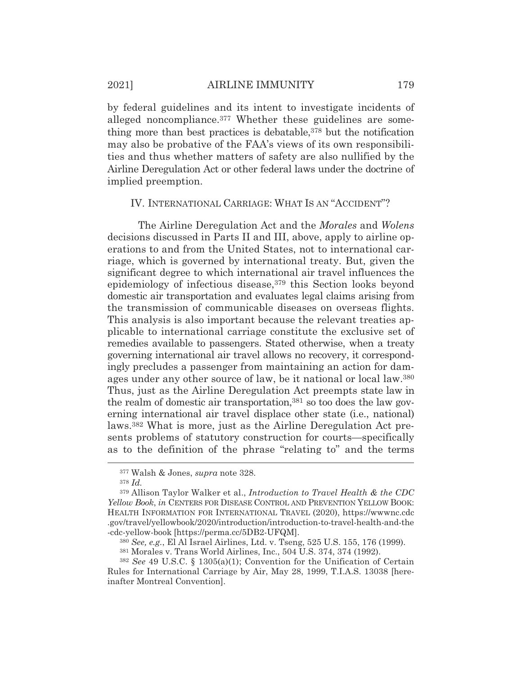by federal guidelines and its intent to investigate incidents of alleged noncompliance.377 Whether these guidelines are something more than best practices is debatable,<sup>378</sup> but the notification may also be probative of the FAA's views of its own responsibilities and thus whether matters of safety are also nullified by the Airline Deregulation Act or other federal laws under the doctrine of implied preemption.

#### IV. INTERNATIONAL CARRIAGE: WHAT IS AN "ACCIDENT"?

 The Airline Deregulation Act and the *Morales* and *Wolens* decisions discussed in Parts II and III, above, apply to airline operations to and from the United States, not to international carriage, which is governed by international treaty. But, given the significant degree to which international air travel influences the epidemiology of infectious disease,<sup>379</sup> this Section looks beyond domestic air transportation and evaluates legal claims arising from the transmission of communicable diseases on overseas flights. This analysis is also important because the relevant treaties applicable to international carriage constitute the exclusive set of remedies available to passengers. Stated otherwise, when a treaty governing international air travel allows no recovery, it correspondingly precludes a passenger from maintaining an action for damages under any other source of law, be it national or local law.380 Thus, just as the Airline Deregulation Act preempts state law in the realm of domestic air transportation,381 so too does the law governing international air travel displace other state (i.e., national) laws.382 What is more, just as the Airline Deregulation Act presents problems of statutory construction for courts—specifically as to the definition of the phrase "relating to" and the terms

<sup>377</sup> Walsh & Jones, *supra* note 328.

<sup>378</sup> *Id.*

<sup>379</sup> Allison Taylor Walker et al., *Introduction to Travel Health & the CDC Yellow Book*, *in* CENTERS FOR DISEASE CONTROL AND PREVENTION YELLOW BOOK: HEALTH INFORMATION FOR INTERNATIONAL TRAVEL (2020), https://wwwnc.cdc .gov/travel/yellowbook/2020/introduction/introduction-to-travel-health-and-the -cdc-yellow-book [https://perma.cc/5DB2-UFQM].

<sup>380</sup> *See, e.g.*, El Al Israel Airlines, Ltd. v. Tseng, 525 U.S. 155, 176 (1999).

<sup>381</sup> Morales v. Trans World Airlines, Inc., 504 U.S. 374, 374 (1992).

<sup>382</sup> *See* 49 U.S.C. § 1305(a)(1); Convention for the Unification of Certain Rules for International Carriage by Air, May 28, 1999, T.I.A.S. 13038 [hereinafter Montreal Convention].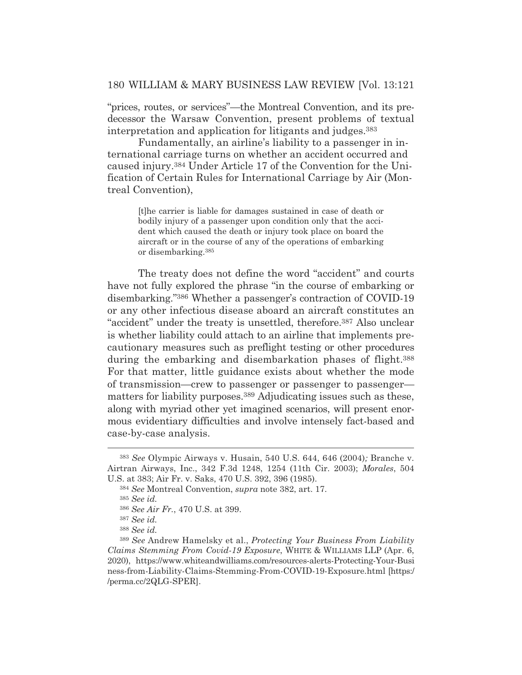"prices, routes, or services"—the Montreal Convention, and its predecessor the Warsaw Convention, present problems of textual interpretation and application for litigants and judges.383

 Fundamentally, an airline's liability to a passenger in international carriage turns on whether an accident occurred and caused injury.384 Under Article 17 of the Convention for the Unification of Certain Rules for International Carriage by Air (Montreal Convention),

[t]he carrier is liable for damages sustained in case of death or bodily injury of a passenger upon condition only that the accident which caused the death or injury took place on board the aircraft or in the course of any of the operations of embarking or disembarking.385

 The treaty does not define the word "accident" and courts have not fully explored the phrase "in the course of embarking or disembarking."386 Whether a passenger's contraction of COVID-19 or any other infectious disease aboard an aircraft constitutes an "accident" under the treaty is unsettled, therefore.387 Also unclear is whether liability could attach to an airline that implements precautionary measures such as preflight testing or other procedures during the embarking and disembarkation phases of flight.388 For that matter, little guidance exists about whether the mode of transmission—crew to passenger or passenger to passenger matters for liability purposes.389 Adjudicating issues such as these, along with myriad other yet imagined scenarios, will present enormous evidentiary difficulties and involve intensely fact-based and case-by-case analysis.

<sup>383</sup> *See* Olympic Airways v. Husain, 540 U.S. 644, 646 (2004)*;* Branche v. Airtran Airways, Inc., 342 F.3d 1248, 1254 (11th Cir. 2003); *Morales*, 504 U.S. at 383; Air Fr. v. Saks, 470 U.S. 392, 396 (1985).

<sup>384</sup> *See* Montreal Convention, *supra* note 382, art. 17.

<sup>385</sup> *See id.*

<sup>386</sup> *See Air Fr.*, 470 U.S. at 399.

<sup>387</sup> *See id.*

<sup>388</sup> *See id.*

<sup>389</sup> *See* Andrew Hamelsky et al., *Protecting Your Business From Liability Claims Stemming From Covid-19 Exposure*, WHITE & WILLIAMS LLP (Apr. 6, 2020), https://www.whiteandwilliams.com/resources-alerts-Protecting-Your-Busi ness-from-Liability-Claims-Stemming-From-COVID-19-Exposure.html [https:/ /perma.cc/2QLG-SPER].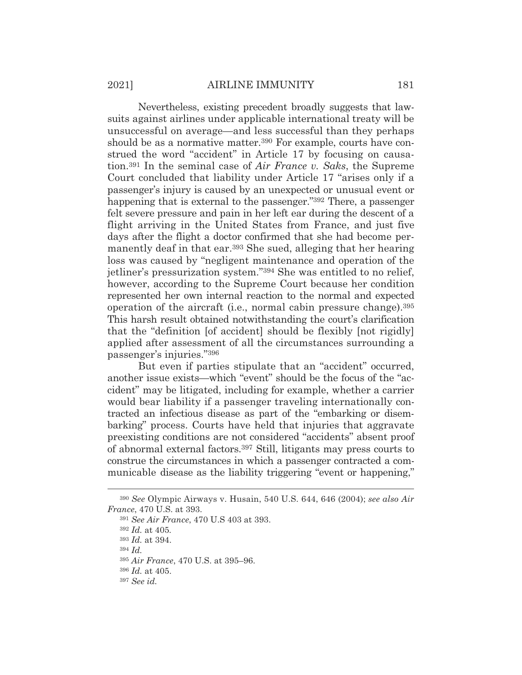Nevertheless, existing precedent broadly suggests that lawsuits against airlines under applicable international treaty will be unsuccessful on average—and less successful than they perhaps should be as a normative matter.<sup>390</sup> For example, courts have construed the word "accident" in Article 17 by focusing on causation.391 In the seminal case of *Air France v. Saks*, the Supreme Court concluded that liability under Article 17 "arises only if a passenger's injury is caused by an unexpected or unusual event or happening that is external to the passenger."392 There, a passenger felt severe pressure and pain in her left ear during the descent of a flight arriving in the United States from France, and just five days after the flight a doctor confirmed that she had become permanently deaf in that ear.393 She sued, alleging that her hearing loss was caused by "negligent maintenance and operation of the jetliner's pressurization system."394 She was entitled to no relief, however, according to the Supreme Court because her condition represented her own internal reaction to the normal and expected operation of the aircraft (i.e., normal cabin pressure change).395 This harsh result obtained notwithstanding the court's clarification that the "definition [of accident] should be flexibly [not rigidly] applied after assessment of all the circumstances surrounding a passenger's injuries."396

 But even if parties stipulate that an "accident" occurred, another issue exists—which "event" should be the focus of the "accident" may be litigated, including for example, whether a carrier would bear liability if a passenger traveling internationally contracted an infectious disease as part of the "embarking or disembarking" process. Courts have held that injuries that aggravate preexisting conditions are not considered "accidents" absent proof of abnormal external factors.397 Still, litigants may press courts to construe the circumstances in which a passenger contracted a communicable disease as the liability triggering "event or happening,"

<sup>390</sup> *See* Olympic Airways v. Husain, 540 U.S. 644, 646 (2004); *see also Air France*, 470 U.S. at 393.

<sup>391</sup> *See Air France*, 470 U.S 403 at 393.

<sup>392</sup> *Id.* at 405*.*

<sup>393</sup> *Id.* at 394.

<sup>394</sup> *Id.*

<sup>395</sup> *Air France*, 470 U.S. at 395–96.

<sup>396</sup> *Id.* at 405.

<sup>397</sup> *See id.*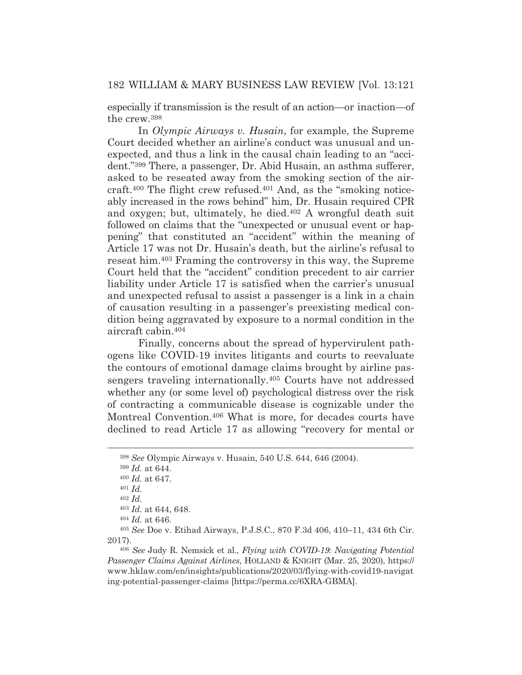especially if transmission is the result of an action—or inaction—of the crew.398

 In *Olympic Airways v. Husain*, for example, the Supreme Court decided whether an airline's conduct was unusual and unexpected, and thus a link in the causal chain leading to an "accident."399 There, a passenger, Dr. Abid Husain, an asthma sufferer, asked to be reseated away from the smoking section of the aircraft.400 The flight crew refused.401 And, as the "smoking noticeably increased in the rows behind" him, Dr. Husain required CPR and oxygen; but, ultimately, he died.402 A wrongful death suit followed on claims that the "unexpected or unusual event or happening" that constituted an "accident" within the meaning of Article 17 was not Dr. Husain's death, but the airline's refusal to reseat him.403 Framing the controversy in this way, the Supreme Court held that the "accident" condition precedent to air carrier liability under Article 17 is satisfied when the carrier's unusual and unexpected refusal to assist a passenger is a link in a chain of causation resulting in a passenger's preexisting medical condition being aggravated by exposure to a normal condition in the aircraft cabin.404

 Finally, concerns about the spread of hypervirulent pathogens like COVID-19 invites litigants and courts to reevaluate the contours of emotional damage claims brought by airline passengers traveling internationally.405 Courts have not addressed whether any (or some level of) psychological distress over the risk of contracting a communicable disease is cognizable under the Montreal Convention.406 What is more, for decades courts have declined to read Article 17 as allowing "recovery for mental or

<sup>398</sup> *See* Olympic Airways v. Husain, 540 U.S. 644, 646 (2004).

<sup>399</sup> *Id.* at 644.

<sup>400</sup> *Id.* at 647.

<sup>401</sup> *Id.*

<sup>402</sup> *Id.*

<sup>403</sup> *Id.* at 644, 648.

<sup>404</sup> *Id.* at 646.

<sup>405</sup> *See* Doe v. Etihad Airways, P.J.S.C., 870 F.3d 406, 410–11, 434 6th Cir. 2017).

<sup>406</sup> *See* Judy R. Nemsick et al., *Flying with COVID-19: Navigating Potential Passenger Claims Against Airlines*, HOLLAND & KNIGHT (Mar. 25, 2020), https:// www.hklaw.com/en/insights/publications/2020/03/flying-with-covid19-navigat ing-potential-passenger-claims [https://perma.cc/6XRA-GBMA].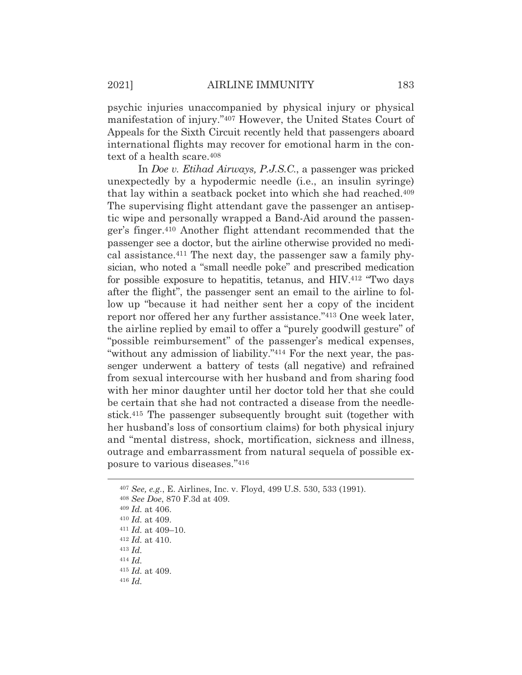psychic injuries unaccompanied by physical injury or physical manifestation of injury."407 However, the United States Court of Appeals for the Sixth Circuit recently held that passengers aboard international flights may recover for emotional harm in the context of a health scare.408

 In *Doe v. Etihad Airways, P.J.S.C.*, a passenger was pricked unexpectedly by a hypodermic needle (i.e., an insulin syringe) that lay within a seatback pocket into which she had reached.<sup>409</sup> The supervising flight attendant gave the passenger an antiseptic wipe and personally wrapped a Band-Aid around the passenger's finger.410 Another flight attendant recommended that the passenger see a doctor, but the airline otherwise provided no medical assistance.411 The next day, the passenger saw a family physician, who noted a "small needle poke" and prescribed medication for possible exposure to hepatitis, tetanus, and HIV.412 "Two days after the flight", the passenger sent an email to the airline to follow up "because it had neither sent her a copy of the incident report nor offered her any further assistance."413 One week later, the airline replied by email to offer a "purely goodwill gesture" of "possible reimbursement" of the passenger's medical expenses, "without any admission of liability."<sup>414</sup> For the next year, the passenger underwent a battery of tests (all negative) and refrained from sexual intercourse with her husband and from sharing food with her minor daughter until her doctor told her that she could be certain that she had not contracted a disease from the needlestick.415 The passenger subsequently brought suit (together with her husband's loss of consortium claims) for both physical injury and "mental distress, shock, mortification, sickness and illness, outrage and embarrassment from natural sequela of possible exposure to various diseases."416

<sup>413</sup> *Id.*

<sup>415</sup> *Id.* at 409. <sup>416</sup> *Id.*

<sup>407</sup> *See, e.g.*, E. Airlines, Inc. v. Floyd, 499 U.S. 530, 533 (1991).

<sup>408</sup> *See Doe*, 870 F.3d at 409.

<sup>409</sup> *Id.* at 406.

<sup>410</sup> *Id.* at 409. 411 *Id.* at 409–10. 412 *Id.* at 410.

<sup>414</sup> *Id.*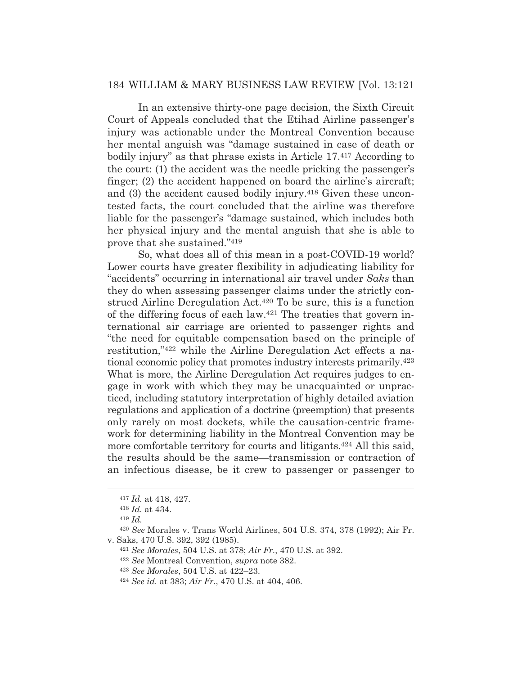In an extensive thirty-one page decision, the Sixth Circuit Court of Appeals concluded that the Etihad Airline passenger's injury was actionable under the Montreal Convention because her mental anguish was "damage sustained in case of death or bodily injury" as that phrase exists in Article 17.<sup>417</sup> According to the court: (1) the accident was the needle pricking the passenger's finger; (2) the accident happened on board the airline's aircraft; and (3) the accident caused bodily injury.418 Given these uncontested facts, the court concluded that the airline was therefore liable for the passenger's "damage sustained, which includes both her physical injury and the mental anguish that she is able to prove that she sustained."419

 So, what does all of this mean in a post-COVID-19 world? Lower courts have greater flexibility in adjudicating liability for "accidents" occurring in international air travel under *Saks* than they do when assessing passenger claims under the strictly construed Airline Deregulation Act.420 To be sure, this is a function of the differing focus of each law.421 The treaties that govern international air carriage are oriented to passenger rights and "the need for equitable compensation based on the principle of restitution,"422 while the Airline Deregulation Act effects a national economic policy that promotes industry interests primarily.423 What is more, the Airline Deregulation Act requires judges to engage in work with which they may be unacquainted or unpracticed, including statutory interpretation of highly detailed aviation regulations and application of a doctrine (preemption) that presents only rarely on most dockets, while the causation-centric framework for determining liability in the Montreal Convention may be more comfortable territory for courts and litigants.<sup>424</sup> All this said, the results should be the same—transmission or contraction of an infectious disease, be it crew to passenger or passenger to

<sup>419</sup> *Id.*

<sup>417</sup> *Id.* at 418, 427.

<sup>418</sup> *Id.* at 434.

<sup>420</sup> *See* Morales v. Trans World Airlines, 504 U.S. 374, 378 (1992); Air Fr. v. Saks, 470 U.S. 392, 392 (1985). 421 *See Morales*, 504 U.S. at 378; *Air Fr.*, 470 U.S. at 392. 422 *See* Montreal Convention, *supra* note 382.

<sup>423</sup> *See Morales*, 504 U.S. at 422–23. 424 *See id.* at 383; *Air Fr.*, 470 U.S. at 404, 406.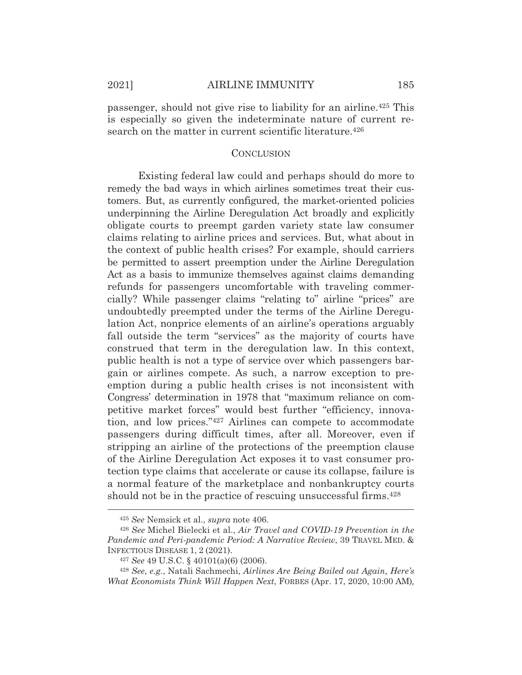passenger, should not give rise to liability for an airline.425 This is especially so given the indeterminate nature of current research on the matter in current scientific literature.<sup>426</sup>

#### **CONCLUSION**

 Existing federal law could and perhaps should do more to remedy the bad ways in which airlines sometimes treat their customers. But, as currently configured, the market-oriented policies underpinning the Airline Deregulation Act broadly and explicitly obligate courts to preempt garden variety state law consumer claims relating to airline prices and services. But, what about in the context of public health crises? For example, should carriers be permitted to assert preemption under the Airline Deregulation Act as a basis to immunize themselves against claims demanding refunds for passengers uncomfortable with traveling commercially? While passenger claims "relating to" airline "prices" are undoubtedly preempted under the terms of the Airline Deregulation Act, nonprice elements of an airline's operations arguably fall outside the term "services" as the majority of courts have construed that term in the deregulation law. In this context, public health is not a type of service over which passengers bargain or airlines compete. As such, a narrow exception to preemption during a public health crises is not inconsistent with Congress' determination in 1978 that "maximum reliance on competitive market forces" would best further "efficiency, innovation, and low prices."427 Airlines can compete to accommodate passengers during difficult times, after all. Moreover, even if stripping an airline of the protections of the preemption clause of the Airline Deregulation Act exposes it to vast consumer protection type claims that accelerate or cause its collapse, failure is a normal feature of the marketplace and nonbankruptcy courts should not be in the practice of rescuing unsuccessful firms.<sup>428</sup>

<sup>425</sup> *See* Nemsick et al., *supra* note 406.

<sup>426</sup> *See* Michel Bielecki et al., *Air Travel and COVID-19 Prevention in the Pandemic and Peri-pandemic Period: A Narrative Review*, 39 TRAVEL MED. & INFECTIOUS DISEASE 1, 2 (2021).

<sup>427</sup> *See* 49 U.S.C. § 40101(a)(6) (2006).

<sup>428</sup> *See*, *e.g.*, Natali Sachmechi, *Airlines Are Being Bailed out Again, Here's What Economists Think Will Happen Next*, FORBES (Apr. 17, 2020, 10:00 AM)*,*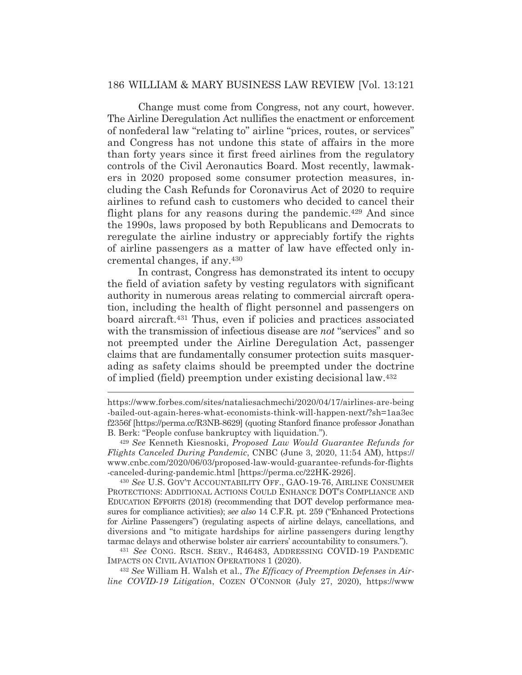Change must come from Congress, not any court, however. The Airline Deregulation Act nullifies the enactment or enforcement of nonfederal law "relating to" airline "prices, routes, or services" and Congress has not undone this state of affairs in the more than forty years since it first freed airlines from the regulatory controls of the Civil Aeronautics Board. Most recently, lawmakers in 2020 proposed some consumer protection measures, including the Cash Refunds for Coronavirus Act of 2020 to require airlines to refund cash to customers who decided to cancel their flight plans for any reasons during the pandemic.<sup>429</sup> And since the 1990s, laws proposed by both Republicans and Democrats to reregulate the airline industry or appreciably fortify the rights of airline passengers as a matter of law have effected only incremental changes, if any.430

 In contrast, Congress has demonstrated its intent to occupy the field of aviation safety by vesting regulators with significant authority in numerous areas relating to commercial aircraft operation, including the health of flight personnel and passengers on board aircraft.431 Thus, even if policies and practices associated with the transmission of infectious disease are *not* "services" and so not preempted under the Airline Deregulation Act, passenger claims that are fundamentally consumer protection suits masquerading as safety claims should be preempted under the doctrine of implied (field) preemption under existing decisional law.432

<sup>430</sup> *See* U.S. GOV'T ACCOUNTABILITY OFF., GAO-19-76, AIRLINE CONSUMER PROTECTIONS: ADDITIONAL ACTIONS COULD ENHANCE DOT'S COMPLIANCE AND EDUCATION EFFORTS (2018) (recommending that DOT develop performance measures for compliance activities); *see also* 14 C.F.R. pt. 259 ("Enhanced Protections for Airline Passengers") (regulating aspects of airline delays, cancellations, and diversions and "to mitigate hardships for airline passengers during lengthy tarmac delays and otherwise bolster air carriers' accountability to consumers.").

<sup>431</sup> *See* CONG. RSCH. SERV., R46483, ADDRESSING COVID-19 PANDEMIC IMPACTS ON CIVIL AVIATION OPERATIONS 1 (2020).

<sup>432</sup> *See* William H. Walsh et al., *The Efficacy of Preemption Defenses in Airline COVID-19 Litigation*, COZEN O'CONNOR (July 27, 2020), https://www

https://www.forbes.com/sites/nataliesachmechi/2020/04/17/airlines-are-being -bailed-out-again-heres-what-economists-think-will-happen-next/?sh=1aa3ec f2356f [https://perma.cc/R3NB-8629] (quoting Stanford finance professor Jonathan B. Berk: "People confuse bankruptcy with liquidation.").

<sup>429</sup> *See* Kenneth Kiesnoski, *Proposed Law Would Guarantee Refunds for Flights Canceled During Pandemic*, CNBC (June 3, 2020, 11:54 AM), https:// www.cnbc.com/2020/06/03/proposed-law-would-guarantee-refunds-for-flights -canceled-during-pandemic.html [https://perma.cc/22HK-2926].